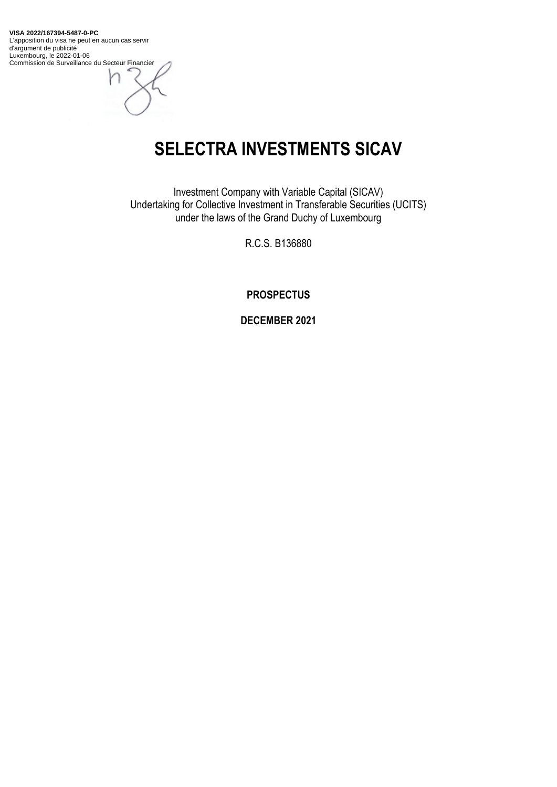**VISA 2022/167394-5487-0-PC** L'apposition du visa ne peut en aucun cas servir d'argument de publicité Luxembourg, le 2022-01-06 Commission de Surveillance du Secteur Financier

**SELECTRA INVESTMENTS SICAV**

Investment Company with Variable Capital (SICAV) Undertaking for Collective Investment in Transferable Securities (UCITS) under the laws of the Grand Duchy of Luxembourg

R.C.S. B136880

**PROSPECTUS**

**DECEMBER 2021**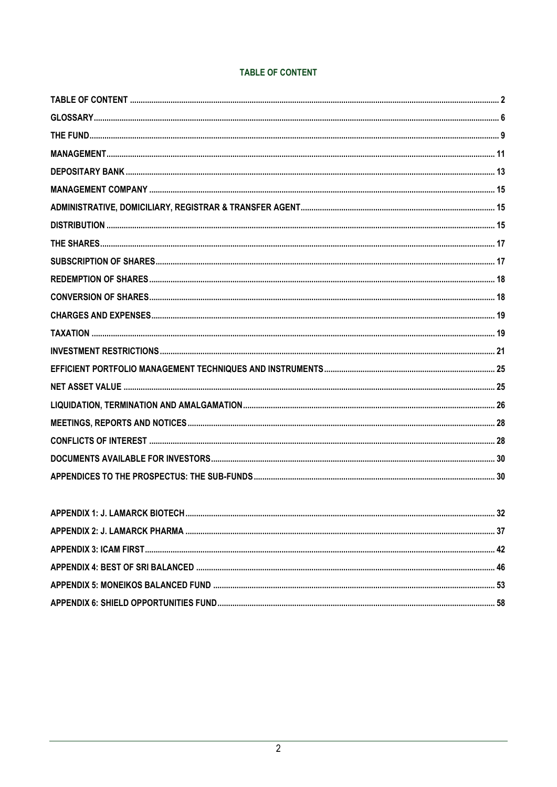# **TABLE OF CONTENT**

<span id="page-1-0"></span>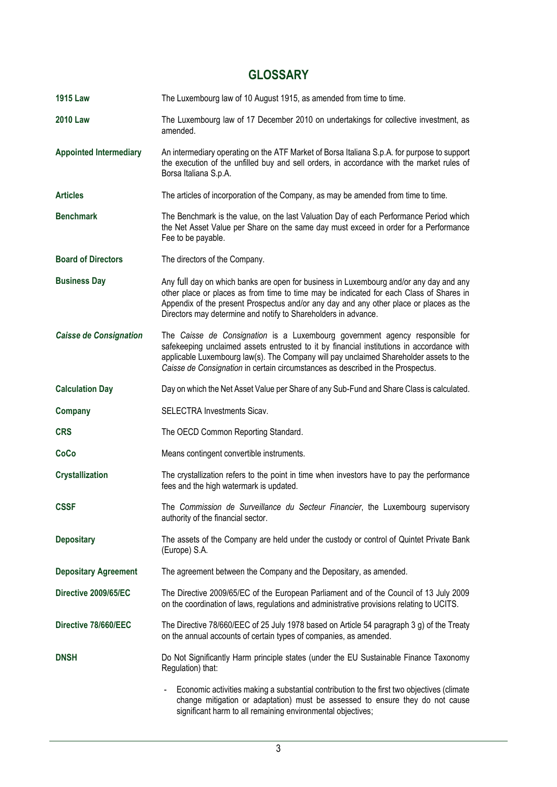# **GLOSSARY**

| <b>1915 Law</b>               | The Luxembourg law of 10 August 1915, as amended from time to time.                                                                                                                                                                                                                                                                                    |
|-------------------------------|--------------------------------------------------------------------------------------------------------------------------------------------------------------------------------------------------------------------------------------------------------------------------------------------------------------------------------------------------------|
| <b>2010 Law</b>               | The Luxembourg law of 17 December 2010 on undertakings for collective investment, as<br>amended.                                                                                                                                                                                                                                                       |
| <b>Appointed Intermediary</b> | An intermediary operating on the ATF Market of Borsa Italiana S.p.A. for purpose to support<br>the execution of the unfilled buy and sell orders, in accordance with the market rules of<br>Borsa Italiana S.p.A.                                                                                                                                      |
| <b>Articles</b>               | The articles of incorporation of the Company, as may be amended from time to time.                                                                                                                                                                                                                                                                     |
| <b>Benchmark</b>              | The Benchmark is the value, on the last Valuation Day of each Performance Period which<br>the Net Asset Value per Share on the same day must exceed in order for a Performance<br>Fee to be payable.                                                                                                                                                   |
| <b>Board of Directors</b>     | The directors of the Company.                                                                                                                                                                                                                                                                                                                          |
| <b>Business Day</b>           | Any full day on which banks are open for business in Luxembourg and/or any day and any<br>other place or places as from time to time may be indicated for each Class of Shares in<br>Appendix of the present Prospectus and/or any day and any other place or places as the<br>Directors may determine and notify to Shareholders in advance.          |
| <b>Caisse de Consignation</b> | The Caisse de Consignation is a Luxembourg government agency responsible for<br>safekeeping unclaimed assets entrusted to it by financial institutions in accordance with<br>applicable Luxembourg law(s). The Company will pay unclaimed Shareholder assets to the<br>Caisse de Consignation in certain circumstances as described in the Prospectus. |
| <b>Calculation Day</b>        | Day on which the Net Asset Value per Share of any Sub-Fund and Share Class is calculated.                                                                                                                                                                                                                                                              |
| Company                       | SELECTRA Investments Sicav.                                                                                                                                                                                                                                                                                                                            |
| <b>CRS</b>                    | The OECD Common Reporting Standard.                                                                                                                                                                                                                                                                                                                    |
| CoCo                          | Means contingent convertible instruments.                                                                                                                                                                                                                                                                                                              |
| <b>Crystallization</b>        | The crystallization refers to the point in time when investors have to pay the performance<br>fees and the high watermark is updated.                                                                                                                                                                                                                  |
| <b>CSSF</b>                   | The Commission de Surveillance du Secteur Financier, the Luxembourg supervisory<br>authority of the financial sector.                                                                                                                                                                                                                                  |
| <b>Depositary</b>             | The assets of the Company are held under the custody or control of Quintet Private Bank<br>(Europe) S.A.                                                                                                                                                                                                                                               |
| <b>Depositary Agreement</b>   | The agreement between the Company and the Depositary, as amended.                                                                                                                                                                                                                                                                                      |
| Directive 2009/65/EC          | The Directive 2009/65/EC of the European Parliament and of the Council of 13 July 2009<br>on the coordination of laws, regulations and administrative provisions relating to UCITS.                                                                                                                                                                    |
| Directive 78/660/EEC          | The Directive 78/660/EEC of 25 July 1978 based on Article 54 paragraph 3 g) of the Treaty<br>on the annual accounts of certain types of companies, as amended.                                                                                                                                                                                         |
| <b>DNSH</b>                   | Do Not Significantly Harm principle states (under the EU Sustainable Finance Taxonomy<br>Regulation) that:                                                                                                                                                                                                                                             |
|                               | Economic activities making a substantial contribution to the first two objectives (climate<br>change mitigation or adaptation) must be assessed to ensure they do not cause<br>significant harm to all remaining environmental objectives;                                                                                                             |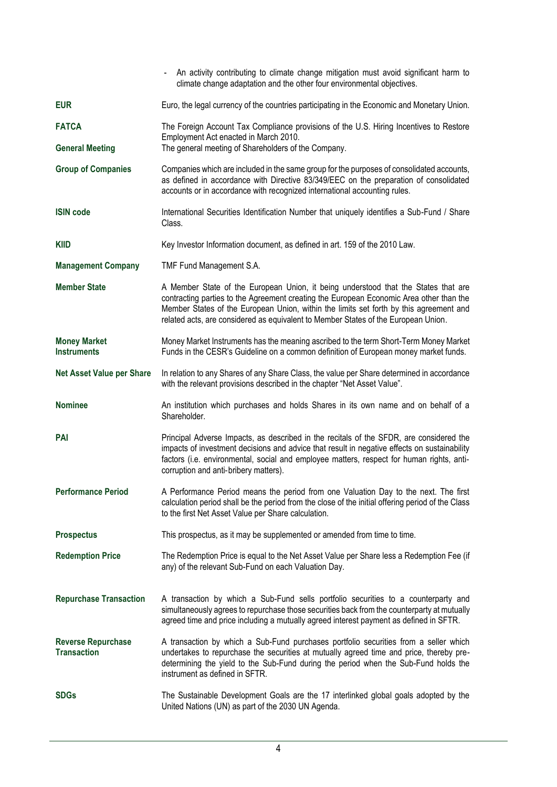|                                                 | An activity contributing to climate change mitigation must avoid significant harm to<br>climate change adaptation and the other four environmental objectives.                                                                                                                                                                                                |
|-------------------------------------------------|---------------------------------------------------------------------------------------------------------------------------------------------------------------------------------------------------------------------------------------------------------------------------------------------------------------------------------------------------------------|
| <b>EUR</b>                                      | Euro, the legal currency of the countries participating in the Economic and Monetary Union.                                                                                                                                                                                                                                                                   |
| <b>FATCA</b>                                    | The Foreign Account Tax Compliance provisions of the U.S. Hiring Incentives to Restore                                                                                                                                                                                                                                                                        |
| <b>General Meeting</b>                          | Employment Act enacted in March 2010.<br>The general meeting of Shareholders of the Company.                                                                                                                                                                                                                                                                  |
| <b>Group of Companies</b>                       | Companies which are included in the same group for the purposes of consolidated accounts,<br>as defined in accordance with Directive 83/349/EEC on the preparation of consolidated<br>accounts or in accordance with recognized international accounting rules.                                                                                               |
| <b>ISIN code</b>                                | International Securities Identification Number that uniquely identifies a Sub-Fund / Share<br>Class.                                                                                                                                                                                                                                                          |
| <b>KIID</b>                                     | Key Investor Information document, as defined in art. 159 of the 2010 Law.                                                                                                                                                                                                                                                                                    |
| <b>Management Company</b>                       | TMF Fund Management S.A.                                                                                                                                                                                                                                                                                                                                      |
| <b>Member State</b>                             | A Member State of the European Union, it being understood that the States that are<br>contracting parties to the Agreement creating the European Economic Area other than the<br>Member States of the European Union, within the limits set forth by this agreement and<br>related acts, are considered as equivalent to Member States of the European Union. |
| <b>Money Market</b><br><b>Instruments</b>       | Money Market Instruments has the meaning ascribed to the term Short-Term Money Market<br>Funds in the CESR's Guideline on a common definition of European money market funds.                                                                                                                                                                                 |
| <b>Net Asset Value per Share</b>                | In relation to any Shares of any Share Class, the value per Share determined in accordance<br>with the relevant provisions described in the chapter "Net Asset Value".                                                                                                                                                                                        |
|                                                 |                                                                                                                                                                                                                                                                                                                                                               |
| <b>Nominee</b>                                  | An institution which purchases and holds Shares in its own name and on behalf of a<br>Shareholder.                                                                                                                                                                                                                                                            |
| <b>PAI</b>                                      | Principal Adverse Impacts, as described in the recitals of the SFDR, are considered the<br>impacts of investment decisions and advice that result in negative effects on sustainability<br>factors (i.e. environmental, social and employee matters, respect for human rights, anti-<br>corruption and anti-bribery matters).                                 |
| <b>Performance Period</b>                       | A Performance Period means the period from one Valuation Day to the next. The first<br>calculation period shall be the period from the close of the initial offering period of the Class<br>to the first Net Asset Value per Share calculation.                                                                                                               |
| <b>Prospectus</b>                               | This prospectus, as it may be supplemented or amended from time to time.                                                                                                                                                                                                                                                                                      |
| <b>Redemption Price</b>                         | The Redemption Price is equal to the Net Asset Value per Share less a Redemption Fee (if<br>any) of the relevant Sub-Fund on each Valuation Day.                                                                                                                                                                                                              |
| <b>Repurchase Transaction</b>                   | A transaction by which a Sub-Fund sells portfolio securities to a counterparty and<br>simultaneously agrees to repurchase those securities back from the counterparty at mutually<br>agreed time and price including a mutually agreed interest payment as defined in SFTR.                                                                                   |
| <b>Reverse Repurchase</b><br><b>Transaction</b> | A transaction by which a Sub-Fund purchases portfolio securities from a seller which<br>undertakes to repurchase the securities at mutually agreed time and price, thereby pre-<br>determining the yield to the Sub-Fund during the period when the Sub-Fund holds the<br>instrument as defined in SFTR.                                                      |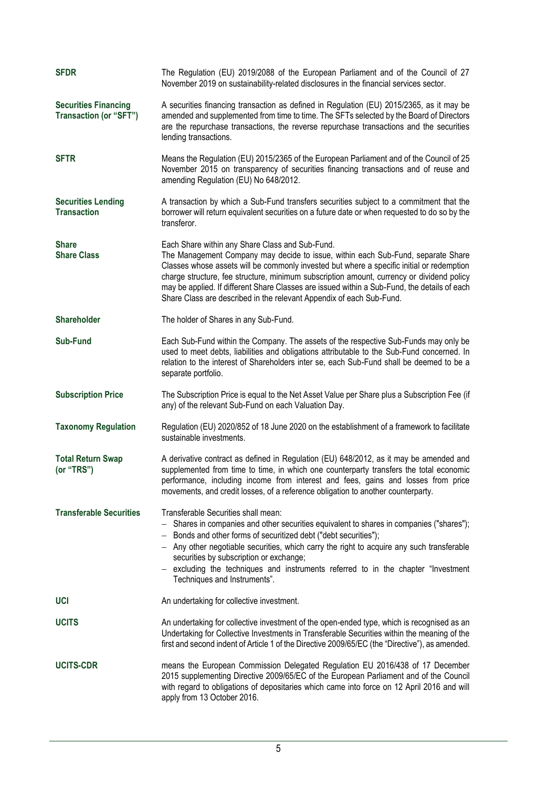| <b>SFDR</b>                                           | The Regulation (EU) 2019/2088 of the European Parliament and of the Council of 27<br>November 2019 on sustainability-related disclosures in the financial services sector.                                                                                                                                                                                                                                                                                                                            |
|-------------------------------------------------------|-------------------------------------------------------------------------------------------------------------------------------------------------------------------------------------------------------------------------------------------------------------------------------------------------------------------------------------------------------------------------------------------------------------------------------------------------------------------------------------------------------|
| <b>Securities Financing</b><br>Transaction (or "SFT") | A securities financing transaction as defined in Regulation (EU) 2015/2365, as it may be<br>amended and supplemented from time to time. The SFTs selected by the Board of Directors<br>are the repurchase transactions, the reverse repurchase transactions and the securities<br>lending transactions.                                                                                                                                                                                               |
| <b>SFTR</b>                                           | Means the Regulation (EU) 2015/2365 of the European Parliament and of the Council of 25<br>November 2015 on transparency of securities financing transactions and of reuse and<br>amending Regulation (EU) No 648/2012.                                                                                                                                                                                                                                                                               |
| <b>Securities Lending</b><br><b>Transaction</b>       | A transaction by which a Sub-Fund transfers securities subject to a commitment that the<br>borrower will return equivalent securities on a future date or when requested to do so by the<br>transferor.                                                                                                                                                                                                                                                                                               |
| <b>Share</b><br><b>Share Class</b>                    | Each Share within any Share Class and Sub-Fund.<br>The Management Company may decide to issue, within each Sub-Fund, separate Share<br>Classes whose assets will be commonly invested but where a specific initial or redemption<br>charge structure, fee structure, minimum subscription amount, currency or dividend policy<br>may be applied. If different Share Classes are issued within a Sub-Fund, the details of each<br>Share Class are described in the relevant Appendix of each Sub-Fund. |
| <b>Shareholder</b>                                    | The holder of Shares in any Sub-Fund.                                                                                                                                                                                                                                                                                                                                                                                                                                                                 |
| <b>Sub-Fund</b>                                       | Each Sub-Fund within the Company. The assets of the respective Sub-Funds may only be<br>used to meet debts, liabilities and obligations attributable to the Sub-Fund concerned. In<br>relation to the interest of Shareholders inter se, each Sub-Fund shall be deemed to be a<br>separate portfolio.                                                                                                                                                                                                 |
| <b>Subscription Price</b>                             | The Subscription Price is equal to the Net Asset Value per Share plus a Subscription Fee (if<br>any) of the relevant Sub-Fund on each Valuation Day.                                                                                                                                                                                                                                                                                                                                                  |
| <b>Taxonomy Regulation</b>                            | Regulation (EU) 2020/852 of 18 June 2020 on the establishment of a framework to facilitate<br>sustainable investments.                                                                                                                                                                                                                                                                                                                                                                                |
| <b>Total Return Swap</b><br>(or "TRS")                | A derivative contract as defined in Regulation (EU) 648/2012, as it may be amended and<br>supplemented from time to time, in which one counterparty transfers the total economic<br>performance, including income from interest and fees, gains and losses from price<br>movements, and credit losses, of a reference obligation to another counterparty.                                                                                                                                             |
| <b>Transferable Securities</b>                        | Transferable Securities shall mean:<br>Shares in companies and other securities equivalent to shares in companies ("shares");<br>- Bonds and other forms of securitized debt ("debt securities");<br>$-$ Any other negotiable securities, which carry the right to acquire any such transferable<br>securities by subscription or exchange;<br>- excluding the techniques and instruments referred to in the chapter "Investment<br>Techniques and Instruments".                                      |
| <b>UCI</b>                                            | An undertaking for collective investment.                                                                                                                                                                                                                                                                                                                                                                                                                                                             |
| <b>UCITS</b>                                          | An undertaking for collective investment of the open-ended type, which is recognised as an<br>Undertaking for Collective Investments in Transferable Securities within the meaning of the<br>first and second indent of Article 1 of the Directive 2009/65/EC (the "Directive"), as amended.                                                                                                                                                                                                          |
| <b>UCITS-CDR</b>                                      | means the European Commission Delegated Regulation EU 2016/438 of 17 December<br>2015 supplementing Directive 2009/65/EC of the European Parliament and of the Council<br>with regard to obligations of depositaries which came into force on 12 April 2016 and will<br>apply from 13 October 2016.                                                                                                                                                                                                   |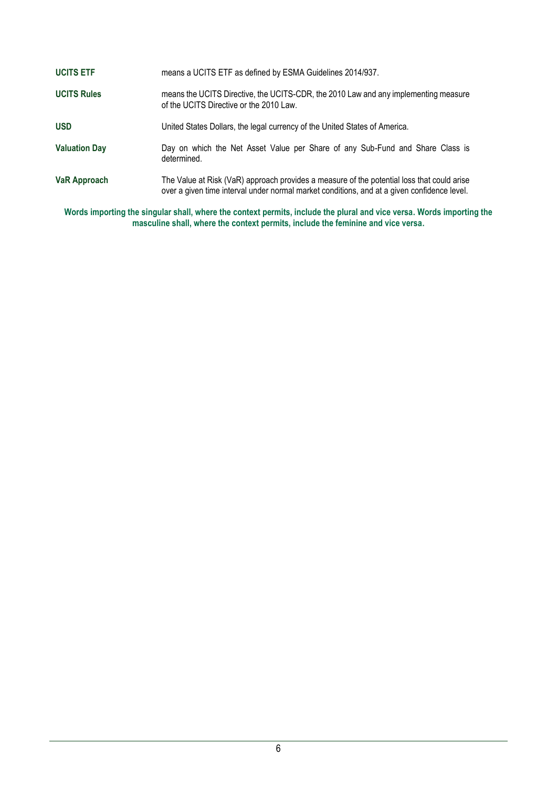| <b>UCITS ETF</b>     | means a UCITS ETF as defined by ESMA Guidelines 2014/937.                                                                                                                                 |
|----------------------|-------------------------------------------------------------------------------------------------------------------------------------------------------------------------------------------|
| <b>UCITS Rules</b>   | means the UCITS Directive, the UCITS-CDR, the 2010 Law and any implementing measure<br>of the UCITS Directive or the 2010 Law.                                                            |
| <b>USD</b>           | United States Dollars, the legal currency of the United States of America.                                                                                                                |
| <b>Valuation Day</b> | Day on which the Net Asset Value per Share of any Sub-Fund and Share Class is<br>determined.                                                                                              |
| <b>VaR Approach</b>  | The Value at Risk (VaR) approach provides a measure of the potential loss that could arise<br>over a given time interval under normal market conditions, and at a given confidence level. |
|                      | Manda booxaattoo tha abaartaa ahall whaan tha aantart namalta baalwda tha niwaaland wax waxaa Manda booxaattoo                                                                            |

<span id="page-5-0"></span>**Words importing the singular shall, where the context permits, include the plural and vice versa. Words importing the masculine shall, where the context permits, include the feminine and vice versa.**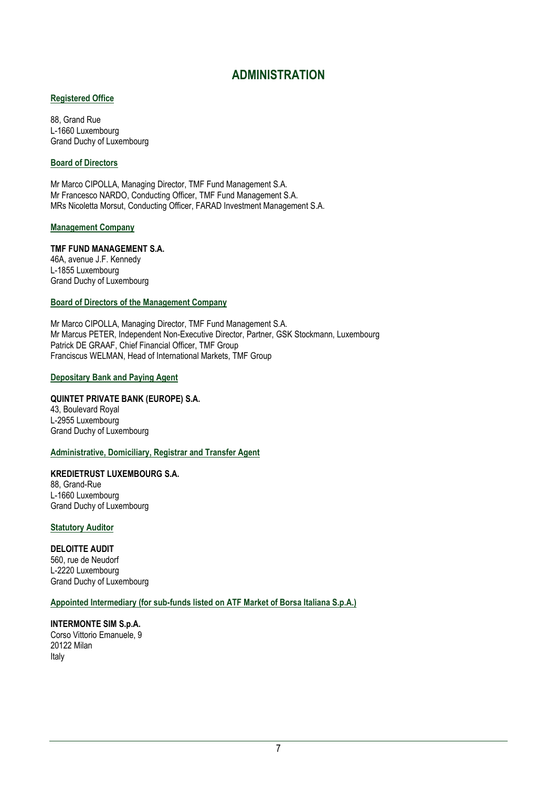# **ADMINISTRATION**

## **Registered Office**

88, Grand Rue L-1660 Luxembourg Grand Duchy of Luxembourg

# **Board of Directors**

Mr Marco CIPOLLA, Managing Director, TMF Fund Management S.A. Mr Francesco NARDO, Conducting Officer, TMF Fund Management S.A. MRs Nicoletta Morsut, Conducting Officer, FARAD Investment Management S.A.

## **Management Company**

# **TMF FUND MANAGEMENT S.A.**

46A, avenue J.F. Kennedy L-1855 Luxembourg Grand Duchy of Luxembourg

## **Board of Directors of the Management Company**

Mr Marco CIPOLLA, Managing Director, TMF Fund Management S.A. Mr Marcus PETER, Independent Non-Executive Director, Partner, GSK Stockmann, Luxembourg Patrick DE GRAAF, Chief Financial Officer, TMF Group Franciscus WELMAN, Head of International Markets, TMF Group

## **Depositary Bank and Paying Agent**

# **QUINTET PRIVATE BANK (EUROPE) S.A.**

43, Boulevard Royal L-2955 Luxembourg Grand Duchy of Luxembourg

# **Administrative, Domiciliary, Registrar and Transfer Agent**

**KREDIETRUST LUXEMBOURG S.A.** 88, Grand-Rue L-1660 Luxembourg Grand Duchy of Luxembourg

**Statutory Auditor**

**DELOITTE AUDIT** 560, rue de Neudorf L-2220 Luxembourg Grand Duchy of Luxembourg

# **Appointed Intermediary (for sub-funds listed on ATF Market of Borsa Italiana S.p.A.)**

**INTERMONTE SIM S.p.A.** Corso Vittorio Emanuele, 9 20122 Milan Italy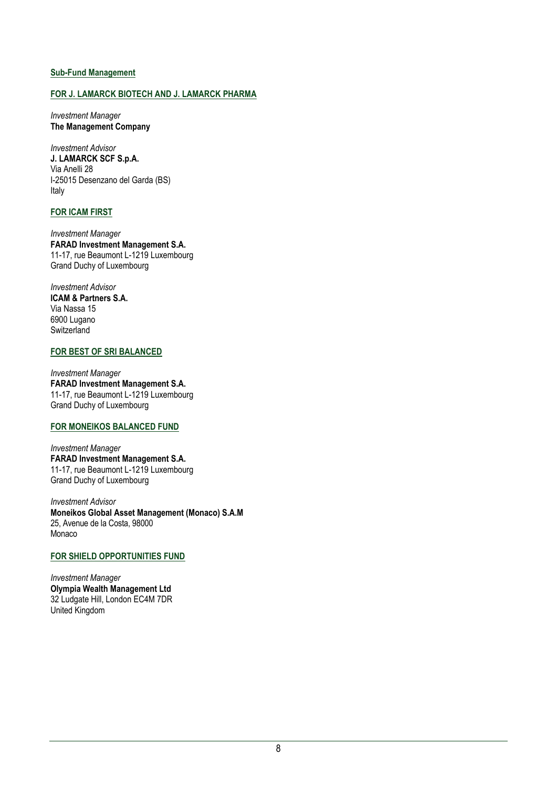## **Sub-Fund Management**

## **FOR J. LAMARCK BIOTECH AND J. LAMARCK PHARMA**

*Investment Manager* **The Management Company**

*Investment Advisor* **J. LAMARCK SCF S.p.A.** Via Anelli 28 I-25015 Desenzano del Garda (BS) Italy

# **FOR ICAM FIRST**

*Investment Manager* **FARAD Investment Management S.A.** 11-17, rue Beaumont L-1219 Luxembourg Grand Duchy of Luxembourg

*Investment Advisor* **ICAM & Partners S.A.** Via Nassa 15 6900 Lugano **Switzerland** 

## **FOR BEST OF SRI BALANCED**

*Investment Manager*  **FARAD Investment Management S.A.** 11-17, rue Beaumont L-1219 Luxembourg Grand Duchy of Luxembourg

# **FOR MONEIKOS BALANCED FUND**

*Investment Manager*  **FARAD Investment Management S.A.** 11-17, rue Beaumont L-1219 Luxembourg Grand Duchy of Luxembourg

*Investment Advisor* **Moneikos Global Asset Management (Monaco) S.A.M**  25, Avenue de la Costa, 98000 Monaco

### **FOR SHIELD OPPORTUNITIES FUND**

*Investment Manager* **Olympia Wealth Management Ltd** 32 Ludgate Hill, London EC4M 7DR United Kingdom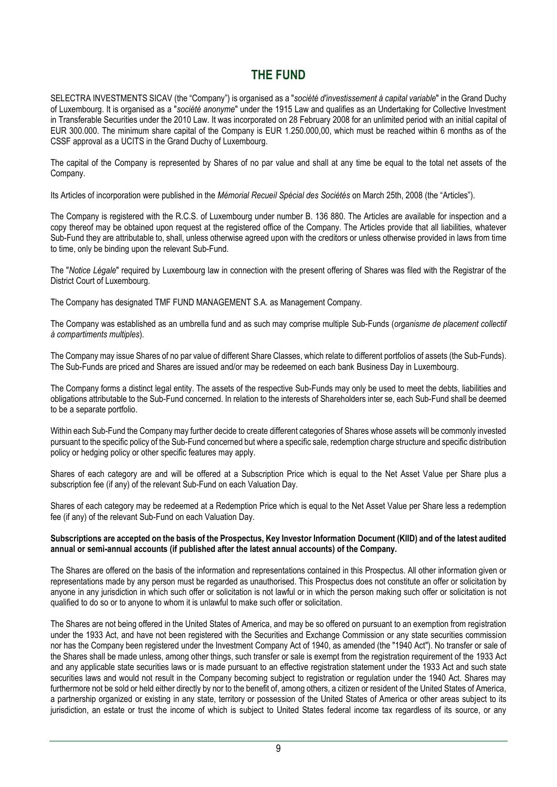# **THE FUND**

<span id="page-8-0"></span>SELECTRA INVESTMENTS SICAV (the "Company") is organised as a "*société d'investissement à capital variable*" in the Grand Duchy of Luxembourg. It is organised as a "*société anonyme*" under the 1915 Law and qualifies as an Undertaking for Collective Investment in Transferable Securities under the 2010 Law. It was incorporated on 28 February 2008 for an unlimited period with an initial capital of EUR 300.000. The minimum share capital of the Company is EUR 1.250.000,00, which must be reached within 6 months as of the CSSF approval as a UCITS in the Grand Duchy of Luxembourg.

The capital of the Company is represented by Shares of no par value and shall at any time be equal to the total net assets of the Company.

Its Articles of incorporation were published in the *Mémorial Recueil Spécial des Sociétés* on March 25th, 2008 (the "Articles").

The Company is registered with the R.C.S. of Luxembourg under number B. 136 880. The Articles are available for inspection and a copy thereof may be obtained upon request at the registered office of the Company. The Articles provide that all liabilities, whatever Sub-Fund they are attributable to, shall, unless otherwise agreed upon with the creditors or unless otherwise provided in laws from time to time, only be binding upon the relevant Sub-Fund.

The "*Notice Légale*" required by Luxembourg law in connection with the present offering of Shares was filed with the Registrar of the District Court of Luxembourg.

The Company has designated TMF FUND MANAGEMENT S.A. as Management Company.

The Company was established as an umbrella fund and as such may comprise multiple Sub-Funds (*organisme de placement collectif à compartiments multiples*).

The Company may issue Shares of no par value of different Share Classes, which relate to different portfolios of assets (the Sub-Funds). The Sub-Funds are priced and Shares are issued and/or may be redeemed on each bank Business Day in Luxembourg.

The Company forms a distinct legal entity. The assets of the respective Sub-Funds may only be used to meet the debts, liabilities and obligations attributable to the Sub-Fund concerned. In relation to the interests of Shareholders inter se, each Sub-Fund shall be deemed to be a separate portfolio.

Within each Sub-Fund the Company may further decide to create different categories of Shares whose assets will be commonly invested pursuant to the specific policy of the Sub-Fund concerned but where a specific sale, redemption charge structure and specific distribution policy or hedging policy or other specific features may apply.

Shares of each category are and will be offered at a Subscription Price which is equal to the Net Asset Value per Share plus a subscription fee (if any) of the relevant Sub-Fund on each Valuation Day.

Shares of each category may be redeemed at a Redemption Price which is equal to the Net Asset Value per Share less a redemption fee (if any) of the relevant Sub-Fund on each Valuation Day.

## **Subscriptions are accepted on the basis of the Prospectus, Key Investor Information Document (KIID) and of the latest audited annual or semi-annual accounts (if published after the latest annual accounts) of the Company.**

The Shares are offered on the basis of the information and representations contained in this Prospectus. All other information given or representations made by any person must be regarded as unauthorised. This Prospectus does not constitute an offer or solicitation by anyone in any jurisdiction in which such offer or solicitation is not lawful or in which the person making such offer or solicitation is not qualified to do so or to anyone to whom it is unlawful to make such offer or solicitation.

The Shares are not being offered in the United States of America, and may be so offered on pursuant to an exemption from registration under the 1933 Act, and have not been registered with the Securities and Exchange Commission or any state securities commission nor has the Company been registered under the Investment Company Act of 1940, as amended (the "1940 Act"). No transfer or sale of the Shares shall be made unless, among other things, such transfer or sale is exempt from the registration requirement of the 1933 Act and any applicable state securities laws or is made pursuant to an effective registration statement under the 1933 Act and such state securities laws and would not result in the Company becoming subject to registration or regulation under the 1940 Act. Shares may furthermore not be sold or held either directly by nor to the benefit of, among others, a citizen or resident of the United States of America, a partnership organized or existing in any state, territory or possession of the United States of America or other areas subject to its jurisdiction, an estate or trust the income of which is subject to United States federal income tax regardless of its source, or any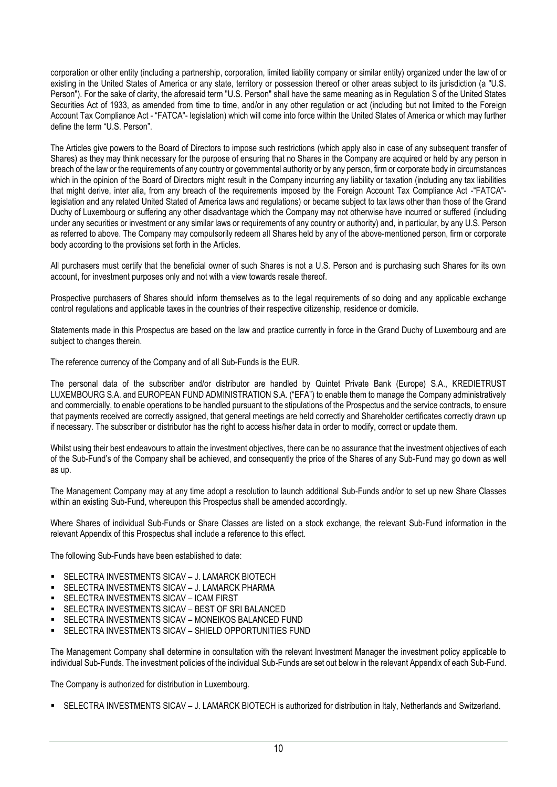corporation or other entity (including a partnership, corporation, limited liability company or similar entity) organized under the law of or existing in the United States of America or any state, territory or possession thereof or other areas subject to its jurisdiction (a "U.S. Person"). For the sake of clarity, the aforesaid term "U.S. Person" shall have the same meaning as in Regulation S of the United States Securities Act of 1933, as amended from time to time, and/or in any other regulation or act (including but not limited to the Foreign Account Tax Compliance Act - "FATCA"- legislation) which will come into force within the United States of America or which may further define the term "U.S. Person".

The Articles give powers to the Board of Directors to impose such restrictions (which apply also in case of any subsequent transfer of Shares) as they may think necessary for the purpose of ensuring that no Shares in the Company are acquired or held by any person in breach of the law or the requirements of any country or governmental authority or by any person, firm or corporate body in circumstances which in the opinion of the Board of Directors might result in the Company incurring any liability or taxation (including any tax liabilities that might derive, inter alia, from any breach of the requirements imposed by the Foreign Account Tax Compliance Act -"FATCA" legislation and any related United Stated of America laws and regulations) or became subject to tax laws other than those of the Grand Duchy of Luxembourg or suffering any other disadvantage which the Company may not otherwise have incurred or suffered (including under any securities or investment or any similar laws or requirements of any country or authority) and, in particular, by any U.S. Person as referred to above. The Company may compulsorily redeem all Shares held by any of the above-mentioned person, firm or corporate body according to the provisions set forth in the Articles.

All purchasers must certify that the beneficial owner of such Shares is not a U.S. Person and is purchasing such Shares for its own account, for investment purposes only and not with a view towards resale thereof.

Prospective purchasers of Shares should inform themselves as to the legal requirements of so doing and any applicable exchange control regulations and applicable taxes in the countries of their respective citizenship, residence or domicile.

Statements made in this Prospectus are based on the law and practice currently in force in the Grand Duchy of Luxembourg and are subject to changes therein.

The reference currency of the Company and of all Sub-Funds is the EUR.

The personal data of the subscriber and/or distributor are handled by Quintet Private Bank (Europe) S.A., KREDIETRUST LUXEMBOURG S.A. and EUROPEAN FUND ADMINISTRATION S.A. ("EFA") to enable them to manage the Company administratively and commercially, to enable operations to be handled pursuant to the stipulations of the Prospectus and the service contracts, to ensure that payments received are correctly assigned, that general meetings are held correctly and Shareholder certificates correctly drawn up if necessary. The subscriber or distributor has the right to access his/her data in order to modify, correct or update them.

Whilst using their best endeavours to attain the investment objectives, there can be no assurance that the investment objectives of each of the Sub-Fund's of the Company shall be achieved, and consequently the price of the Shares of any Sub-Fund may go down as well as up.

The Management Company may at any time adopt a resolution to launch additional Sub-Funds and/or to set up new Share Classes within an existing Sub-Fund, whereupon this Prospectus shall be amended accordingly.

Where Shares of individual Sub-Funds or Share Classes are listed on a stock exchange, the relevant Sub-Fund information in the relevant Appendix of this Prospectus shall include a reference to this effect.

The following Sub-Funds have been established to date:

- SELECTRA INVESTMENTS SICAV J. LAMARCK BIOTECH
- **E** SELECTRA INVESTMENTS SICAV J. LAMARCK PHARMA
- SELECTRA INVESTMENTS SICAV ICAM FIRST
- SELECTRA INVESTMENTS SICAV BEST OF SRI BALANCED
- SELECTRA INVESTMENTS SICAV MONEIKOS BALANCED FUND
- SELECTRA INVESTMENTS SICAV SHIELD OPPORTUNITIES FUND

The Management Company shall determine in consultation with the relevant Investment Manager the investment policy applicable to individual Sub-Funds. The investment policies of the individual Sub-Funds are set out below in the relevant Appendix of each Sub-Fund.

The Company is authorized for distribution in Luxembourg.

SELECTRA INVESTMENTS SICAV – J. LAMARCK BIOTECH is authorized for distribution in Italy, Netherlands and Switzerland.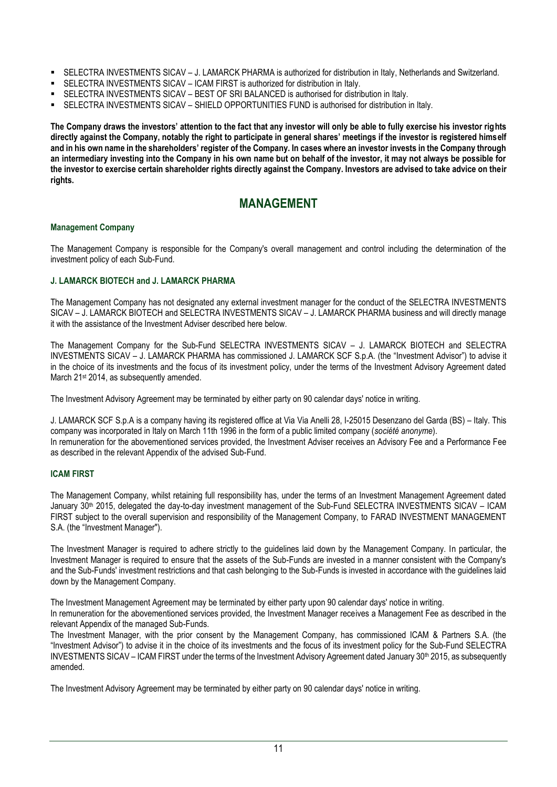- SELECTRA INVESTMENTS SICAV J. LAMARCK PHARMA is authorized for distribution in Italy, Netherlands and Switzerland.
- SELECTRA INVESTMENTS SICAV ICAM FIRST is authorized for distribution in Italy.
- **SELECTRA INVESTMENTS SICAV BEST OF SRI BALANCED is authorised for distribution in Italy.**
- SELECTRA INVESTMENTS SICAV SHIELD OPPORTUNITIES FUND is authorised for distribution in Italy.

**The Company draws the investors' attention to the fact that any investor will only be able to fully exercise his investor rights directly against the Company, notably the right to participate in general shares' meetings if the investor is registered himself and in his own name in the shareholders' register of the Company. In cases where an investor invests in the Company through an intermediary investing into the Company in his own name but on behalf of the investor, it may not always be possible for the investor to exercise certain shareholder rights directly against the Company. Investors are advised to take advice on their rights.**

# **MANAGEMENT**

## <span id="page-10-0"></span>**Management Company**

The Management Company is responsible for the Company's overall management and control including the determination of the investment policy of each Sub-Fund.

# **J. LAMARCK BIOTECH and J. LAMARCK PHARMA**

The Management Company has not designated any external investment manager for the conduct of the SELECTRA INVESTMENTS SICAV – J. LAMARCK BIOTECH and SELECTRA INVESTMENTS SICAV – J. LAMARCK PHARMA business and will directly manage it with the assistance of the Investment Adviser described here below.

The Management Company for the Sub-Fund SELECTRA INVESTMENTS SICAV – J. LAMARCK BIOTECH and SELECTRA INVESTMENTS SICAV – J. LAMARCK PHARMA has commissioned J. LAMARCK SCF S.p.A. (the "Investment Advisor") to advise it in the choice of its investments and the focus of its investment policy, under the terms of the Investment Advisory Agreement dated March 21<sup>st</sup> 2014, as subsequently amended.

The Investment Advisory Agreement may be terminated by either party on 90 calendar days' notice in writing.

J. LAMARCK SCF S.p.A is a company having its registered office at Via Via Anelli 28, I-25015 Desenzano del Garda (BS) – Italy. This company was incorporated in Italy on March 11th 1996 in the form of a public limited company (*société anonyme*). In remuneration for the abovementioned services provided, the Investment Adviser receives an Advisory Fee and a Performance Fee as described in the relevant Appendix of the advised Sub-Fund.

# **ICAM FIRST**

The Management Company, whilst retaining full responsibility has, under the terms of an Investment Management Agreement dated January 30th 2015, delegated the day-to-day investment management of the Sub-Fund SELECTRA INVESTMENTS SICAV – ICAM FIRST subject to the overall supervision and responsibility of the Management Company, to FARAD INVESTMENT MANAGEMENT S.A. (the "Investment Manager").

The Investment Manager is required to adhere strictly to the guidelines laid down by the Management Company. In particular, the Investment Manager is required to ensure that the assets of the Sub-Funds are invested in a manner consistent with the Company's and the Sub-Funds' investment restrictions and that cash belonging to the Sub-Funds is invested in accordance with the guidelines laid down by the Management Company.

The Investment Management Agreement may be terminated by either party upon 90 calendar days' notice in writing. In remuneration for the abovementioned services provided, the Investment Manager receives a Management Fee as described in the relevant Appendix of the managed Sub-Funds.

The Investment Manager, with the prior consent by the Management Company, has commissioned ICAM & Partners S.A. (the "Investment Advisor") to advise it in the choice of its investments and the focus of its investment policy for the Sub-Fund SELECTRA INVESTMENTS SICAV – ICAM FIRST under the terms of the Investment Advisory Agreement dated January 30<sup>th</sup> 2015, as subsequently amended.

The Investment Advisory Agreement may be terminated by either party on 90 calendar days' notice in writing.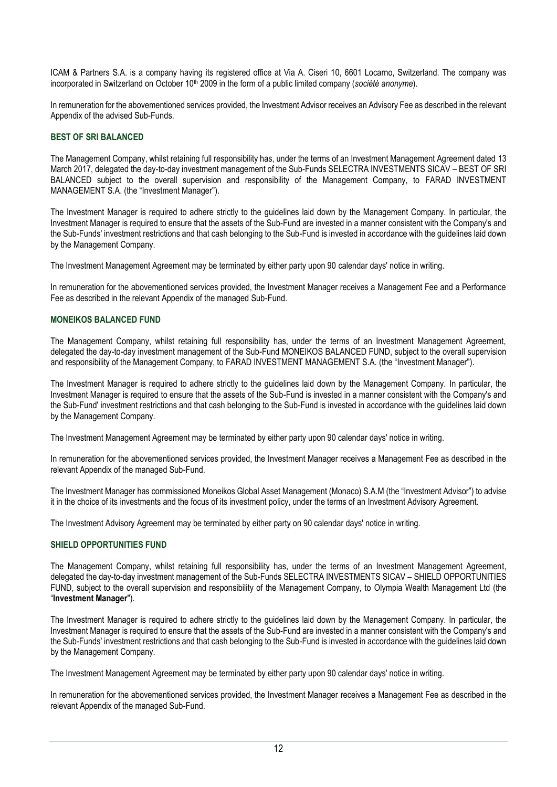ICAM & Partners S.A. is a company having its registered office at Via A. Ciseri 10, 6601 Locarno, Switzerland. The company was incorporated in Switzerland on October 10<sup>th</sup> 2009 in the form of a public limited company (*société anonyme*).

In remuneration for the abovementioned services provided, the Investment Advisor receives an Advisory Fee as described in the relevant Appendix of the advised Sub-Funds.

# **BEST OF SRI BALANCED**

The Management Company, whilst retaining full responsibility has, under the terms of an Investment Management Agreement dated 13 March 2017, delegated the day-to-day investment management of the Sub-Funds SELECTRA INVESTMENTS SICAV – BEST OF SRI BALANCED subject to the overall supervision and responsibility of the Management Company, to FARAD INVESTMENT MANAGEMENT S.A. (the "Investment Manager").

The Investment Manager is required to adhere strictly to the guidelines laid down by the Management Company. In particular, the Investment Manager is required to ensure that the assets of the Sub-Fund are invested in a manner consistent with the Company's and the Sub-Funds' investment restrictions and that cash belonging to the Sub-Fund is invested in accordance with the guidelines laid down by the Management Company.

The Investment Management Agreement may be terminated by either party upon 90 calendar days' notice in writing.

In remuneration for the abovementioned services provided, the Investment Manager receives a Management Fee and a Performance Fee as described in the relevant Appendix of the managed Sub-Fund.

## **MONEIKOS BALANCED FUND**

The Management Company, whilst retaining full responsibility has, under the terms of an Investment Management Agreement, delegated the day-to-day investment management of the Sub-Fund MONEIKOS BALANCED FUND, subject to the overall supervision and responsibility of the Management Company, to FARAD INVESTMENT MANAGEMENT S.A. (the "Investment Manager").

The Investment Manager is required to adhere strictly to the guidelines laid down by the Management Company. In particular, the Investment Manager is required to ensure that the assets of the Sub-Fund is invested in a manner consistent with the Company's and the Sub-Fund' investment restrictions and that cash belonging to the Sub-Fund is invested in accordance with the guidelines laid down by the Management Company.

The Investment Management Agreement may be terminated by either party upon 90 calendar days' notice in writing.

In remuneration for the abovementioned services provided, the Investment Manager receives a Management Fee as described in the relevant Appendix of the managed Sub-Fund.

The Investment Manager has commissioned Moneikos Global Asset Management (Monaco) S.A.M (the "Investment Advisor") to advise it in the choice of its investments and the focus of its investment policy, under the terms of an Investment Advisory Agreement.

The Investment Advisory Agreement may be terminated by either party on 90 calendar days' notice in writing.

### **SHIELD OPPORTUNITIES FUND**

The Management Company, whilst retaining full responsibility has, under the terms of an Investment Management Agreement, delegated the day-to-day investment management of the Sub-Funds SELECTRA INVESTMENTS SICAV – SHIELD OPPORTUNITIES FUND, subject to the overall supervision and responsibility of the Management Company, to Olympia Wealth Management Ltd (the "**Investment Manager**").

The Investment Manager is required to adhere strictly to the guidelines laid down by the Management Company. In particular, the Investment Manager is required to ensure that the assets of the Sub-Fund are invested in a manner consistent with the Company's and the Sub-Funds' investment restrictions and that cash belonging to the Sub-Fund is invested in accordance with the guidelines laid down by the Management Company.

The Investment Management Agreement may be terminated by either party upon 90 calendar days' notice in writing.

In remuneration for the abovementioned services provided, the Investment Manager receives a Management Fee as described in the relevant Appendix of the managed Sub-Fund.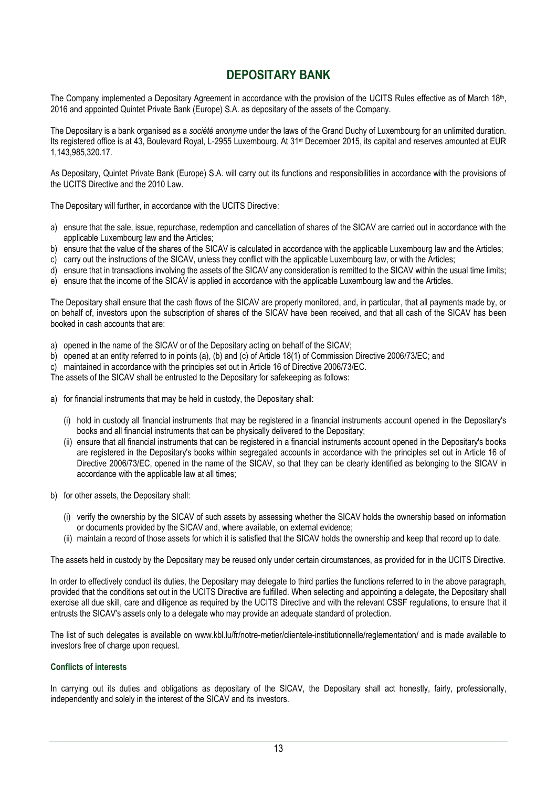# **DEPOSITARY BANK**

<span id="page-12-0"></span>The Company implemented a Depositary Agreement in accordance with the provision of the UCITS Rules effective as of March 18<sup>th</sup>, 2016 and appointed Quintet Private Bank (Europe) S.A. as depositary of the assets of the Company.

The Depositary is a bank organised as a *société anonyme* under the laws of the Grand Duchy of Luxembourg for an unlimited duration. Its registered office is at 43, Boulevard Royal, L-2955 Luxembourg. At 31st December 2015, its capital and reserves amounted at EUR 1,143,985,320.17.

As Depositary, Quintet Private Bank (Europe) S.A. will carry out its functions and responsibilities in accordance with the provisions of the UCITS Directive and the 2010 Law.

The Depositary will further, in accordance with the UCITS Directive:

- a) ensure that the sale, issue, repurchase, redemption and cancellation of shares of the SICAV are carried out in accordance with the applicable Luxembourg law and the Articles;
- b) ensure that the value of the shares of the SICAV is calculated in accordance with the applicable Luxembourg law and the Articles;
- c) carry out the instructions of the SICAV, unless they conflict with the applicable Luxembourg law, or with the Articles;
- d) ensure that in transactions involving the assets of the SICAV any consideration is remitted to the SICAV within the usual time limits;
- e) ensure that the income of the SICAV is applied in accordance with the applicable Luxembourg law and the Articles.

The Depositary shall ensure that the cash flows of the SICAV are properly monitored, and, in particular, that all payments made by, or on behalf of, investors upon the subscription of shares of the SICAV have been received, and that all cash of the SICAV has been booked in cash accounts that are:

- a) opened in the name of the SICAV or of the Depositary acting on behalf of the SICAV;
- b) opened at an entity referred to in points (a), (b) and (c) of Article 18(1) of Commission Directive 2006/73/EC; and
- c) maintained in accordance with the principles set out in Article 16 of Directive 2006/73/EC.

The assets of the SICAV shall be entrusted to the Depositary for safekeeping as follows:

- a) for financial instruments that may be held in custody, the Depositary shall:
	- (i) hold in custody all financial instruments that may be registered in a financial instruments account opened in the Depositary's books and all financial instruments that can be physically delivered to the Depositary;
	- (ii) ensure that all financial instruments that can be registered in a financial instruments account opened in the Depositary's books are registered in the Depositary's books within segregated accounts in accordance with the principles set out in Article 16 of Directive 2006/73/EC, opened in the name of the SICAV, so that they can be clearly identified as belonging to the SICAV in accordance with the applicable law at all times;
- b) for other assets, the Depositary shall:
	- (i) verify the ownership by the SICAV of such assets by assessing whether the SICAV holds the ownership based on information or documents provided by the SICAV and, where available, on external evidence;
	- (ii) maintain a record of those assets for which it is satisfied that the SICAV holds the ownership and keep that record up to date.

The assets held in custody by the Depositary may be reused only under certain circumstances, as provided for in the UCITS Directive.

In order to effectively conduct its duties, the Depositary may delegate to third parties the functions referred to in the above paragraph, provided that the conditions set out in the UCITS Directive are fulfilled. When selecting and appointing a delegate, the Depositary shall exercise all due skill, care and diligence as required by the UCITS Directive and with the relevant CSSF regulations, to ensure that it entrusts the SICAV's assets only to a delegate who may provide an adequate standard of protection.

The list of such delegates is available on www.kbl.lu/fr/notre-metier/clientele-institutionnelle/reglementation/ and is made available to investors free of charge upon request.

### **Conflicts of interests**

In carrying out its duties and obligations as depositary of the SICAV, the Depositary shall act honestly, fairly, professionally, independently and solely in the interest of the SICAV and its investors.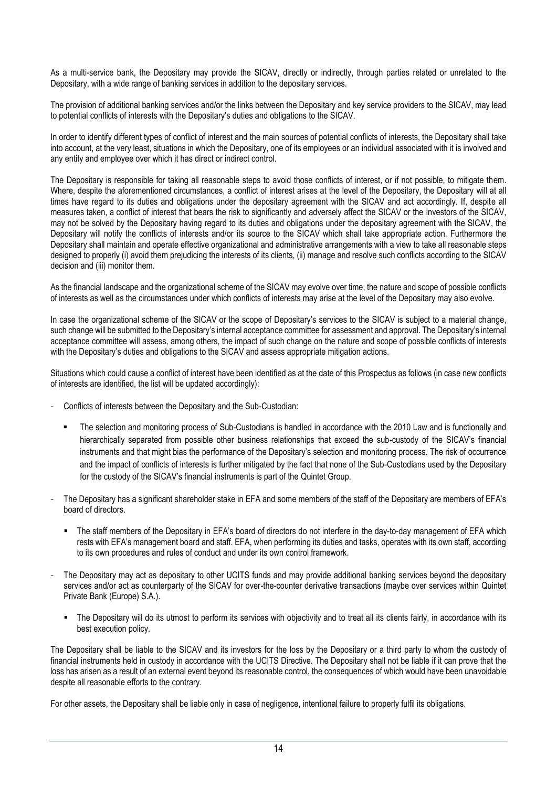As a multi-service bank, the Depositary may provide the SICAV, directly or indirectly, through parties related or unrelated to the Depositary, with a wide range of banking services in addition to the depositary services.

The provision of additional banking services and/or the links between the Depositary and key service providers to the SICAV, may lead to potential conflicts of interests with the Depositary's duties and obligations to the SICAV.

In order to identify different types of conflict of interest and the main sources of potential conflicts of interests, the Depositary shall take into account, at the very least, situations in which the Depositary, one of its employees or an individual associated with it is involved and any entity and employee over which it has direct or indirect control.

The Depositary is responsible for taking all reasonable steps to avoid those conflicts of interest, or if not possible, to mitigate them. Where, despite the aforementioned circumstances, a conflict of interest arises at the level of the Depositary, the Depositary will at all times have regard to its duties and obligations under the depositary agreement with the SICAV and act accordingly. If, despite all measures taken, a conflict of interest that bears the risk to significantly and adversely affect the SICAV or the investors of the SICAV, may not be solved by the Depositary having regard to its duties and obligations under the depositary agreement with the SICAV, the Depositary will notify the conflicts of interests and/or its source to the SICAV which shall take appropriate action. Furthermore the Depositary shall maintain and operate effective organizational and administrative arrangements with a view to take all reasonable steps designed to properly (i) avoid them prejudicing the interests of its clients, (ii) manage and resolve such conflicts according to the SICAV decision and (iii) monitor them.

As the financial landscape and the organizational scheme of the SICAV may evolve over time, the nature and scope of possible conflicts of interests as well as the circumstances under which conflicts of interests may arise at the level of the Depositary may also evolve.

In case the organizational scheme of the SICAV or the scope of Depositary's services to the SICAV is subject to a material change, such change will be submitted to the Depositary's internal acceptance committee for assessment and approval. The Depositary's internal acceptance committee will assess, among others, the impact of such change on the nature and scope of possible conflicts of interests with the Depositary's duties and obligations to the SICAV and assess appropriate mitigation actions.

Situations which could cause a conflict of interest have been identified as at the date of this Prospectus as follows (in case new conflicts of interests are identified, the list will be updated accordingly):

- Conflicts of interests between the Depositary and the Sub-Custodian:
	- The selection and monitoring process of Sub-Custodians is handled in accordance with the 2010 Law and is functionally and hierarchically separated from possible other business relationships that exceed the sub-custody of the SICAV's financial instruments and that might bias the performance of the Depositary's selection and monitoring process. The risk of occurrence and the impact of conflicts of interests is further mitigated by the fact that none of the Sub-Custodians used by the Depositary for the custody of the SICAV's financial instruments is part of the Quintet Group.
- The Depositary has a significant shareholder stake in EFA and some members of the staff of the Depositary are members of EFA's board of directors.
	- The staff members of the Depositary in EFA's board of directors do not interfere in the day-to-day management of EFA which rests with EFA's management board and staff. EFA, when performing its duties and tasks, operates with its own staff, according to its own procedures and rules of conduct and under its own control framework.
- The Depositary may act as depositary to other UCITS funds and may provide additional banking services beyond the depositary services and/or act as counterparty of the SICAV for over-the-counter derivative transactions (maybe over services within Quintet Private Bank (Europe) S.A.).
	- The Depositary will do its utmost to perform its services with objectivity and to treat all its clients fairly, in accordance with its best execution policy.

The Depositary shall be liable to the SICAV and its investors for the loss by the Depositary or a third party to whom the custody of financial instruments held in custody in accordance with the UCITS Directive. The Depositary shall not be liable if it can prove that the loss has arisen as a result of an external event beyond its reasonable control, the consequences of which would have been unavoidable despite all reasonable efforts to the contrary.

For other assets, the Depositary shall be liable only in case of negligence, intentional failure to properly fulfil its obligations.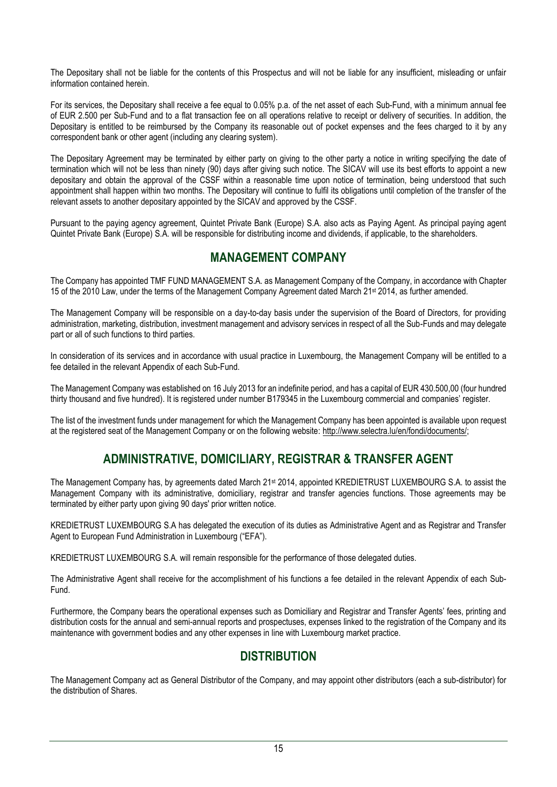The Depositary shall not be liable for the contents of this Prospectus and will not be liable for any insufficient, misleading or unfair information contained herein.

For its services, the Depositary shall receive a fee equal to 0.05% p.a. of the net asset of each Sub-Fund, with a minimum annual fee of EUR 2.500 per Sub-Fund and to a flat transaction fee on all operations relative to receipt or delivery of securities. In addition, the Depositary is entitled to be reimbursed by the Company its reasonable out of pocket expenses and the fees charged to it by any correspondent bank or other agent (including any clearing system).

The Depositary Agreement may be terminated by either party on giving to the other party a notice in writing specifying the date of termination which will not be less than ninety (90) days after giving such notice. The SICAV will use its best efforts to appoint a new depositary and obtain the approval of the CSSF within a reasonable time upon notice of termination, being understood that such appointment shall happen within two months. The Depositary will continue to fulfil its obligations until completion of the transfer of the relevant assets to another depositary appointed by the SICAV and approved by the CSSF.

Pursuant to the paying agency agreement, Quintet Private Bank (Europe) S.A. also acts as Paying Agent. As principal paying agent Quintet Private Bank (Europe) S.A. will be responsible for distributing income and dividends, if applicable, to the shareholders.

# **MANAGEMENT COMPANY**

<span id="page-14-0"></span>The Company has appointed TMF FUND MANAGEMENT S.A. as Management Company of the Company, in accordance with Chapter 15 of the 2010 Law, under the terms of the Management Company Agreement dated March 21st 2014, as further amended.

The Management Company will be responsible on a day-to-day basis under the supervision of the Board of Directors, for providing administration, marketing, distribution, investment management and advisory services in respect of all the Sub-Funds and may delegate part or all of such functions to third parties.

In consideration of its services and in accordance with usual practice in Luxembourg, the Management Company will be entitled to a fee detailed in the relevant Appendix of each Sub-Fund.

The Management Company was established on 16 July 2013 for an indefinite period, and has a capital of EUR 430.500,00 (four hundred thirty thousand and five hundred). It is registered under number B179345 in the Luxembourg commercial and companies' register.

The list of the investment funds under management for which the Management Company has been appointed is available upon request at the registered seat of the Management Company or on the following website: [http://www.selectra.lu/en/fondi/documents/;](http://www.selectra.lu/en/fondi/documents/)

# **ADMINISTRATIVE, DOMICILIARY, REGISTRAR & TRANSFER AGENT**

<span id="page-14-1"></span>The Management Company has, by agreements dated March 21st 2014, appointed KREDIETRUST LUXEMBOURG S.A. to assist the Management Company with its administrative, domiciliary, registrar and transfer agencies functions. Those agreements may be terminated by either party upon giving 90 days' prior written notice.

KREDIETRUST LUXEMBOURG S.A has delegated the execution of its duties as Administrative Agent and as Registrar and Transfer Agent to European Fund Administration in Luxembourg ("EFA").

KREDIETRUST LUXEMBOURG S.A. will remain responsible for the performance of those delegated duties.

The Administrative Agent shall receive for the accomplishment of his functions a fee detailed in the relevant Appendix of each Sub-Fund.

Furthermore, the Company bears the operational expenses such as Domiciliary and Registrar and Transfer Agents' fees, printing and distribution costs for the annual and semi-annual reports and prospectuses, expenses linked to the registration of the Company and its maintenance with government bodies and any other expenses in line with Luxembourg market practice.

# **DISTRIBUTION**

<span id="page-14-2"></span>The Management Company act as General Distributor of the Company, and may appoint other distributors (each a sub-distributor) for the distribution of Shares.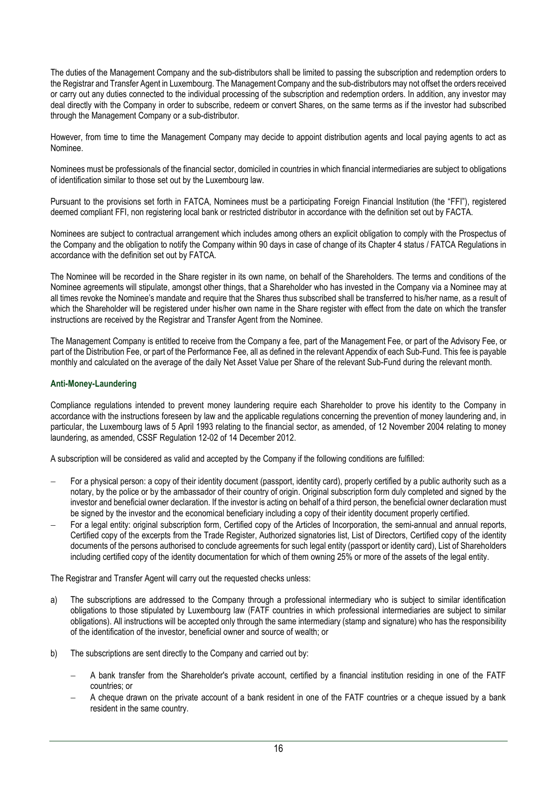The duties of the Management Company and the sub-distributors shall be limited to passing the subscription and redemption orders to the Registrar and Transfer Agent in Luxembourg. The Management Company and the sub-distributors may not offset the orders received or carry out any duties connected to the individual processing of the subscription and redemption orders. In addition, any investor may deal directly with the Company in order to subscribe, redeem or convert Shares, on the same terms as if the investor had subscribed through the Management Company or a sub-distributor.

However, from time to time the Management Company may decide to appoint distribution agents and local paying agents to act as Nominee.

Nominees must be professionals of the financial sector, domiciled in countries in which financial intermediaries are subject to obligations of identification similar to those set out by the Luxembourg law.

Pursuant to the provisions set forth in FATCA, Nominees must be a participating Foreign Financial Institution (the "FFI"), registered deemed compliant FFI, non registering local bank or restricted distributor in accordance with the definition set out by FACTA.

Nominees are subject to contractual arrangement which includes among others an explicit obligation to comply with the Prospectus of the Company and the obligation to notify the Company within 90 days in case of change of its Chapter 4 status / FATCA Regulations in accordance with the definition set out by FATCA.

The Nominee will be recorded in the Share register in its own name, on behalf of the Shareholders. The terms and conditions of the Nominee agreements will stipulate, amongst other things, that a Shareholder who has invested in the Company via a Nominee may at all times revoke the Nominee's mandate and require that the Shares thus subscribed shall be transferred to his/her name, as a result of which the Shareholder will be registered under his/her own name in the Share register with effect from the date on which the transfer instructions are received by the Registrar and Transfer Agent from the Nominee.

The Management Company is entitled to receive from the Company a fee, part of the Management Fee, or part of the Advisory Fee, or part of the Distribution Fee, or part of the Performance Fee, all as defined in the relevant Appendix of each Sub-Fund. This fee is payable monthly and calculated on the average of the daily Net Asset Value per Share of the relevant Sub-Fund during the relevant month.

## **Anti-Money-Laundering**

Compliance regulations intended to prevent money laundering require each Shareholder to prove his identity to the Company in accordance with the instructions foreseen by law and the applicable regulations concerning the prevention of money laundering and, in particular, the Luxembourg laws of 5 April 1993 relating to the financial sector, as amended, of 12 November 2004 relating to money laundering, as amended, CSSF Regulation 12-02 of 14 December 2012.

A subscription will be considered as valid and accepted by the Company if the following conditions are fulfilled:

- − For a physical person: a copy of their identity document (passport, identity card), properly certified by a public authority such as a notary, by the police or by the ambassador of their country of origin. Original subscription form duly completed and signed by the investor and beneficial owner declaration. If the investor is acting on behalf of a third person, the beneficial owner declaration must be signed by the investor and the economical beneficiary including a copy of their identity document properly certified.
- − For a legal entity: original subscription form, Certified copy of the Articles of Incorporation, the semi-annual and annual reports, Certified copy of the excerpts from the Trade Register, Authorized signatories list, List of Directors, Certified copy of the identity documents of the persons authorised to conclude agreements for such legal entity (passport or identity card), List of Shareholders including certified copy of the identity documentation for which of them owning 25% or more of the assets of the legal entity.

The Registrar and Transfer Agent will carry out the requested checks unless:

- a) The subscriptions are addressed to the Company through a professional intermediary who is subject to similar identification obligations to those stipulated by Luxembourg law (FATF countries in which professional intermediaries are subject to similar obligations). All instructions will be accepted only through the same intermediary (stamp and signature) who has the responsibility of the identification of the investor, beneficial owner and source of wealth; or
- b) The subscriptions are sent directly to the Company and carried out by:
	- − A bank transfer from the Shareholder's private account, certified by a financial institution residing in one of the FATF countries; or
	- − A cheque drawn on the private account of a bank resident in one of the FATF countries or a cheque issued by a bank resident in the same country.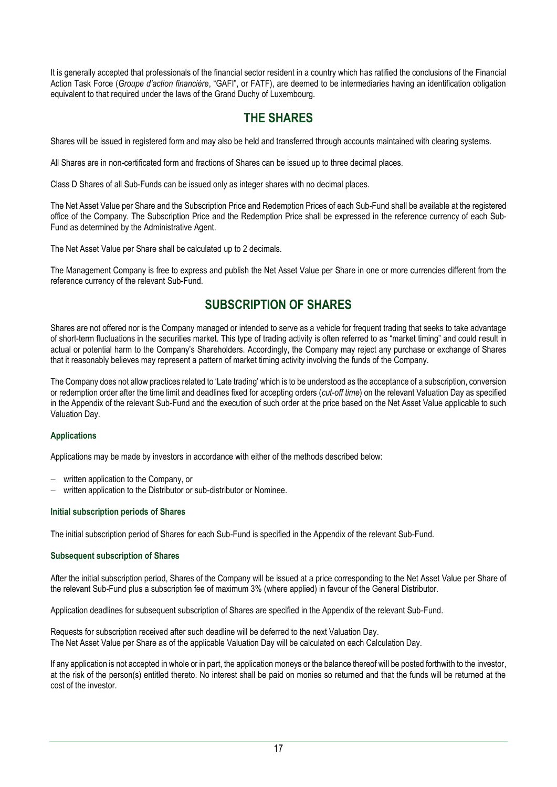It is generally accepted that professionals of the financial sector resident in a country which has ratified the conclusions of the Financial Action Task Force (*Groupe d'action financière*, "GAFI", or FATF), are deemed to be intermediaries having an identification obligation equivalent to that required under the laws of the Grand Duchy of Luxembourg.

# **THE SHARES**

<span id="page-16-0"></span>Shares will be issued in registered form and may also be held and transferred through accounts maintained with clearing systems.

All Shares are in non-certificated form and fractions of Shares can be issued up to three decimal places.

Class D Shares of all Sub-Funds can be issued only as integer shares with no decimal places.

The Net Asset Value per Share and the Subscription Price and Redemption Prices of each Sub-Fund shall be available at the registered office of the Company. The Subscription Price and the Redemption Price shall be expressed in the reference currency of each Sub-Fund as determined by the Administrative Agent.

The Net Asset Value per Share shall be calculated up to 2 decimals.

The Management Company is free to express and publish the Net Asset Value per Share in one or more currencies different from the reference currency of the relevant Sub-Fund.

# **SUBSCRIPTION OF SHARES**

<span id="page-16-1"></span>Shares are not offered nor is the Company managed or intended to serve as a vehicle for frequent trading that seeks to take advantage of short-term fluctuations in the securities market. This type of trading activity is often referred to as "market timing" and could result in actual or potential harm to the Company's Shareholders. Accordingly, the Company may reject any purchase or exchange of Shares that it reasonably believes may represent a pattern of market timing activity involving the funds of the Company.

The Company does not allow practices related to 'Late trading' which is to be understood as the acceptance of a subscription, conversion or redemption order after the time limit and deadlines fixed for accepting orders (*cut-off time*) on the relevant Valuation Day as specified in the Appendix of the relevant Sub-Fund and the execution of such order at the price based on the Net Asset Value applicable to such Valuation Day.

# **Applications**

Applications may be made by investors in accordance with either of the methods described below:

- − written application to the Company, or
- − written application to the Distributor or sub-distributor or Nominee.

# **Initial subscription periods of Shares**

The initial subscription period of Shares for each Sub-Fund is specified in the Appendix of the relevant Sub-Fund.

### **Subsequent subscription of Shares**

After the initial subscription period, Shares of the Company will be issued at a price corresponding to the Net Asset Value per Share of the relevant Sub-Fund plus a subscription fee of maximum 3% (where applied) in favour of the General Distributor.

Application deadlines for subsequent subscription of Shares are specified in the Appendix of the relevant Sub-Fund.

Requests for subscription received after such deadline will be deferred to the next Valuation Day. The Net Asset Value per Share as of the applicable Valuation Day will be calculated on each Calculation Day.

If any application is not accepted in whole or in part, the application moneys or the balance thereof will be posted forthwith to the investor, at the risk of the person(s) entitled thereto. No interest shall be paid on monies so returned and that the funds will be returned at the cost of the investor.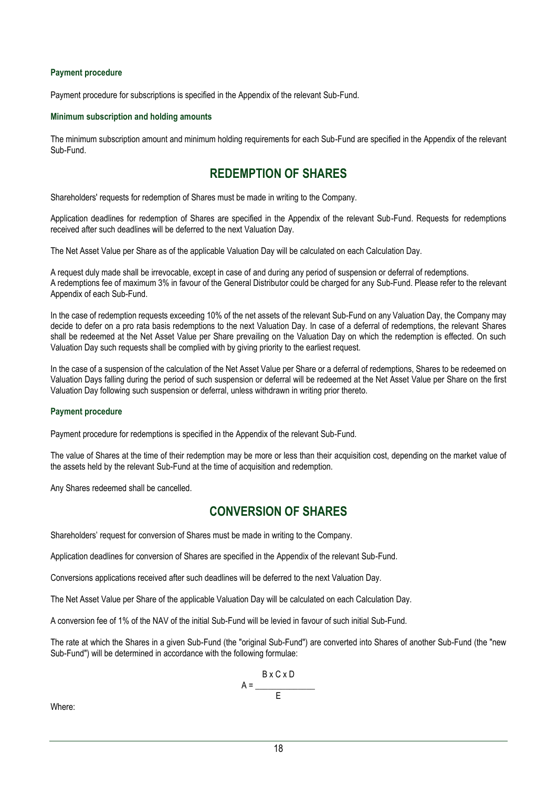## **Payment procedure**

Payment procedure for subscriptions is specified in the Appendix of the relevant Sub-Fund.

### **Minimum subscription and holding amounts**

The minimum subscription amount and minimum holding requirements for each Sub-Fund are specified in the Appendix of the relevant Sub-Fund.

# **REDEMPTION OF SHARES**

<span id="page-17-0"></span>Shareholders' requests for redemption of Shares must be made in writing to the Company.

Application deadlines for redemption of Shares are specified in the Appendix of the relevant Sub-Fund. Requests for redemptions received after such deadlines will be deferred to the next Valuation Day.

The Net Asset Value per Share as of the applicable Valuation Day will be calculated on each Calculation Day.

A request duly made shall be irrevocable, except in case of and during any period of suspension or deferral of redemptions. A redemptions fee of maximum 3% in favour of the General Distributor could be charged for any Sub-Fund. Please refer to the relevant Appendix of each Sub-Fund.

In the case of redemption requests exceeding 10% of the net assets of the relevant Sub-Fund on any Valuation Day, the Company may decide to defer on a pro rata basis redemptions to the next Valuation Day. In case of a deferral of redemptions, the relevant Shares shall be redeemed at the Net Asset Value per Share prevailing on the Valuation Day on which the redemption is effected. On such Valuation Day such requests shall be complied with by giving priority to the earliest request.

In the case of a suspension of the calculation of the Net Asset Value per Share or a deferral of redemptions, Shares to be redeemed on Valuation Days falling during the period of such suspension or deferral will be redeemed at the Net Asset Value per Share on the first Valuation Day following such suspension or deferral, unless withdrawn in writing prior thereto.

# **Payment procedure**

Payment procedure for redemptions is specified in the Appendix of the relevant Sub-Fund.

The value of Shares at the time of their redemption may be more or less than their acquisition cost, depending on the market value of the assets held by the relevant Sub-Fund at the time of acquisition and redemption.

<span id="page-17-1"></span>Any Shares redeemed shall be cancelled.

# **CONVERSION OF SHARES**

Shareholders' request for conversion of Shares must be made in writing to the Company.

Application deadlines for conversion of Shares are specified in the Appendix of the relevant Sub-Fund.

Conversions applications received after such deadlines will be deferred to the next Valuation Day.

The Net Asset Value per Share of the applicable Valuation Day will be calculated on each Calculation Day.

A conversion fee of 1% of the NAV of the initial Sub-Fund will be levied in favour of such initial Sub-Fund.

The rate at which the Shares in a given Sub-Fund (the "original Sub-Fund") are converted into Shares of another Sub-Fund (the "new Sub-Fund") will be determined in accordance with the following formulae:

$$
A = \frac{B \times C \times D}{E}
$$

Where: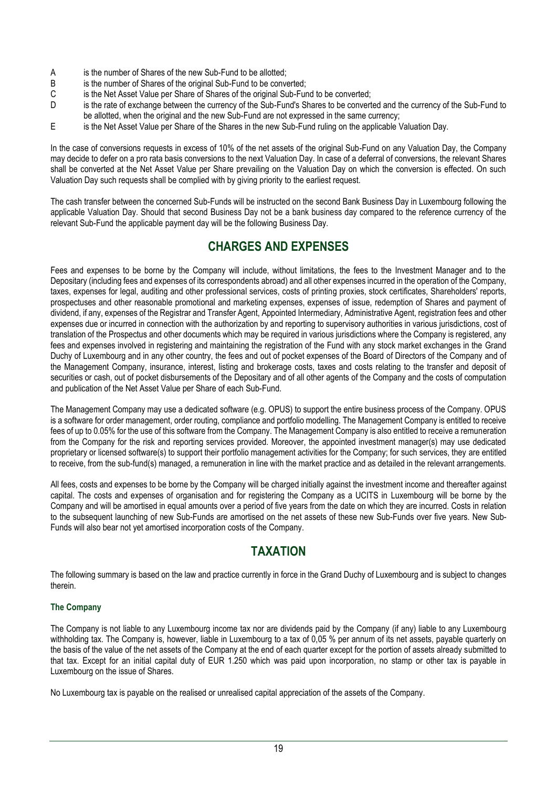- A is the number of Shares of the new Sub-Fund to be allotted;
- B is the number of Shares of the original Sub-Fund to be converted;
- C is the Net Asset Value per Share of Shares of the original Sub-Fund to be converted;
- D is the rate of exchange between the currency of the Sub-Fund's Shares to be converted and the currency of the Sub-Fund to be allotted, when the original and the new Sub-Fund are not expressed in the same currency;
- E is the Net Asset Value per Share of the Shares in the new Sub-Fund ruling on the applicable Valuation Day.

In the case of conversions requests in excess of 10% of the net assets of the original Sub-Fund on any Valuation Day, the Company may decide to defer on a pro rata basis conversions to the next Valuation Day. In case of a deferral of conversions, the relevant Shares shall be converted at the Net Asset Value per Share prevailing on the Valuation Day on which the conversion is effected. On such Valuation Day such requests shall be complied with by giving priority to the earliest request.

The cash transfer between the concerned Sub-Funds will be instructed on the second Bank Business Day in Luxembourg following the applicable Valuation Day. Should that second Business Day not be a bank business day compared to the reference currency of the relevant Sub-Fund the applicable payment day will be the following Business Day.

# **CHARGES AND EXPENSES**

<span id="page-18-0"></span>Fees and expenses to be borne by the Company will include, without limitations, the fees to the Investment Manager and to the Depositary (including fees and expenses of its correspondents abroad) and all other expenses incurred in the operation of the Company, taxes, expenses for legal, auditing and other professional services, costs of printing proxies, stock certificates, Shareholders' reports, prospectuses and other reasonable promotional and marketing expenses, expenses of issue, redemption of Shares and payment of dividend, if any, expenses of the Registrar and Transfer Agent, Appointed Intermediary, Administrative Agent, registration fees and other expenses due or incurred in connection with the authorization by and reporting to supervisory authorities in various jurisdictions, cost of translation of the Prospectus and other documents which may be required in various jurisdictions where the Company is registered, any fees and expenses involved in registering and maintaining the registration of the Fund with any stock market exchanges in the Grand Duchy of Luxembourg and in any other country, the fees and out of pocket expenses of the Board of Directors of the Company and of the Management Company, insurance, interest, listing and brokerage costs, taxes and costs relating to the transfer and deposit of securities or cash, out of pocket disbursements of the Depositary and of all other agents of the Company and the costs of computation and publication of the Net Asset Value per Share of each Sub-Fund.

The Management Company may use a dedicated software (e.g. OPUS) to support the entire business process of the Company. OPUS is a software for order management, order routing, compliance and portfolio modelling. The Management Company is entitled to receive fees of up to 0.05% for the use of this software from the Company. The Management Company is also entitled to receive a remuneration from the Company for the risk and reporting services provided. Moreover, the appointed investment manager(s) may use dedicated proprietary or licensed software(s) to support their portfolio management activities for the Company; for such services, they are entitled to receive, from the sub-fund(s) managed, a remuneration in line with the market practice and as detailed in the relevant arrangements.

All fees, costs and expenses to be borne by the Company will be charged initially against the investment income and thereafter against capital. The costs and expenses of organisation and for registering the Company as a UCITS in Luxembourg will be borne by the Company and will be amortised in equal amounts over a period of five years from the date on which they are incurred. Costs in relation to the subsequent launching of new Sub-Funds are amortised on the net assets of these new Sub-Funds over five years. New Sub-Funds will also bear not yet amortised incorporation costs of the Company.

# **TAXATION**

<span id="page-18-1"></span>The following summary is based on the law and practice currently in force in the Grand Duchy of Luxembourg and is subject to changes therein.

# **The Company**

The Company is not liable to any Luxembourg income tax nor are dividends paid by the Company (if any) liable to any Luxembourg withholding tax. The Company is, however, liable in Luxembourg to a tax of 0,05 % per annum of its net assets, payable quarterly on the basis of the value of the net assets of the Company at the end of each quarter except for the portion of assets already submitted to that tax. Except for an initial capital duty of EUR 1.250 which was paid upon incorporation, no stamp or other tax is payable in Luxembourg on the issue of Shares.

No Luxembourg tax is payable on the realised or unrealised capital appreciation of the assets of the Company.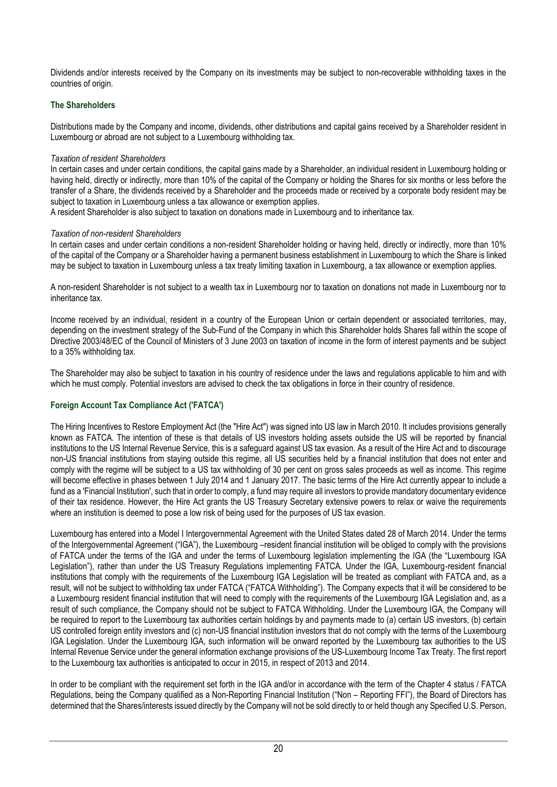Dividends and/or interests received by the Company on its investments may be subject to non-recoverable withholding taxes in the countries of origin.

# **The Shareholders**

Distributions made by the Company and income, dividends, other distributions and capital gains received by a Shareholder resident in Luxembourg or abroad are not subject to a Luxembourg withholding tax.

# *Taxation of resident Shareholders*

In certain cases and under certain conditions, the capital gains made by a Shareholder, an individual resident in Luxembourg holding or having held, directly or indirectly, more than 10% of the capital of the Company or holding the Shares for six months or less before the transfer of a Share, the dividends received by a Shareholder and the proceeds made or received by a corporate body resident may be subject to taxation in Luxembourg unless a tax allowance or exemption applies.

A resident Shareholder is also subject to taxation on donations made in Luxembourg and to inheritance tax.

# *Taxation of non-resident Shareholders*

In certain cases and under certain conditions a non-resident Shareholder holding or having held, directly or indirectly, more than 10% of the capital of the Company or a Shareholder having a permanent business establishment in Luxembourg to which the Share is linked may be subject to taxation in Luxembourg unless a tax treaty limiting taxation in Luxembourg, a tax allowance or exemption applies.

A non-resident Shareholder is not subject to a wealth tax in Luxembourg nor to taxation on donations not made in Luxembourg nor to inheritance tax.

Income received by an individual, resident in a country of the European Union or certain dependent or associated territories, may, depending on the investment strategy of the Sub-Fund of the Company in which this Shareholder holds Shares fall within the scope of Directive 2003/48/EC of the Council of Ministers of 3 June 2003 on taxation of income in the form of interest payments and be subject to a 35% withholding tax.

The Shareholder may also be subject to taxation in his country of residence under the laws and regulations applicable to him and with which he must comply. Potential investors are advised to check the tax obligations in force in their country of residence.

# **Foreign Account Tax Compliance Act ('FATCA')**

The Hiring Incentives to Restore Employment Act (the "Hire Act") was signed into US law in March 2010. It includes provisions generally known as FATCA. The intention of these is that details of US investors holding assets outside the US will be reported by financial institutions to the US Internal Revenue Service, this is a safeguard against US tax evasion. As a result of the Hire Act and to discourage non-US financial institutions from staying outside this regime, all US securities held by a financial institution that does not enter and comply with the regime will be subject to a US tax withholding of 30 per cent on gross sales proceeds as well as income. This regime will become effective in phases between 1 July 2014 and 1 January 2017. The basic terms of the Hire Act currently appear to include a fund as a 'Financial Institution', such that in order to comply, a fund may require all investors to provide mandatory documentary evidence of their tax residence. However, the Hire Act grants the US Treasury Secretary extensive powers to relax or waive the requirements where an institution is deemed to pose a low risk of being used for the purposes of US tax evasion.

Luxembourg has entered into a Model I Intergovernmental Agreement with the United States dated 28 of March 2014. Under the terms of the Intergovernmental Agreement ("IGA"), the Luxembourg –resident financial institution will be obliged to comply with the provisions of FATCA under the terms of the IGA and under the terms of Luxembourg legislation implementing the IGA (the "Luxembourg IGA Legislation"), rather than under the US Treasury Regulations implementing FATCA. Under the IGA, Luxembourg-resident financial institutions that comply with the requirements of the Luxembourg IGA Legislation will be treated as compliant with FATCA and, as a result, will not be subject to withholding tax under FATCA ("FATCA Withholding"). The Company expects that it will be considered to be a Luxembourg resident financial institution that will need to comply with the requirements of the Luxembourg IGA Legislation and, as a result of such compliance, the Company should not be subject to FATCA Withholding. Under the Luxembourg IGA, the Company will be required to report to the Luxembourg tax authorities certain holdings by and payments made to (a) certain US investors, (b) certain US controlled foreign entity investors and (c) non-US financial institution investors that do not comply with the terms of the Luxembourg IGA Legislation. Under the Luxembourg IGA, such information will be onward reported by the Luxembourg tax authorities to the US Internal Revenue Service under the general information exchange provisions of the US-Luxembourg Income Tax Treaty. The first report to the Luxembourg tax authorities is anticipated to occur in 2015, in respect of 2013 and 2014.

In order to be compliant with the requirement set forth in the IGA and/or in accordance with the term of the Chapter 4 status / FATCA Regulations, being the Company qualified as a Non-Reporting Financial Institution ("Non – Reporting FFI"), the Board of Directors has determined that the Shares/interests issued directly by the Company will not be sold directly to or held though any Specified U.S. Person,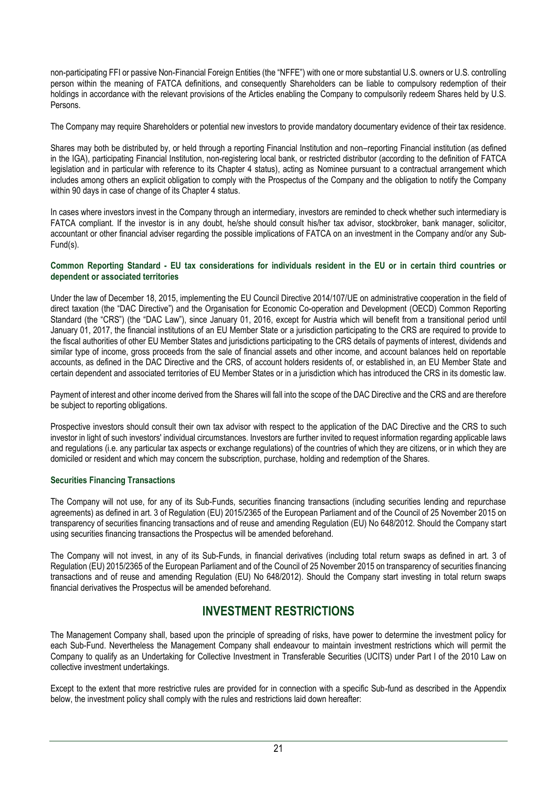non-participating FFI or passive Non-Financial Foreign Entities (the "NFFE") with one or more substantial U.S. owners or U.S. controlling person within the meaning of FATCA definitions, and consequently Shareholders can be liable to compulsory redemption of their holdings in accordance with the relevant provisions of the Articles enabling the Company to compulsorily redeem Shares held by U.S. Persons.

The Company may require Shareholders or potential new investors to provide mandatory documentary evidence of their tax residence.

Shares may both be distributed by, or held through a reporting Financial Institution and non–reporting Financial institution (as defined in the IGA), participating Financial Institution, non-registering local bank, or restricted distributor (according to the definition of FATCA legislation and in particular with reference to its Chapter 4 status), acting as Nominee pursuant to a contractual arrangement which includes among others an explicit obligation to comply with the Prospectus of the Company and the obligation to notify the Company within 90 days in case of change of its Chapter 4 status.

In cases where investors invest in the Company through an intermediary, investors are reminded to check whether such intermediary is FATCA compliant. If the investor is in any doubt, he/she should consult his/her tax advisor, stockbroker, bank manager, solicitor, accountant or other financial adviser regarding the possible implications of FATCA on an investment in the Company and/or any Sub-Fund(s).

## **Common Reporting Standard - EU tax considerations for individuals resident in the EU or in certain third countries or dependent or associated territories**

Under the law of December 18, 2015, implementing the EU Council Directive 2014/107/UE on administrative cooperation in the field of direct taxation (the "DAC Directive") and the Organisation for Economic Co-operation and Development (OECD) Common Reporting Standard (the "CRS") (the "DAC Law"), since January 01, 2016, except for Austria which will benefit from a transitional period until January 01, 2017, the financial institutions of an EU Member State or a jurisdiction participating to the CRS are required to provide to the fiscal authorities of other EU Member States and jurisdictions participating to the CRS details of payments of interest, dividends and similar type of income, gross proceeds from the sale of financial assets and other income, and account balances held on reportable accounts, as defined in the DAC Directive and the CRS, of account holders residents of, or established in, an EU Member State and certain dependent and associated territories of EU Member States or in a jurisdiction which has introduced the CRS in its domestic law.

Payment of interest and other income derived from the Shares will fall into the scope of the DAC Directive and the CRS and are therefore be subject to reporting obligations.

Prospective investors should consult their own tax advisor with respect to the application of the DAC Directive and the CRS to such investor in light of such investors' individual circumstances. Investors are further invited to request information regarding applicable laws and regulations (i.e. any particular tax aspects or exchange regulations) of the countries of which they are citizens, or in which they are domiciled or resident and which may concern the subscription, purchase, holding and redemption of the Shares.

# **Securities Financing Transactions**

The Company will not use, for any of its Sub-Funds, securities financing transactions (including securities lending and repurchase agreements) as defined in art. 3 of Regulation (EU) 2015/2365 of the European Parliament and of the Council of 25 November 2015 on transparency of securities financing transactions and of reuse and amending Regulation (EU) No 648/2012. Should the Company start using securities financing transactions the Prospectus will be amended beforehand.

The Company will not invest, in any of its Sub-Funds, in financial derivatives (including total return swaps as defined in art. 3 of Regulation (EU) 2015/2365 of the European Parliament and of the Council of 25 November 2015 on transparency of securities financing transactions and of reuse and amending Regulation (EU) No 648/2012). Should the Company start investing in total return swaps financial derivatives the Prospectus will be amended beforehand.

# **INVESTMENT RESTRICTIONS**

<span id="page-20-0"></span>The Management Company shall, based upon the principle of spreading of risks, have power to determine the investment policy for each Sub-Fund. Nevertheless the Management Company shall endeavour to maintain investment restrictions which will permit the Company to qualify as an Undertaking for Collective Investment in Transferable Securities (UCITS) under Part I of the 2010 Law on collective investment undertakings.

Except to the extent that more restrictive rules are provided for in connection with a specific Sub-fund as described in the Appendix below, the investment policy shall comply with the rules and restrictions laid down hereafter: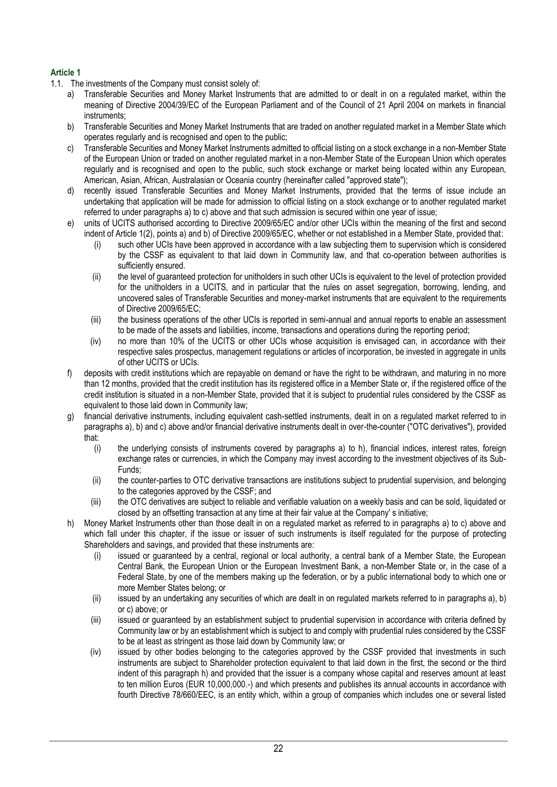# **Article 1**

- 1.1. The investments of the Company must consist solely of:
	- a) Transferable Securities and Money Market Instruments that are admitted to or dealt in on a regulated market, within the meaning of Directive 2004/39/EC of the European Parliament and of the Council of 21 April 2004 on markets in financial instruments;
	- b) Transferable Securities and Money Market Instruments that are traded on another regulated market in a Member State which operates regularly and is recognised and open to the public;
	- c) Transferable Securities and Money Market Instruments admitted to official listing on a stock exchange in a non-Member State of the European Union or traded on another regulated market in a non-Member State of the European Union which operates regularly and is recognised and open to the public, such stock exchange or market being located within any European, American, Asian, African, Australasian or Oceania country (hereinafter called "approved state");
	- d) recently issued Transferable Securities and Money Market Instruments, provided that the terms of issue include an undertaking that application will be made for admission to official listing on a stock exchange or to another regulated market referred to under paragraphs a) to c) above and that such admission is secured within one year of issue;
	- e) units of UCITS authorised according to Directive 2009/65/EC and/or other UCIs within the meaning of the first and second indent of Article 1(2), points a) and b) of Directive 2009/65/EC, whether or not established in a Member State, provided that:
		- (i) such other UCIs have been approved in accordance with a law subjecting them to supervision which is considered by the CSSF as equivalent to that laid down in Community law, and that co-operation between authorities is sufficiently ensured.
		- (ii) the level of guaranteed protection for unitholders in such other UCIs is equivalent to the level of protection provided for the unitholders in a UCITS, and in particular that the rules on asset segregation, borrowing, lending, and uncovered sales of Transferable Securities and money-market instruments that are equivalent to the requirements of Directive 2009/65/EC;
		- (iii) the business operations of the other UCIs is reported in semi-annual and annual reports to enable an assessment to be made of the assets and liabilities, income, transactions and operations during the reporting period;
		- (iv) no more than 10% of the UCITS or other UCIs whose acquisition is envisaged can, in accordance with their respective sales prospectus, management regulations or articles of incorporation, be invested in aggregate in units of other UCITS or UCIs.
	- f) deposits with credit institutions which are repayable on demand or have the right to be withdrawn, and maturing in no more than 12 months, provided that the credit institution has its registered office in a Member State or, if the registered office of the credit institution is situated in a non-Member State, provided that it is subject to prudential rules considered by the CSSF as equivalent to those laid down in Community law;
	- g) financial derivative instruments, including equivalent cash-settled instruments, dealt in on a regulated market referred to in paragraphs a), b) and c) above and/or financial derivative instruments dealt in over-the-counter ("OTC derivatives"), provided that:
		- (i) the underlying consists of instruments covered by paragraphs a) to h), financial indices, interest rates, foreign exchange rates or currencies, in which the Company may invest according to the investment objectives of its Sub-Funds;
		- (ii) the counter-parties to OTC derivative transactions are institutions subject to prudential supervision, and belonging to the categories approved by the CSSF; and
		- (iii) the OTC derivatives are subject to reliable and verifiable valuation on a weekly basis and can be sold, liquidated or closed by an offsetting transaction at any time at their fair value at the Company' s initiative;
	- h) Money Market Instruments other than those dealt in on a regulated market as referred to in paragraphs a) to c) above and which fall under this chapter, if the issue or issuer of such instruments is itself regulated for the purpose of protecting Shareholders and savings, and provided that these instruments are:
		- (i) issued or guaranteed by a central, regional or local authority, a central bank of a Member State, the European Central Bank, the European Union or the European Investment Bank, a non-Member State or, in the case of a Federal State, by one of the members making up the federation, or by a public international body to which one or more Member States belong; or
		- (ii) issued by an undertaking any securities of which are dealt in on regulated markets referred to in paragraphs a), b) or c) above; or
		- (iii) issued or guaranteed by an establishment subject to prudential supervision in accordance with criteria defined by Community law or by an establishment which is subject to and comply with prudential rules considered by the CSSF to be at least as stringent as those laid down by Community law; or
		- (iv) issued by other bodies belonging to the categories approved by the CSSF provided that investments in such instruments are subject to Shareholder protection equivalent to that laid down in the first, the second or the third indent of this paragraph h) and provided that the issuer is a company whose capital and reserves amount at least to ten million Euros (EUR 10,000,000.-) and which presents and publishes its annual accounts in accordance with fourth Directive 78/660/EEC, is an entity which, within a group of companies which includes one or several listed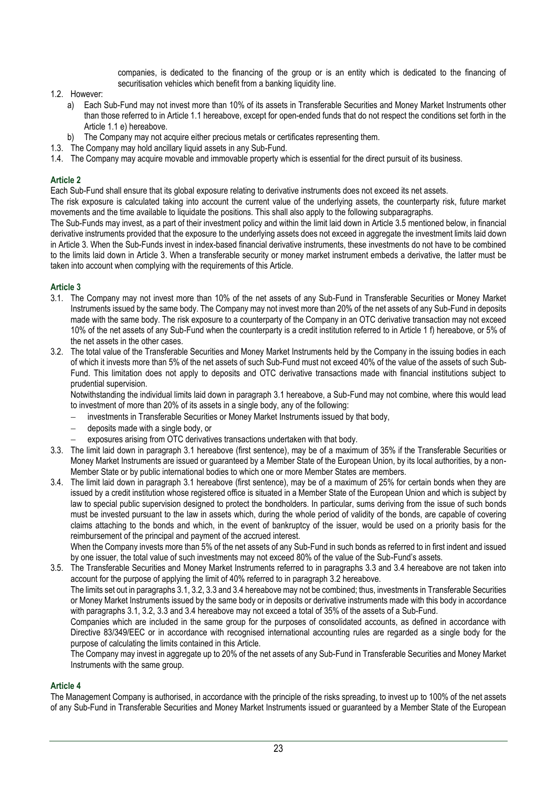companies, is dedicated to the financing of the group or is an entity which is dedicated to the financing of securitisation vehicles which benefit from a banking liquidity line.

- 1.2. However:
	- a) Each Sub-Fund may not invest more than 10% of its assets in Transferable Securities and Money Market Instruments other than those referred to in Article 1.1 hereabove, except for open-ended funds that do not respect the conditions set forth in the Article 1.1 e) hereabove.
	- b) The Company may not acquire either precious metals or certificates representing them.
- 1.3. The Company may hold ancillary liquid assets in any Sub-Fund.
- 1.4. The Company may acquire movable and immovable property which is essential for the direct pursuit of its business.

## **Article 2**

Each Sub-Fund shall ensure that its global exposure relating to derivative instruments does not exceed its net assets.

The risk exposure is calculated taking into account the current value of the underlying assets, the counterparty risk, future market movements and the time available to liquidate the positions. This shall also apply to the following subparagraphs.

The Sub-Funds may invest, as a part of their investment policy and within the limit laid down in Article 3.5 mentioned below, in financial derivative instruments provided that the exposure to the underlying assets does not exceed in aggregate the investment limits laid down in Article 3. When the Sub-Funds invest in index-based financial derivative instruments, these investments do not have to be combined to the limits laid down in Article 3. When a transferable security or money market instrument embeds a derivative, the latter must be taken into account when complying with the requirements of this Article.

# **Article 3**

- 3.1. The Company may not invest more than 10% of the net assets of any Sub-Fund in Transferable Securities or Money Market Instruments issued by the same body. The Company may not invest more than 20% of the net assets of any Sub-Fund in deposits made with the same body. The risk exposure to a counterparty of the Company in an OTC derivative transaction may not exceed 10% of the net assets of any Sub-Fund when the counterparty is a credit institution referred to in Article 1 f) hereabove, or 5% of the net assets in the other cases.
- 3.2. The total value of the Transferable Securities and Money Market Instruments held by the Company in the issuing bodies in each of which it invests more than 5% of the net assets of such Sub-Fund must not exceed 40% of the value of the assets of such Sub-Fund. This limitation does not apply to deposits and OTC derivative transactions made with financial institutions subject to prudential supervision.

Notwithstanding the individual limits laid down in paragraph 3.1 hereabove, a Sub-Fund may not combine, where this would lead to investment of more than 20% of its assets in a single body, any of the following:

- − investments in Transferable Securities or Money Market Instruments issued by that body,
- − deposits made with a single body, or
- exposures arising from OTC derivatives transactions undertaken with that body.
- 3.3. The limit laid down in paragraph 3.1 hereabove (first sentence), may be of a maximum of 35% if the Transferable Securities or Money Market Instruments are issued or guaranteed by a Member State of the European Union, by its local authorities, by a non-Member State or by public international bodies to which one or more Member States are members.
- 3.4. The limit laid down in paragraph 3.1 hereabove (first sentence), may be of a maximum of 25% for certain bonds when they are issued by a credit institution whose registered office is situated in a Member State of the European Union and which is subject by law to special public supervision designed to protect the bondholders. In particular, sums deriving from the issue of such bonds must be invested pursuant to the law in assets which, during the whole period of validity of the bonds, are capable of covering claims attaching to the bonds and which, in the event of bankruptcy of the issuer, would be used on a priority basis for the reimbursement of the principal and payment of the accrued interest.

When the Company invests more than 5% of the net assets of any Sub-Fund in such bonds as referred to in first indent and issued by one issuer, the total value of such investments may not exceed 80% of the value of the Sub-Fund's assets.

3.5. The Transferable Securities and Money Market Instruments referred to in paragraphs 3.3 and 3.4 hereabove are not taken into account for the purpose of applying the limit of 40% referred to in paragraph 3.2 hereabove.

The limits set out in paragraphs 3.1, 3.2, 3.3 and 3.4 hereabove may not be combined; thus, investments in Transferable Securities or Money Market Instruments issued by the same body or in deposits or derivative instruments made with this body in accordance with paragraphs 3.1, 3.2, 3.3 and 3.4 hereabove may not exceed a total of 35% of the assets of a Sub-Fund.

Companies which are included in the same group for the purposes of consolidated accounts, as defined in accordance with Directive 83/349/EEC or in accordance with recognised international accounting rules are regarded as a single body for the purpose of calculating the limits contained in this Article.

The Company may invest in aggregate up to 20% of the net assets of any Sub-Fund in Transferable Securities and Money Market Instruments with the same group.

### **Article 4**

The Management Company is authorised, in accordance with the principle of the risks spreading, to invest up to 100% of the net assets of any Sub-Fund in Transferable Securities and Money Market Instruments issued or guaranteed by a Member State of the European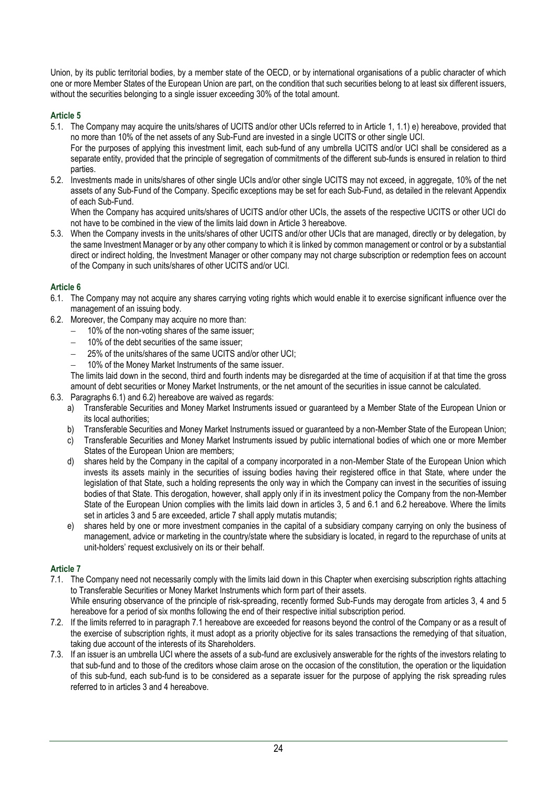Union, by its public territorial bodies, by a member state of the OECD, or by international organisations of a public character of which one or more Member States of the European Union are part, on the condition that such securities belong to at least six different issuers, without the securities belonging to a single issuer exceeding 30% of the total amount.

# **Article 5**

5.1. The Company may acquire the units/shares of UCITS and/or other UCIs referred to in Article 1, 1.1) e) hereabove, provided that no more than 10% of the net assets of any Sub-Fund are invested in a single UCITS or other single UCI.

For the purposes of applying this investment limit, each sub-fund of any umbrella UCITS and/or UCI shall be considered as a separate entity, provided that the principle of segregation of commitments of the different sub-funds is ensured in relation to third parties.

5.2. Investments made in units/shares of other single UCIs and/or other single UCITS may not exceed, in aggregate, 10% of the net assets of any Sub-Fund of the Company. Specific exceptions may be set for each Sub-Fund, as detailed in the relevant Appendix of each Sub-Fund.

When the Company has acquired units/shares of UCITS and/or other UCIs, the assets of the respective UCITS or other UCI do not have to be combined in the view of the limits laid down in Article 3 hereabove.

5.3. When the Company invests in the units/shares of other UCITS and/or other UCIs that are managed, directly or by delegation, by the same Investment Manager or by any other company to which it is linked by common management or control or by a substantial direct or indirect holding, the Investment Manager or other company may not charge subscription or redemption fees on account of the Company in such units/shares of other UCITS and/or UCI.

# **Article 6**

- 6.1. The Company may not acquire any shares carrying voting rights which would enable it to exercise significant influence over the management of an issuing body.
- 6.2. Moreover, the Company may acquire no more than:
	- − 10% of the non-voting shares of the same issuer;
	- − 10% of the debt securities of the same issuer;
	- − 25% of the units/shares of the same UCITS and/or other UCI;
	- − 10% of the Money Market Instruments of the same issuer.

The limits laid down in the second, third and fourth indents may be disregarded at the time of acquisition if at that time the gross amount of debt securities or Money Market Instruments, or the net amount of the securities in issue cannot be calculated.

- 6.3. Paragraphs 6.1) and 6.2) hereabove are waived as regards:
	- a) Transferable Securities and Money Market Instruments issued or guaranteed by a Member State of the European Union or its local authorities;
	- b) Transferable Securities and Money Market Instruments issued or guaranteed by a non-Member State of the European Union;
	- c) Transferable Securities and Money Market Instruments issued by public international bodies of which one or more Member States of the European Union are members;
	- d) shares held by the Company in the capital of a company incorporated in a non-Member State of the European Union which invests its assets mainly in the securities of issuing bodies having their registered office in that State, where under the legislation of that State, such a holding represents the only way in which the Company can invest in the securities of issuing bodies of that State. This derogation, however, shall apply only if in its investment policy the Company from the non-Member State of the European Union complies with the limits laid down in articles 3, 5 and 6.1 and 6.2 hereabove. Where the limits set in articles 3 and 5 are exceeded, article 7 shall apply mutatis mutandis;
	- e) shares held by one or more investment companies in the capital of a subsidiary company carrying on only the business of management, advice or marketing in the country/state where the subsidiary is located, in regard to the repurchase of units at unit-holders' request exclusively on its or their behalf.

# **Article 7**

7.1. The Company need not necessarily comply with the limits laid down in this Chapter when exercising subscription rights attaching to Transferable Securities or Money Market Instruments which form part of their assets.

While ensuring observance of the principle of risk-spreading, recently formed Sub-Funds may derogate from articles 3, 4 and 5 hereabove for a period of six months following the end of their respective initial subscription period.

- 7.2. If the limits referred to in paragraph 7.1 hereabove are exceeded for reasons beyond the control of the Company or as a result of the exercise of subscription rights, it must adopt as a priority objective for its sales transactions the remedying of that situation, taking due account of the interests of its Shareholders.
- 7.3. If an issuer is an umbrella UCI where the assets of a sub-fund are exclusively answerable for the rights of the investors relating to that sub-fund and to those of the creditors whose claim arose on the occasion of the constitution, the operation or the liquidation of this sub-fund, each sub-fund is to be considered as a separate issuer for the purpose of applying the risk spreading rules referred to in articles 3 and 4 hereabove.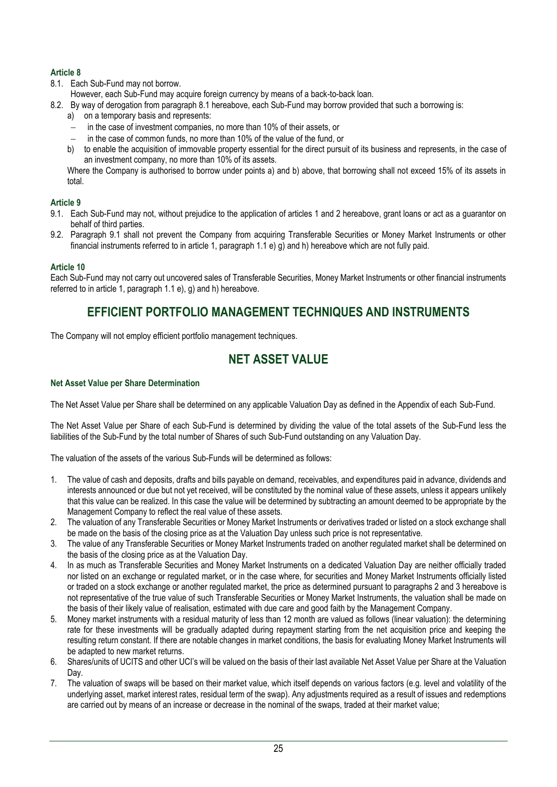# **Article 8**

8.1. Each Sub-Fund may not borrow.

However, each Sub-Fund may acquire foreign currency by means of a back-to-back loan.

- 8.2. By way of derogation from paragraph 8.1 hereabove, each Sub-Fund may borrow provided that such a borrowing is:
	- a) on a temporary basis and represents:
	- − in the case of investment companies, no more than 10% of their assets, or
	- − in the case of common funds, no more than 10% of the value of the fund, or
	- b) to enable the acquisition of immovable property essential for the direct pursuit of its business and represents, in the case of an investment company, no more than 10% of its assets.

Where the Company is authorised to borrow under points a) and b) above, that borrowing shall not exceed 15% of its assets in total.

# **Article 9**

- 9.1. Each Sub-Fund may not, without prejudice to the application of articles 1 and 2 hereabove, grant loans or act as a guarantor on behalf of third parties.
- 9.2. Paragraph 9.1 shall not prevent the Company from acquiring Transferable Securities or Money Market Instruments or other financial instruments referred to in article 1, paragraph 1.1 e) g) and h) hereabove which are not fully paid.

# **Article 10**

Each Sub-Fund may not carry out uncovered sales of Transferable Securities, Money Market Instruments or other financial instruments referred to in article 1, paragraph 1.1 e), g) and h) hereabove.

# **EFFICIENT PORTFOLIO MANAGEMENT TECHNIQUES AND INSTRUMENTS**

<span id="page-24-1"></span><span id="page-24-0"></span>The Company will not employ efficient portfolio management techniques.

# **NET ASSET VALUE**

# **Net Asset Value per Share Determination**

The Net Asset Value per Share shall be determined on any applicable Valuation Day as defined in the Appendix of each Sub-Fund.

The Net Asset Value per Share of each Sub-Fund is determined by dividing the value of the total assets of the Sub-Fund less the liabilities of the Sub-Fund by the total number of Shares of such Sub-Fund outstanding on any Valuation Day.

The valuation of the assets of the various Sub-Funds will be determined as follows:

- 1. The value of cash and deposits, drafts and bills payable on demand, receivables, and expenditures paid in advance, dividends and interests announced or due but not yet received, will be constituted by the nominal value of these assets, unless it appears unlikely that this value can be realized. In this case the value will be determined by subtracting an amount deemed to be appropriate by the Management Company to reflect the real value of these assets.
- 2. The valuation of any Transferable Securities or Money Market Instruments or derivatives traded or listed on a stock exchange shall be made on the basis of the closing price as at the Valuation Day unless such price is not representative.
- 3. The value of any Transferable Securities or Money Market Instruments traded on another regulated market shall be determined on the basis of the closing price as at the Valuation Day.
- 4. In as much as Transferable Securities and Money Market Instruments on a dedicated Valuation Day are neither officially traded nor listed on an exchange or regulated market, or in the case where, for securities and Money Market Instruments officially listed or traded on a stock exchange or another regulated market, the price as determined pursuant to paragraphs 2 and 3 hereabove is not representative of the true value of such Transferable Securities or Money Market Instruments, the valuation shall be made on the basis of their likely value of realisation, estimated with due care and good faith by the Management Company.
- 5. Money market instruments with a residual maturity of less than 12 month are valued as follows (linear valuation): the determining rate for these investments will be gradually adapted during repayment starting from the net acquisition price and keeping the resulting return constant. If there are notable changes in market conditions, the basis for evaluating Money Market Instruments will be adapted to new market returns.
- 6. Shares/units of UCITS and other UCI's will be valued on the basis of their last available Net Asset Value per Share at the Valuation Day.
- 7. The valuation of swaps will be based on their market value, which itself depends on various factors (e.g. level and volatility of the underlying asset, market interest rates, residual term of the swap). Any adjustments required as a result of issues and redemptions are carried out by means of an increase or decrease in the nominal of the swaps, traded at their market value;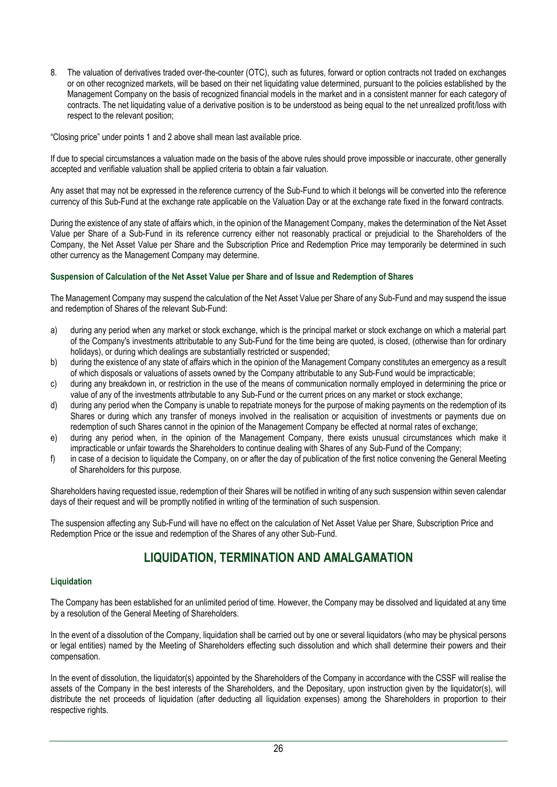8. The valuation of derivatives traded over-the-counter (OTC), such as futures, forward or option contracts not traded on exchanges or on other recognized markets, will be based on their net liquidating value determined, pursuant to the policies established by the Management Company on the basis of recognized financial models in the market and in a consistent manner for each category of contracts. The net liquidating value of a derivative position is to be understood as being equal to the net unrealized profit/loss with respect to the relevant position;

"Closing price" under points 1 and 2 above shall mean last available price.

If due to special circumstances a valuation made on the basis of the above rules should prove impossible or inaccurate, other generally accepted and verifiable valuation shall be applied criteria to obtain a fair valuation.

Any asset that may not be expressed in the reference currency of the Sub-Fund to which it belongs will be converted into the reference currency of this Sub-Fund at the exchange rate applicable on the Valuation Day or at the exchange rate fixed in the forward contracts.

During the existence of any state of affairs which, in the opinion of the Management Company, makes the determination of the Net Asset Value per Share of a Sub-Fund in its reference currency either not reasonably practical or prejudicial to the Shareholders of the Company, the Net Asset Value per Share and the Subscription Price and Redemption Price may temporarily be determined in such other currency as the Management Company may determine.

## **Suspension of Calculation of the Net Asset Value per Share and of Issue and Redemption of Shares**

The Management Company may suspend the calculation of the Net Asset Value per Share of any Sub-Fund and may suspend the issue and redemption of Shares of the relevant Sub-Fund:

- a) during any period when any market or stock exchange, which is the principal market or stock exchange on which a material part of the Company's investments attributable to any Sub-Fund for the time being are quoted, is closed, (otherwise than for ordinary holidays), or during which dealings are substantially restricted or suspended;
- b) during the existence of any state of affairs which in the opinion of the Management Company constitutes an emergency as a result of which disposals or valuations of assets owned by the Company attributable to any Sub-Fund would be impracticable;
- c) during any breakdown in, or restriction in the use of the means of communication normally employed in determining the price or value of any of the investments attributable to any Sub-Fund or the current prices on any market or stock exchange;
- d) during any period when the Company is unable to repatriate moneys for the purpose of making payments on the redemption of its Shares or during which any transfer of moneys involved in the realisation or acquisition of investments or payments due on redemption of such Shares cannot in the opinion of the Management Company be effected at normal rates of exchange;
- e) during any period when, in the opinion of the Management Company, there exists unusual circumstances which make it impracticable or unfair towards the Shareholders to continue dealing with Shares of any Sub-Fund of the Company;
- f) in case of a decision to liquidate the Company, on or after the day of publication of the first notice convening the General Meeting of Shareholders for this purpose.

Shareholders having requested issue, redemption of their Shares will be notified in writing of any such suspension within seven calendar days of their request and will be promptly notified in writing of the termination of such suspension.

The suspension affecting any Sub-Fund will have no effect on the calculation of Net Asset Value per Share, Subscription Price and Redemption Price or the issue and redemption of the Shares of any other Sub-Fund.

# **LIQUIDATION, TERMINATION AND AMALGAMATION**

# <span id="page-25-0"></span>**Liquidation**

The Company has been established for an unlimited period of time. However, the Company may be dissolved and liquidated at any time by a resolution of the General Meeting of Shareholders.

In the event of a dissolution of the Company, liquidation shall be carried out by one or several liquidators (who may be physical persons or legal entities) named by the Meeting of Shareholders effecting such dissolution and which shall determine their powers and their compensation.

In the event of dissolution, the liquidator(s) appointed by the Shareholders of the Company in accordance with the CSSF will realise the assets of the Company in the best interests of the Shareholders, and the Depositary, upon instruction given by the liquidator(s), will distribute the net proceeds of liquidation (after deducting all liquidation expenses) among the Shareholders in proportion to their respective rights.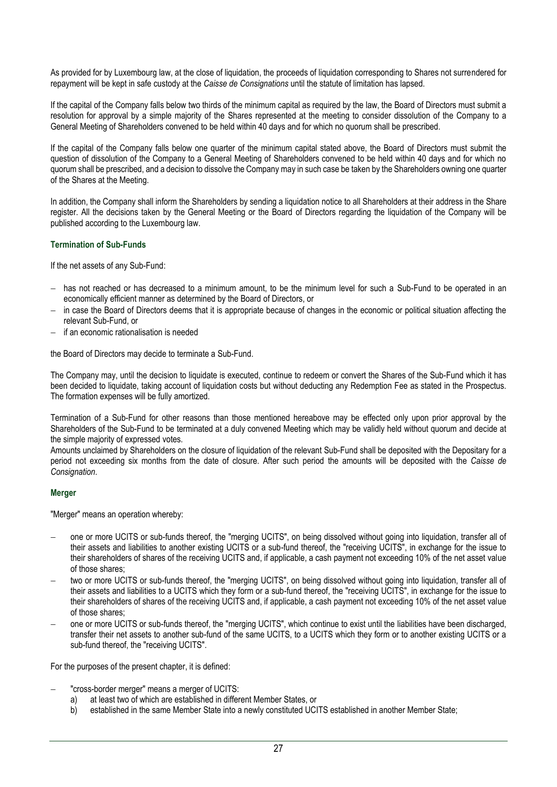As provided for by Luxembourg law, at the close of liquidation, the proceeds of liquidation corresponding to Shares not surrendered for repayment will be kept in safe custody at the *Caisse de Consignations* until the statute of limitation has lapsed.

If the capital of the Company falls below two thirds of the minimum capital as required by the law, the Board of Directors must submit a resolution for approval by a simple majority of the Shares represented at the meeting to consider dissolution of the Company to a General Meeting of Shareholders convened to be held within 40 days and for which no quorum shall be prescribed.

If the capital of the Company falls below one quarter of the minimum capital stated above, the Board of Directors must submit the question of dissolution of the Company to a General Meeting of Shareholders convened to be held within 40 days and for which no quorum shall be prescribed, and a decision to dissolve the Company may in such case be taken by the Shareholders owning one quarter of the Shares at the Meeting.

In addition, the Company shall inform the Shareholders by sending a liquidation notice to all Shareholders at their address in the Share register. All the decisions taken by the General Meeting or the Board of Directors regarding the liquidation of the Company will be published according to the Luxembourg law.

# **Termination of Sub-Funds**

If the net assets of any Sub-Fund:

- − has not reached or has decreased to a minimum amount, to be the minimum level for such a Sub-Fund to be operated in an economically efficient manner as determined by the Board of Directors, or
- − in case the Board of Directors deems that it is appropriate because of changes in the economic or political situation affecting the relevant Sub-Fund, or
- − if an economic rationalisation is needed

the Board of Directors may decide to terminate a Sub-Fund.

The Company may, until the decision to liquidate is executed, continue to redeem or convert the Shares of the Sub-Fund which it has been decided to liquidate, taking account of liquidation costs but without deducting any Redemption Fee as stated in the Prospectus. The formation expenses will be fully amortized.

Termination of a Sub-Fund for other reasons than those mentioned hereabove may be effected only upon prior approval by the Shareholders of the Sub-Fund to be terminated at a duly convened Meeting which may be validly held without quorum and decide at the simple majority of expressed votes.

Amounts unclaimed by Shareholders on the closure of liquidation of the relevant Sub-Fund shall be deposited with the Depositary for a period not exceeding six months from the date of closure. After such period the amounts will be deposited with the *Caisse de Consignation*.

# **Merger**

"Merger" means an operation whereby:

- one or more UCITS or sub-funds thereof, the "merging UCITS", on being dissolved without going into liquidation, transfer all of their assets and liabilities to another existing UCITS or a sub-fund thereof, the "receiving UCITS", in exchange for the issue to their shareholders of shares of the receiving UCITS and, if applicable, a cash payment not exceeding 10% of the net asset value of those shares;
- two or more UCITS or sub-funds thereof, the "merging UCITS", on being dissolved without going into liquidation, transfer all of their assets and liabilities to a UCITS which they form or a sub-fund thereof, the "receiving UCITS", in exchange for the issue to their shareholders of shares of the receiving UCITS and, if applicable, a cash payment not exceeding 10% of the net asset value of those shares;
- − one or more UCITS or sub-funds thereof, the "merging UCITS", which continue to exist until the liabilities have been discharged, transfer their net assets to another sub-fund of the same UCITS, to a UCITS which they form or to another existing UCITS or a sub-fund thereof, the "receiving UCITS".

For the purposes of the present chapter, it is defined:

- "cross-border merger" means a merger of UCITS:
	- a) at least two of which are established in different Member States, or
	- b) established in the same Member State into a newly constituted UCITS established in another Member State;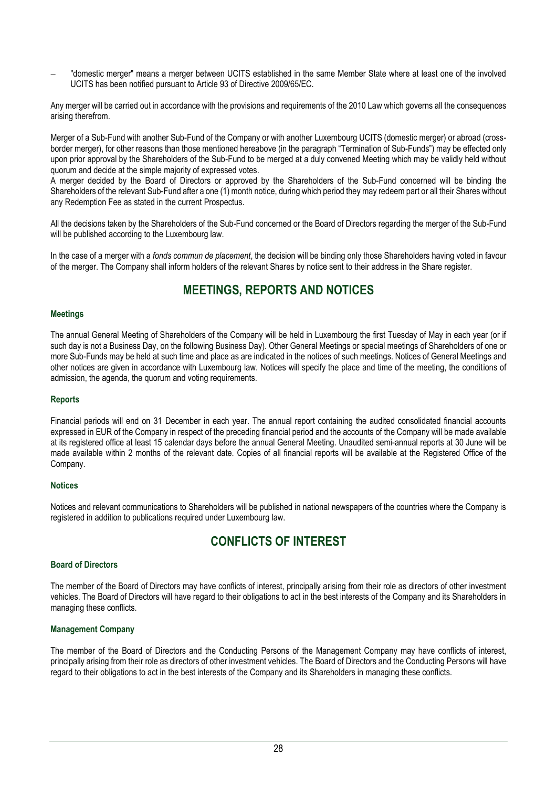− "domestic merger" means a merger between UCITS established in the same Member State where at least one of the involved UCITS has been notified pursuant to Article 93 of Directive 2009/65/EC.

Any merger will be carried out in accordance with the provisions and requirements of the 2010 Law which governs all the consequences arising therefrom.

Merger of a Sub-Fund with another Sub-Fund of the Company or with another Luxembourg UCITS (domestic merger) or abroad (crossborder merger), for other reasons than those mentioned hereabove (in the paragraph "Termination of Sub-Funds") may be effected only upon prior approval by the Shareholders of the Sub-Fund to be merged at a duly convened Meeting which may be validly held without quorum and decide at the simple majority of expressed votes.

A merger decided by the Board of Directors or approved by the Shareholders of the Sub-Fund concerned will be binding the Shareholders of the relevant Sub-Fund after a one (1) month notice, during which period they may redeem part or all their Shares without any Redemption Fee as stated in the current Prospectus.

All the decisions taken by the Shareholders of the Sub-Fund concerned or the Board of Directors regarding the merger of the Sub-Fund will be published according to the Luxembourg law.

In the case of a merger with a *fonds commun de placement*, the decision will be binding only those Shareholders having voted in favour of the merger. The Company shall inform holders of the relevant Shares by notice sent to their address in the Share register.

# **MEETINGS, REPORTS AND NOTICES**

## <span id="page-27-0"></span>**Meetings**

The annual General Meeting of Shareholders of the Company will be held in Luxembourg the first Tuesday of May in each year (or if such day is not a Business Day, on the following Business Day). Other General Meetings or special meetings of Shareholders of one or more Sub-Funds may be held at such time and place as are indicated in the notices of such meetings. Notices of General Meetings and other notices are given in accordance with Luxembourg law. Notices will specify the place and time of the meeting, the conditions of admission, the agenda, the quorum and voting requirements.

# **Reports**

Financial periods will end on 31 December in each year. The annual report containing the audited consolidated financial accounts expressed in EUR of the Company in respect of the preceding financial period and the accounts of the Company will be made available at its registered office at least 15 calendar days before the annual General Meeting. Unaudited semi-annual reports at 30 June will be made available within 2 months of the relevant date. Copies of all financial reports will be available at the Registered Office of the Company.

### **Notices**

Notices and relevant communications to Shareholders will be published in national newspapers of the countries where the Company is registered in addition to publications required under Luxembourg law.

# **CONFLICTS OF INTEREST**

### <span id="page-27-1"></span>**Board of Directors**

The member of the Board of Directors may have conflicts of interest, principally arising from their role as directors of other investment vehicles. The Board of Directors will have regard to their obligations to act in the best interests of the Company and its Shareholders in managing these conflicts.

### **Management Company**

The member of the Board of Directors and the Conducting Persons of the Management Company may have conflicts of interest, principally arising from their role as directors of other investment vehicles. The Board of Directors and the Conducting Persons will have regard to their obligations to act in the best interests of the Company and its Shareholders in managing these conflicts.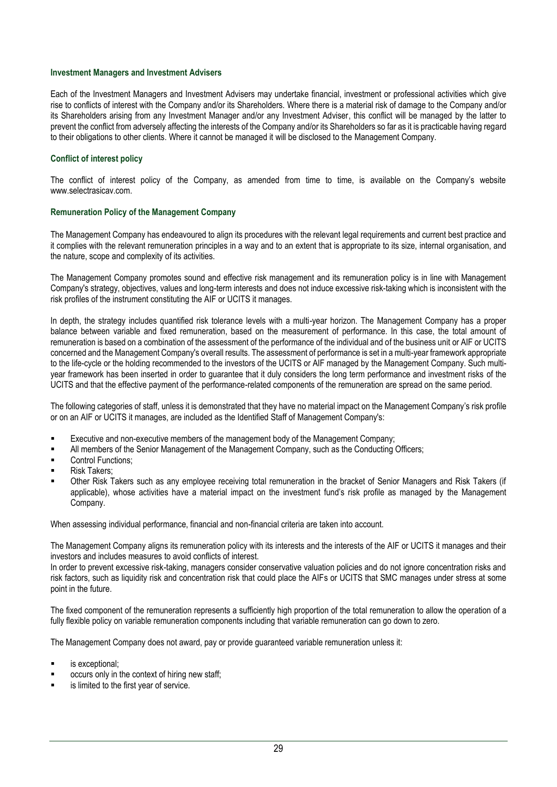#### **Investment Managers and Investment Advisers**

Each of the Investment Managers and Investment Advisers may undertake financial, investment or professional activities which give rise to conflicts of interest with the Company and/or its Shareholders. Where there is a material risk of damage to the Company and/or its Shareholders arising from any Investment Manager and/or any Investment Adviser, this conflict will be managed by the latter to prevent the conflict from adversely affecting the interests of the Company and/or its Shareholders so far as it is practicable having regard to their obligations to other clients. Where it cannot be managed it will be disclosed to the Management Company.

### **Conflict of interest policy**

The conflict of interest policy of the Company, as amended from time to time, is available on the Company's website [www.selectrasicav.com.](http://www.selectrasicav.com/)

### **Remuneration Policy of the Management Company**

The Management Company has endeavoured to align its procedures with the relevant legal requirements and current best practice and it complies with the relevant remuneration principles in a way and to an extent that is appropriate to its size, internal organisation, and the nature, scope and complexity of its activities.

The Management Company promotes sound and effective risk management and its remuneration policy is in line with Management Company's strategy, objectives, values and long-term interests and does not induce excessive risk-taking which is inconsistent with the risk profiles of the instrument constituting the AIF or UCITS it manages.

In depth, the strategy includes quantified risk tolerance levels with a multi-year horizon. The Management Company has a proper balance between variable and fixed remuneration, based on the measurement of performance. In this case, the total amount of remuneration is based on a combination of the assessment of the performance of the individual and of the business unit or AIF or UCITS concerned and the Management Company's overall results. The assessment of performance is set in a multi-year framework appropriate to the life-cycle or the holding recommended to the investors of the UCITS or AIF managed by the Management Company. Such multiyear framework has been inserted in order to guarantee that it duly considers the long term performance and investment risks of the UCITS and that the effective payment of the performance-related components of the remuneration are spread on the same period.

The following categories of staff, unless it is demonstrated that they have no material impact on the Management Company's risk profile or on an AIF or UCITS it manages, are included as the Identified Staff of Management Company's:

- Executive and non-executive members of the management body of the Management Company;
- All members of the Senior Management of the Management Company, such as the Conducting Officers;
- Control Functions:
- Risk Takers;
- Other Risk Takers such as any employee receiving total remuneration in the bracket of Senior Managers and Risk Takers (if applicable), whose activities have a material impact on the investment fund's risk profile as managed by the Management Company.

When assessing individual performance, financial and non-financial criteria are taken into account.

The Management Company aligns its remuneration policy with its interests and the interests of the AIF or UCITS it manages and their investors and includes measures to avoid conflicts of interest.

In order to prevent excessive risk-taking, managers consider conservative valuation policies and do not ignore concentration risks and risk factors, such as liquidity risk and concentration risk that could place the AIFs or UCITS that SMC manages under stress at some point in the future.

The fixed component of the remuneration represents a sufficiently high proportion of the total remuneration to allow the operation of a fully flexible policy on variable remuneration components including that variable remuneration can go down to zero.

The Management Company does not award, pay or provide guaranteed variable remuneration unless it:

- is exceptional:
- occurs only in the context of hiring new staff;
- is limited to the first year of service.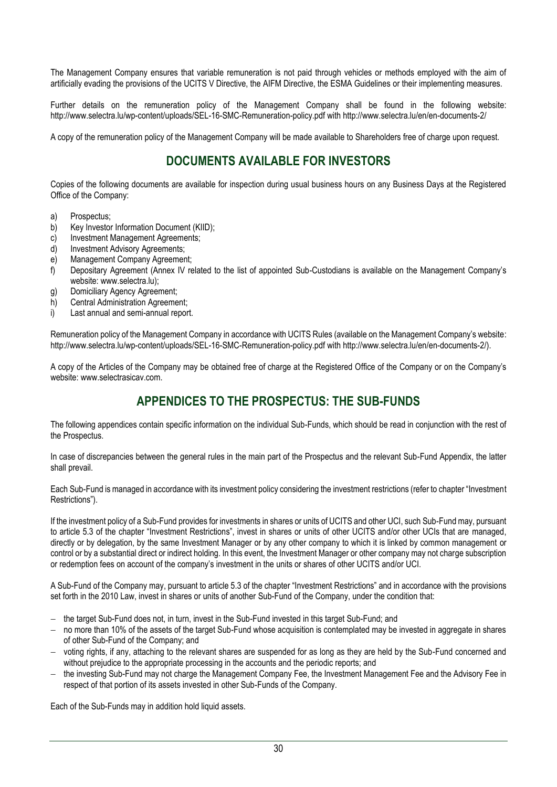The Management Company ensures that variable remuneration is not paid through vehicles or methods employed with the aim of artificially evading the provisions of the UCITS V Directive, the AIFM Directive, the ESMA Guidelines or their implementing measures.

Further details on the remuneration policy of the Management Company shall be found in the following website: <http://www.selectra.lu/wp-content/uploads/SEL-16-SMC-Remuneration-policy.pdf> wit[h http://www.selectra.lu/en/en-documents-2/](http://www.selectra.lu/en/en-documents-2/)

<span id="page-29-0"></span>A copy of the remuneration policy of the Management Company will be made available to Shareholders free of charge upon request.

# **DOCUMENTS AVAILABLE FOR INVESTORS**

Copies of the following documents are available for inspection during usual business hours on any Business Days at the Registered Office of the Company:

- a) Prospectus;
- b) Key Investor Information Document (KIID);
- c) Investment Management Agreements;
- d) Investment Advisory Agreements;
- e) Management Company Agreement;
- f) Depositary Agreement (Annex IV related to the list of appointed Sub-Custodians is available on the Management Company's website: [www.selectra.lu\)](http://www.selectra.lu/);
- g) Domiciliary Agency Agreement;
- h) Central Administration Agreement;
- i) Last annual and semi-annual report.

Remuneration policy of the Management Company in accordance with UCITS Rules (available on the Management Company's website: <http://www.selectra.lu/wp-content/uploads/SEL-16-SMC-Remuneration-policy.pdf> wit[h http://www.selectra.lu/en/en-documents-2/\)](http://www.selectra.lu/en/en-documents-2/).

A copy of the Articles of the Company may be obtained free of charge at the Registered Office of the Company or on the Company's website: [www.selectrasicav.com.](http://www.selectrasicav.com/)

# **APPENDICES TO THE PROSPECTUS: THE SUB-FUNDS**

<span id="page-29-1"></span>The following appendices contain specific information on the individual Sub-Funds, which should be read in conjunction with the rest of the Prospectus.

In case of discrepancies between the general rules in the main part of the Prospectus and the relevant Sub-Fund Appendix, the latter shall prevail.

Each Sub-Fund is managed in accordance with its investment policy considering the investment restrictions (refer to chapter "Investment Restrictions").

If the investment policy of a Sub-Fund provides for investments in shares or units of UCITS and other UCI, such Sub-Fund may, pursuant to article 5.3 of the chapter "Investment Restrictions", invest in shares or units of other UCITS and/or other UCIs that are managed, directly or by delegation, by the same Investment Manager or by any other company to which it is linked by common management or control or by a substantial direct or indirect holding. In this event, the Investment Manager or other company may not charge subscription or redemption fees on account of the company's investment in the units or shares of other UCITS and/or UCI.

A Sub-Fund of the Company may, pursuant to article 5.3 of the chapter "Investment Restrictions" and in accordance with the provisions set forth in the 2010 Law, invest in shares or units of another Sub-Fund of the Company, under the condition that:

- − the target Sub-Fund does not, in turn, invest in the Sub-Fund invested in this target Sub-Fund; and
- − no more than 10% of the assets of the target Sub-Fund whose acquisition is contemplated may be invested in aggregate in shares of other Sub-Fund of the Company; and
- − voting rights, if any, attaching to the relevant shares are suspended for as long as they are held by the Sub-Fund concerned and without prejudice to the appropriate processing in the accounts and the periodic reports; and
- − the investing Sub-Fund may not charge the Management Company Fee, the Investment Management Fee and the Advisory Fee in respect of that portion of its assets invested in other Sub-Funds of the Company.

Each of the Sub-Funds may in addition hold liquid assets.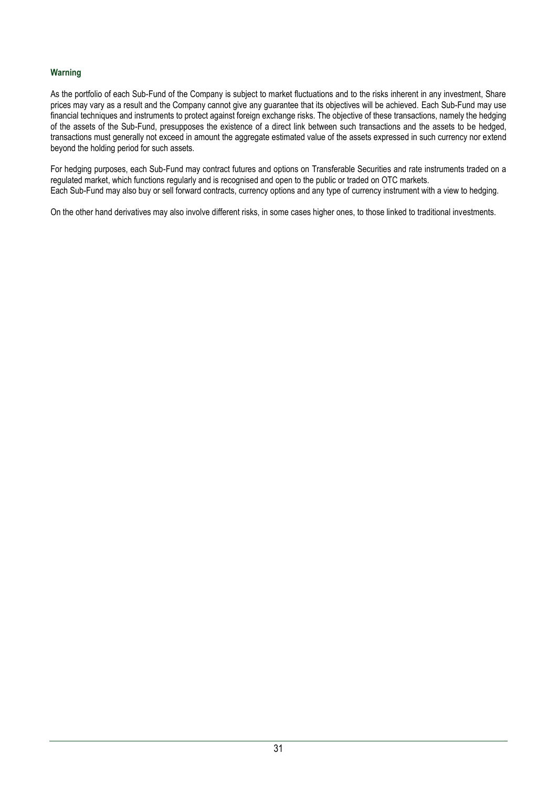# **Warning**

As the portfolio of each Sub-Fund of the Company is subject to market fluctuations and to the risks inherent in any investment, Share prices may vary as a result and the Company cannot give any guarantee that its objectives will be achieved. Each Sub-Fund may use financial techniques and instruments to protect against foreign exchange risks. The objective of these transactions, namely the hedging of the assets of the Sub-Fund, presupposes the existence of a direct link between such transactions and the assets to be hedged, transactions must generally not exceed in amount the aggregate estimated value of the assets expressed in such currency nor extend beyond the holding period for such assets.

For hedging purposes, each Sub-Fund may contract futures and options on Transferable Securities and rate instruments traded on a regulated market, which functions regularly and is recognised and open to the public or traded on OTC markets. Each Sub-Fund may also buy or sell forward contracts, currency options and any type of currency instrument with a view to hedging.

On the other hand derivatives may also involve different risks, in some cases higher ones, to those linked to traditional investments.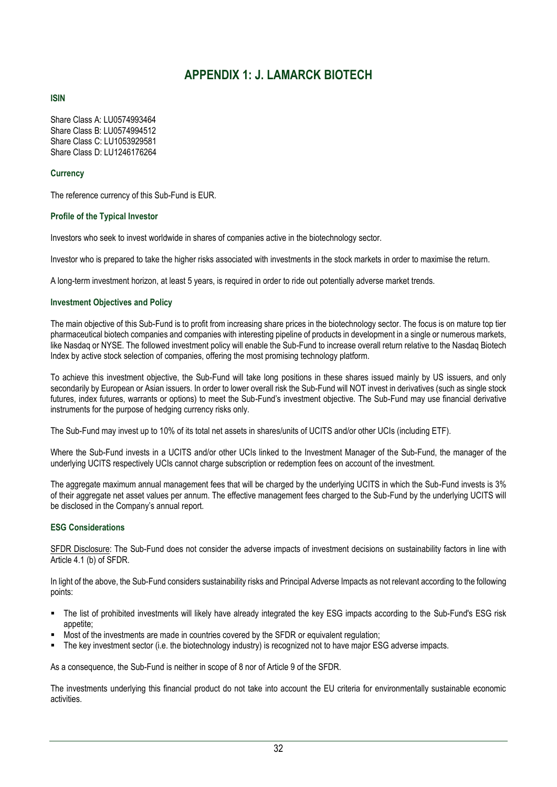# **APPENDIX 1: J. LAMARCK BIOTECH**

# <span id="page-31-0"></span>**ISIN**

Share Class A: LU0574993464 Share Class B: LU0574994512 Share Class C: LU1053929581 Share Class D: LU1246176264

# **Currency**

The reference currency of this Sub-Fund is EUR.

# **Profile of the Typical Investor**

Investors who seek to invest worldwide in shares of companies active in the biotechnology sector.

Investor who is prepared to take the higher risks associated with investments in the stock markets in order to maximise the return.

A long-term investment horizon, at least 5 years, is required in order to ride out potentially adverse market trends.

# **Investment Objectives and Policy**

The main objective of this Sub-Fund is to profit from increasing share prices in the biotechnology sector. The focus is on mature top tier pharmaceutical biotech companies and companies with interesting pipeline of products in development in a single or numerous markets, like Nasdaq or NYSE. The followed investment policy will enable the Sub-Fund to increase overall return relative to the Nasdaq Biotech Index by active stock selection of companies, offering the most promising technology platform.

To achieve this investment objective, the Sub-Fund will take long positions in these shares issued mainly by US issuers, and only secondarily by European or Asian issuers. In order to lower overall risk the Sub-Fund will NOT invest in derivatives (such as single stock futures, index futures, warrants or options) to meet the Sub-Fund's investment objective. The Sub-Fund may use financial derivative instruments for the purpose of hedging currency risks only.

The Sub-Fund may invest up to 10% of its total net assets in shares/units of UCITS and/or other UCIs (including ETF).

Where the Sub-Fund invests in a UCITS and/or other UCIs linked to the Investment Manager of the Sub-Fund, the manager of the underlying UCITS respectively UCIs cannot charge subscription or redemption fees on account of the investment.

The aggregate maximum annual management fees that will be charged by the underlying UCITS in which the Sub-Fund invests is 3% of their aggregate net asset values per annum. The effective management fees charged to the Sub-Fund by the underlying UCITS will be disclosed in the Company's annual report.

# **ESG Considerations**

SFDR Disclosure: The Sub-Fund does not consider the adverse impacts of investment decisions on sustainability factors in line with Article 4.1 (b) of SFDR.

In light of the above, the Sub-Fund considers sustainability risks and Principal Adverse Impacts as not relevant according to the following points:

- The list of prohibited investments will likely have already integrated the key ESG impacts according to the Sub-Fund's ESG risk appetite:
- Most of the investments are made in countries covered by the SFDR or equivalent regulation;
- The key investment sector (i.e. the biotechnology industry) is recognized not to have major ESG adverse impacts.

As a consequence, the Sub-Fund is neither in scope of 8 nor of Article 9 of the SFDR.

The investments underlying this financial product do not take into account the EU criteria for environmentally sustainable economic activities.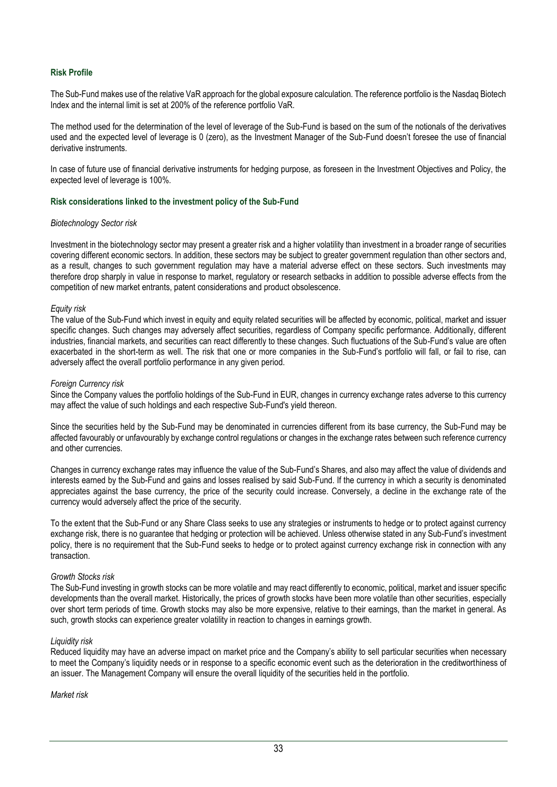## **Risk Profile**

The Sub-Fund makes use of the relative VaR approach for the global exposure calculation. The reference portfolio is the Nasdaq Biotech Index and the internal limit is set at 200% of the reference portfolio VaR.

The method used for the determination of the level of leverage of the Sub-Fund is based on the sum of the notionals of the derivatives used and the expected level of leverage is 0 (zero), as the Investment Manager of the Sub-Fund doesn't foresee the use of financial derivative instruments.

In case of future use of financial derivative instruments for hedging purpose, as foreseen in the Investment Objectives and Policy, the expected level of leverage is 100%.

#### **Risk considerations linked to the investment policy of the Sub-Fund**

#### *Biotechnology Sector risk*

Investment in the biotechnology sector may present a greater risk and a higher volatility than investment in a broader range of securities covering different economic sectors. In addition, these sectors may be subject to greater government regulation than other sectors and, as a result, changes to such government regulation may have a material adverse effect on these sectors. Such investments may therefore drop sharply in value in response to market, regulatory or research setbacks in addition to possible adverse effects from the competition of new market entrants, patent considerations and product obsolescence.

#### *Equity risk*

The value of the Sub-Fund which invest in equity and equity related securities will be affected by economic, political, market and issuer specific changes. Such changes may adversely affect securities, regardless of Company specific performance. Additionally, different industries, financial markets, and securities can react differently to these changes. Such fluctuations of the Sub-Fund's value are often exacerbated in the short-term as well. The risk that one or more companies in the Sub-Fund's portfolio will fall, or fail to rise, can adversely affect the overall portfolio performance in any given period.

#### *Foreign Currency risk*

Since the Company values the portfolio holdings of the Sub-Fund in EUR, changes in currency exchange rates adverse to this currency may affect the value of such holdings and each respective Sub-Fund's yield thereon.

Since the securities held by the Sub-Fund may be denominated in currencies different from its base currency, the Sub-Fund may be affected favourably or unfavourably by exchange control regulations or changes in the exchange rates between such reference currency and other currencies.

Changes in currency exchange rates may influence the value of the Sub-Fund's Shares, and also may affect the value of dividends and interests earned by the Sub-Fund and gains and losses realised by said Sub-Fund. If the currency in which a security is denominated appreciates against the base currency, the price of the security could increase. Conversely, a decline in the exchange rate of the currency would adversely affect the price of the security.

To the extent that the Sub-Fund or any Share Class seeks to use any strategies or instruments to hedge or to protect against currency exchange risk, there is no guarantee that hedging or protection will be achieved. Unless otherwise stated in any Sub-Fund's investment policy, there is no requirement that the Sub-Fund seeks to hedge or to protect against currency exchange risk in connection with any transaction.

### *Growth Stocks risk*

The Sub-Fund investing in growth stocks can be more volatile and may react differently to economic, political, market and issuer specific developments than the overall market. Historically, the prices of growth stocks have been more volatile than other securities, especially over short term periods of time. Growth stocks may also be more expensive, relative to their earnings, than the market in general. As such, growth stocks can experience greater volatility in reaction to changes in earnings growth.

### *Liquidity risk*

Reduced liquidity may have an adverse impact on market price and the Company's ability to sell particular securities when necessary to meet the Company's liquidity needs or in response to a specific economic event such as the deterioration in the creditworthiness of an issuer. The Management Company will ensure the overall liquidity of the securities held in the portfolio.

*Market risk*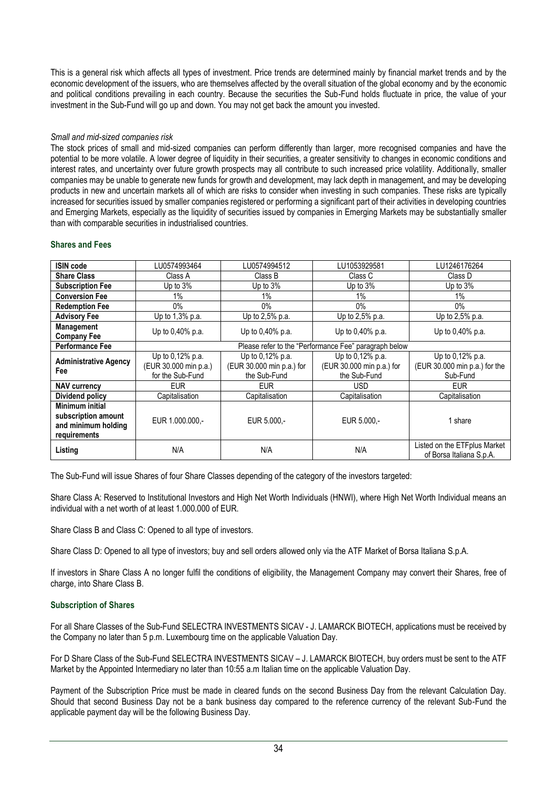This is a general risk which affects all types of investment. Price trends are determined mainly by financial market trends and by the economic development of the issuers, who are themselves affected by the overall situation of the global economy and by the economic and political conditions prevailing in each country. Because the securities the Sub-Fund holds fluctuate in price, the value of your investment in the Sub-Fund will go up and down. You may not get back the amount you invested.

# *Small and mid-sized companies risk*

The stock prices of small and mid-sized companies can perform differently than larger, more recognised companies and have the potential to be more volatile. A lower degree of liquidity in their securities, a greater sensitivity to changes in economic conditions and interest rates, and uncertainty over future growth prospects may all contribute to such increased price volatility. Additionally, smaller companies may be unable to generate new funds for growth and development, may lack depth in management, and may be developing products in new and uncertain markets all of which are risks to consider when investing in such companies. These risks are typically increased for securities issued by smaller companies registered or performing a significant part of their activities in developing countries and Emerging Markets, especially as the liquidity of securities issued by companies in Emerging Markets may be substantially smaller than with comparable securities in industrialised countries.

## **Shares and Fees**

| <b>ISIN code</b>                                                              | LU0574993464                                                  | LU0574994512                                                  | LU1053929581                                                  | LU1246176264                                                  |
|-------------------------------------------------------------------------------|---------------------------------------------------------------|---------------------------------------------------------------|---------------------------------------------------------------|---------------------------------------------------------------|
| <b>Share Class</b>                                                            | Class A                                                       | Class B                                                       | Class C                                                       | Class D                                                       |
| <b>Subscription Fee</b>                                                       | Up to $3%$                                                    | Up to $3%$                                                    | Up to $3%$                                                    | Up to $3%$                                                    |
| <b>Conversion Fee</b>                                                         | 1%                                                            | 1%                                                            | $1\%$                                                         | $1\%$                                                         |
| <b>Redemption Fee</b>                                                         | $0\%$                                                         | $0\%$                                                         | $0\%$                                                         | $0\%$                                                         |
| <b>Advisory Fee</b>                                                           | Up to 1,3% p.a.                                               | Up to 2,5% p.a.                                               | Up to 2,5% p.a.                                               | Up to 2,5% p.a.                                               |
| <b>Management</b><br><b>Company Fee</b>                                       | Up to 0,40% p.a.                                              | Up to $0,40\%$ p.a.                                           | Up to $0.40\%$ p.a.                                           | Up to 0,40% p.a.                                              |
| <b>Performance Fee</b>                                                        |                                                               |                                                               | Please refer to the "Performance Fee" paragraph below         |                                                               |
| <b>Administrative Agency</b><br>Fee                                           | Up to 0,12% p.a.<br>(EUR 30.000 min p.a.)<br>for the Sub-Fund | Up to 0,12% p.a.<br>(EUR 30.000 min p.a.) for<br>the Sub-Fund | Up to 0.12% p.a.<br>(EUR 30.000 min p.a.) for<br>the Sub-Fund | Up to 0,12% p.a.<br>(EUR 30.000 min p.a.) for the<br>Sub-Fund |
| <b>NAV currency</b>                                                           | EUR                                                           | <b>EUR</b>                                                    | USD                                                           | <b>EUR</b>                                                    |
| Dividend policy                                                               | Capitalisation                                                | Capitalisation                                                | Capitalisation                                                | Capitalisation                                                |
| Minimum initial<br>subscription amount<br>and minimum holding<br>requirements | EUR 1.000.000.-                                               | EUR 5.000,-                                                   | EUR 5.000.-                                                   | 1 share                                                       |
| Listing                                                                       | N/A                                                           | N/A                                                           | N/A                                                           | Listed on the ETFplus Market<br>of Borsa Italiana S.p.A.      |

The Sub-Fund will issue Shares of four Share Classes depending of the category of the investors targeted:

Share Class A: Reserved to Institutional Investors and High Net Worth Individuals (HNWI), where High Net Worth Individual means an individual with a net worth of at least 1.000.000 of EUR.

Share Class B and Class C: Opened to all type of investors.

Share Class D: Opened to all type of investors; buy and sell orders allowed only via the ATF Market of Borsa Italiana S.p.A.

If investors in Share Class A no longer fulfil the conditions of eligibility, the Management Company may convert their Shares, free of charge, into Share Class B.

### **Subscription of Shares**

For all Share Classes of the Sub-Fund SELECTRA INVESTMENTS SICAV - J. LAMARCK BIOTECH, applications must be received by the Company no later than 5 p.m. Luxembourg time on the applicable Valuation Day.

For D Share Class of the Sub-Fund SELECTRA INVESTMENTS SICAV – J. LAMARCK BIOTECH, buy orders must be sent to the ATF Market by the Appointed Intermediary no later than 10:55 a.m Italian time on the applicable Valuation Day.

Payment of the Subscription Price must be made in cleared funds on the second Business Day from the relevant Calculation Day. Should that second Business Day not be a bank business day compared to the reference currency of the relevant Sub-Fund the applicable payment day will be the following Business Day.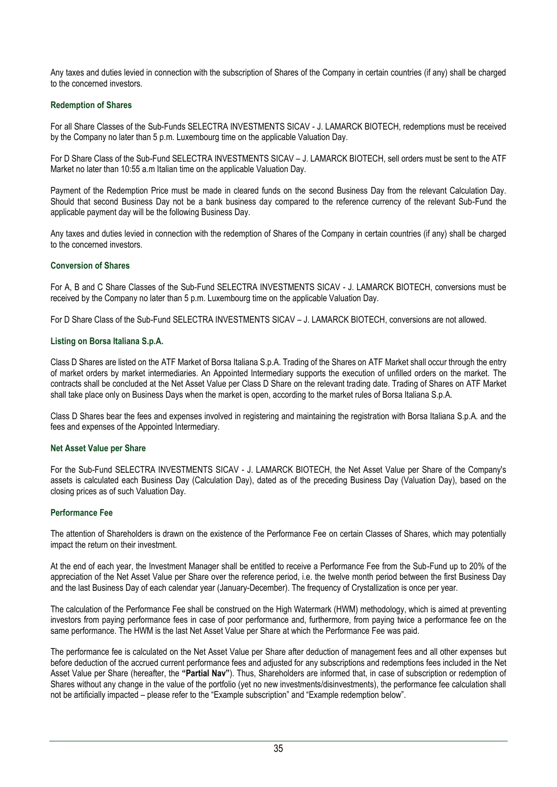Any taxes and duties levied in connection with the subscription of Shares of the Company in certain countries (if any) shall be charged to the concerned investors.

# **Redemption of Shares**

For all Share Classes of the Sub-Funds SELECTRA INVESTMENTS SICAV - J. LAMARCK BIOTECH, redemptions must be received by the Company no later than 5 p.m. Luxembourg time on the applicable Valuation Day.

For D Share Class of the Sub-Fund SELECTRA INVESTMENTS SICAV – J. LAMARCK BIOTECH, sell orders must be sent to the ATF Market no later than 10:55 a.m Italian time on the applicable Valuation Day.

Payment of the Redemption Price must be made in cleared funds on the second Business Day from the relevant Calculation Day. Should that second Business Day not be a bank business day compared to the reference currency of the relevant Sub-Fund the applicable payment day will be the following Business Day.

Any taxes and duties levied in connection with the redemption of Shares of the Company in certain countries (if any) shall be charged to the concerned investors.

# **Conversion of Shares**

For A, B and C Share Classes of the Sub-Fund SELECTRA INVESTMENTS SICAV - J. LAMARCK BIOTECH, conversions must be received by the Company no later than 5 p.m. Luxembourg time on the applicable Valuation Day.

For D Share Class of the Sub-Fund SELECTRA INVESTMENTS SICAV – J. LAMARCK BIOTECH, conversions are not allowed.

# **Listing on Borsa Italiana S.p.A.**

Class D Shares are listed on the ATF Market of Borsa Italiana S.p.A. Trading of the Shares on ATF Market shall occur through the entry of market orders by market intermediaries. An Appointed Intermediary supports the execution of unfilled orders on the market. The contracts shall be concluded at the Net Asset Value per Class D Share on the relevant trading date. Trading of Shares on ATF Market shall take place only on Business Days when the market is open, according to the market rules of Borsa Italiana S.p.A.

Class D Shares bear the fees and expenses involved in registering and maintaining the registration with Borsa Italiana S.p.A. and the fees and expenses of the Appointed Intermediary.

# **Net Asset Value per Share**

For the Sub-Fund SELECTRA INVESTMENTS SICAV - J. LAMARCK BIOTECH, the Net Asset Value per Share of the Company's assets is calculated each Business Day (Calculation Day), dated as of the preceding Business Day (Valuation Day), based on the closing prices as of such Valuation Day.

# **Performance Fee**

The attention of Shareholders is drawn on the existence of the Performance Fee on certain Classes of Shares, which may potentially impact the return on their investment.

At the end of each year, the Investment Manager shall be entitled to receive a Performance Fee from the Sub-Fund up to 20% of the appreciation of the Net Asset Value per Share over the reference period, i.e. the twelve month period between the first Business Day and the last Business Day of each calendar year (January-December). The frequency of Crystallization is once per year.

The calculation of the Performance Fee shall be construed on the High Watermark (HWM) methodology, which is aimed at preventing investors from paying performance fees in case of poor performance and, furthermore, from paying twice a performance fee on the same performance. The HWM is the last Net Asset Value per Share at which the Performance Fee was paid.

The performance fee is calculated on the Net Asset Value per Share after deduction of management fees and all other expenses but before deduction of the accrued current performance fees and adjusted for any subscriptions and redemptions fees included in the Net Asset Value per Share (hereafter, the **"Partial Nav"**). Thus, Shareholders are informed that, in case of subscription or redemption of Shares without any change in the value of the portfolio (yet no new investments/disinvestments), the performance fee calculation shall not be artificially impacted – please refer to the "Example subscription" and "Example redemption below".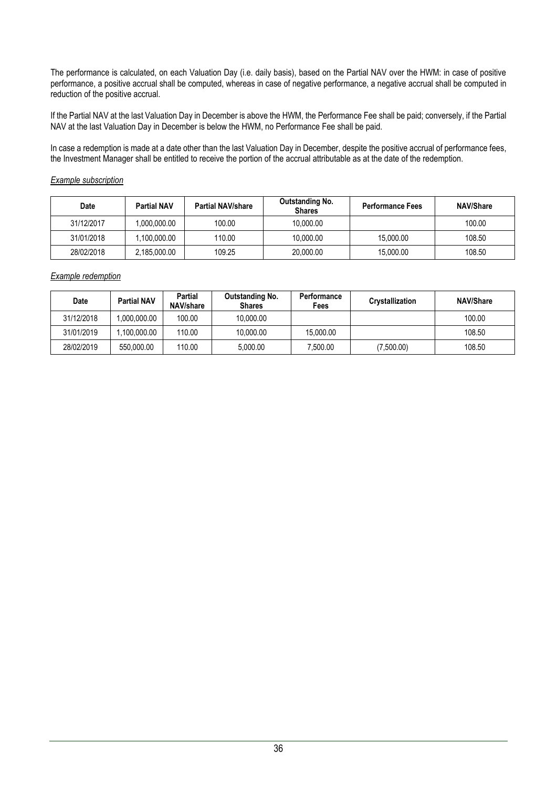The performance is calculated, on each Valuation Day (i.e. daily basis), based on the Partial NAV over the HWM: in case of positive performance, a positive accrual shall be computed, whereas in case of negative performance, a negative accrual shall be computed in reduction of the positive accrual.

If the Partial NAV at the last Valuation Day in December is above the HWM, the Performance Fee shall be paid; conversely, if the Partial NAV at the last Valuation Day in December is below the HWM, no Performance Fee shall be paid.

In case a redemption is made at a date other than the last Valuation Day in December, despite the positive accrual of performance fees, the Investment Manager shall be entitled to receive the portion of the accrual attributable as at the date of the redemption.

# *Example subscription*

| <b>Date</b> | <b>Partial NAV</b> | <b>Partial NAV/share</b> | Outstanding No.<br><b>Shares</b> | <b>Performance Fees</b> | <b>NAV/Share</b> |
|-------------|--------------------|--------------------------|----------------------------------|-------------------------|------------------|
| 31/12/2017  | 0.000.000.00       | 100.00                   | 10.000.00                        |                         | 100.00           |
| 31/01/2018  | ,100,000.00        | 110.00                   | 10,000.00                        | 15,000.00               | 108.50           |
| 28/02/2018  | 2,185,000.00       | 109.25                   | 20,000.00                        | 15,000.00               | 108.50           |

*Example redemption*

| Date       | <b>Partial NAV</b> | Partial<br>NAV/share | <b>Outstanding No.</b><br><b>Shares</b> | Performance<br>Fees | Crystallization | <b>NAV/Share</b> |
|------------|--------------------|----------------------|-----------------------------------------|---------------------|-----------------|------------------|
| 31/12/2018 | 00.000.00.00.      | 100.00               | 10.000.00                               |                     |                 | 100.00           |
| 31/01/2019 | .100.000.00        | 110.00               | 10.000.00                               | 15.000.00           |                 | 108.50           |
| 28/02/2019 | 550,000.00         | 110.00               | 5.000.00                                | 7.500.00            | (7,500.00)      | 108.50           |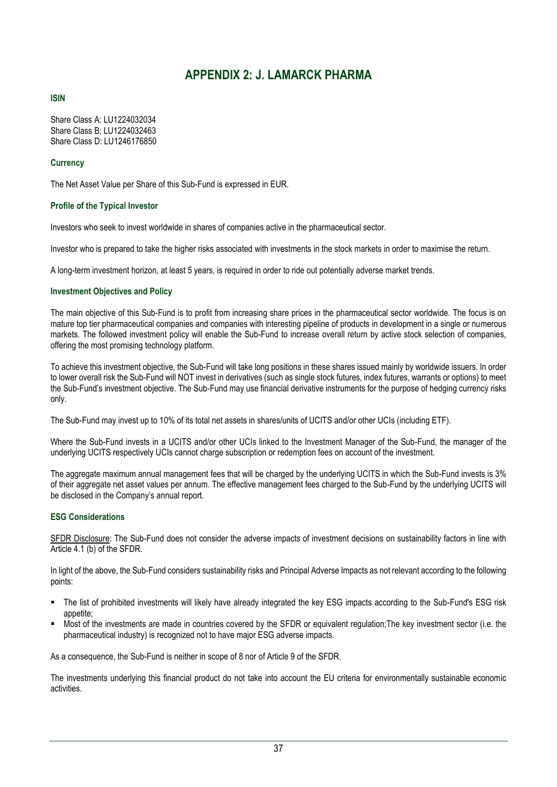# **APPENDIX 2: J. LAMARCK PHARMA**

# <span id="page-36-0"></span>**ISIN**

Share Class A: LU1224032034 Share Class B: LU1224032463 Share Class D: LU1246176850

# **Currency**

The Net Asset Value per Share of this Sub-Fund is expressed in EUR.

# **Profile of the Typical Investor**

Investors who seek to invest worldwide in shares of companies active in the pharmaceutical sector.

Investor who is prepared to take the higher risks associated with investments in the stock markets in order to maximise the return.

A long-term investment horizon, at least 5 years, is required in order to ride out potentially adverse market trends.

# **Investment Objectives and Policy**

The main objective of this Sub-Fund is to profit from increasing share prices in the pharmaceutical sector worldwide. The focus is on mature top tier pharmaceutical companies and companies with interesting pipeline of products in development in a single or numerous markets. The followed investment policy will enable the Sub-Fund to increase overall return by active stock selection of companies, offering the most promising technology platform.

To achieve this investment objective, the Sub-Fund will take long positions in these shares issued mainly by worldwide issuers. In order to lower overall risk the Sub-Fund will NOT invest in derivatives (such as single stock futures, index futures, warrants or options) to meet the Sub-Fund's investment objective. The Sub-Fund may use financial derivative instruments for the purpose of hedging currency risks only.

The Sub-Fund may invest up to 10% of its total net assets in shares/units of UCITS and/or other UCIs (including ETF).

Where the Sub-Fund invests in a UCITS and/or other UCIs linked to the Investment Manager of the Sub-Fund, the manager of the underlying UCITS respectively UCIs cannot charge subscription or redemption fees on account of the investment.

The aggregate maximum annual management fees that will be charged by the underlying UCITS in which the Sub-Fund invests is 3% of their aggregate net asset values per annum. The effective management fees charged to the Sub-Fund by the underlying UCITS will be disclosed in the Company's annual report.

# **ESG Considerations**

SFDR Disclosure: The Sub-Fund does not consider the adverse impacts of investment decisions on sustainability factors in line with Article 4.1 (b) of the SFDR.

In light of the above, the Sub-Fund considers sustainability risks and Principal Adverse Impacts as not relevant according to the following points:

- The list of prohibited investments will likely have already integrated the key ESG impacts according to the Sub-Fund's ESG risk appetite;
- Most of the investments are made in countries covered by the SFDR or equivalent requiation:The key investment sector (i.e. the pharmaceutical industry) is recognized not to have major ESG adverse impacts.

As a consequence, the Sub-Fund is neither in scope of 8 nor of Article 9 of the SFDR.

The investments underlying this financial product do not take into account the EU criteria for environmentally sustainable economic activities.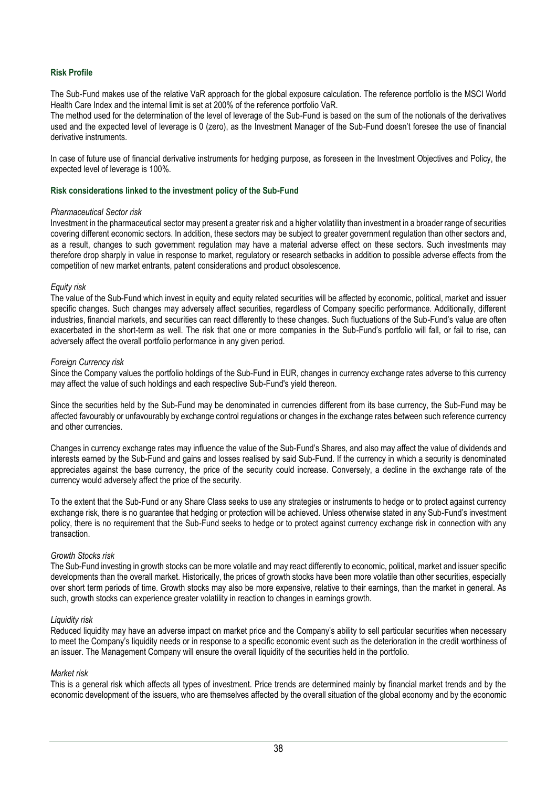## **Risk Profile**

The Sub-Fund makes use of the relative VaR approach for the global exposure calculation. The reference portfolio is the MSCI World Health Care Index and the internal limit is set at 200% of the reference portfolio VaR.

The method used for the determination of the level of leverage of the Sub-Fund is based on the sum of the notionals of the derivatives used and the expected level of leverage is 0 (zero), as the Investment Manager of the Sub-Fund doesn't foresee the use of financial derivative instruments.

In case of future use of financial derivative instruments for hedging purpose, as foreseen in the Investment Objectives and Policy, the expected level of leverage is 100%.

#### **Risk considerations linked to the investment policy of the Sub-Fund**

#### *Pharmaceutical Sector risk*

Investment in the pharmaceutical sector may present a greater risk and a higher volatility than investment in a broader range of securities covering different economic sectors. In addition, these sectors may be subject to greater government regulation than other sectors and, as a result, changes to such government regulation may have a material adverse effect on these sectors. Such investments may therefore drop sharply in value in response to market, regulatory or research setbacks in addition to possible adverse effects from the competition of new market entrants, patent considerations and product obsolescence.

### *Equity risk*

The value of the Sub-Fund which invest in equity and equity related securities will be affected by economic, political, market and issuer specific changes. Such changes may adversely affect securities, regardless of Company specific performance. Additionally, different industries, financial markets, and securities can react differently to these changes. Such fluctuations of the Sub-Fund's value are often exacerbated in the short-term as well. The risk that one or more companies in the Sub-Fund's portfolio will fall, or fail to rise, can adversely affect the overall portfolio performance in any given period.

#### *Foreign Currency risk*

Since the Company values the portfolio holdings of the Sub-Fund in EUR, changes in currency exchange rates adverse to this currency may affect the value of such holdings and each respective Sub-Fund's yield thereon.

Since the securities held by the Sub-Fund may be denominated in currencies different from its base currency, the Sub-Fund may be affected favourably or unfavourably by exchange control regulations or changes in the exchange rates between such reference currency and other currencies.

Changes in currency exchange rates may influence the value of the Sub-Fund's Shares, and also may affect the value of dividends and interests earned by the Sub-Fund and gains and losses realised by said Sub-Fund. If the currency in which a security is denominated appreciates against the base currency, the price of the security could increase. Conversely, a decline in the exchange rate of the currency would adversely affect the price of the security.

To the extent that the Sub-Fund or any Share Class seeks to use any strategies or instruments to hedge or to protect against currency exchange risk, there is no guarantee that hedging or protection will be achieved. Unless otherwise stated in any Sub-Fund's investment policy, there is no requirement that the Sub-Fund seeks to hedge or to protect against currency exchange risk in connection with any transaction.

### *Growth Stocks risk*

The Sub-Fund investing in growth stocks can be more volatile and may react differently to economic, political, market and issuer specific developments than the overall market. Historically, the prices of growth stocks have been more volatile than other securities, especially over short term periods of time. Growth stocks may also be more expensive, relative to their earnings, than the market in general. As such, growth stocks can experience greater volatility in reaction to changes in earnings growth.

### *Liquidity risk*

Reduced liquidity may have an adverse impact on market price and the Company's ability to sell particular securities when necessary to meet the Company's liquidity needs or in response to a specific economic event such as the deterioration in the credit worthiness of an issuer. The Management Company will ensure the overall liquidity of the securities held in the portfolio.

#### *Market risk*

This is a general risk which affects all types of investment. Price trends are determined mainly by financial market trends and by the economic development of the issuers, who are themselves affected by the overall situation of the global economy and by the economic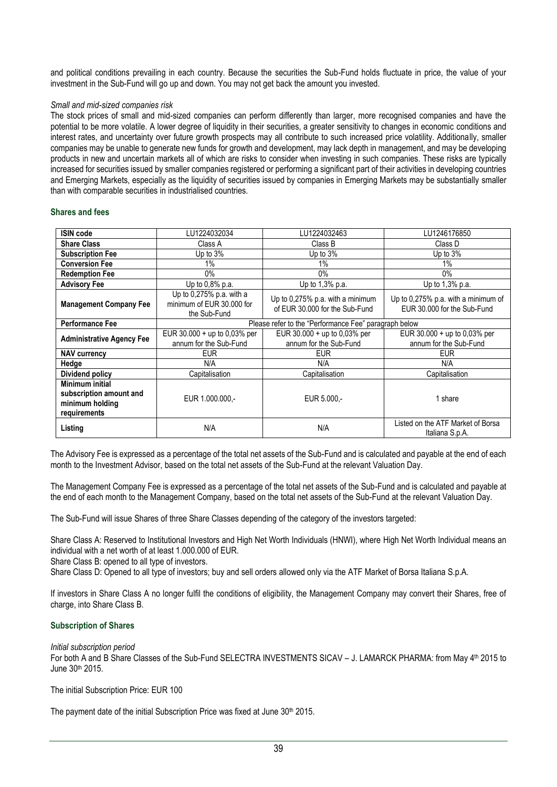and political conditions prevailing in each country. Because the securities the Sub-Fund holds fluctuate in price, the value of your investment in the Sub-Fund will go up and down. You may not get back the amount you invested.

## *Small and mid-sized companies risk*

The stock prices of small and mid-sized companies can perform differently than larger, more recognised companies and have the potential to be more volatile. A lower degree of liquidity in their securities, a greater sensitivity to changes in economic conditions and interest rates, and uncertainty over future growth prospects may all contribute to such increased price volatility. Additionally, smaller companies may be unable to generate new funds for growth and development, may lack depth in management, and may be developing products in new and uncertain markets all of which are risks to consider when investing in such companies. These risks are typically increased for securities issued by smaller companies registered or performing a significant part of their activities in developing countries and Emerging Markets, especially as the liquidity of securities issued by companies in Emerging Markets may be substantially smaller than with comparable securities in industrialised countries.

## **Shares and fees**

| <b>ISIN code</b>                                                                     | LU1224032034                                                             | LU1224032463                                                       | LU1246176850                                                       |  |
|--------------------------------------------------------------------------------------|--------------------------------------------------------------------------|--------------------------------------------------------------------|--------------------------------------------------------------------|--|
| <b>Share Class</b>                                                                   | Class A                                                                  | Class B                                                            | Class D                                                            |  |
| <b>Subscription Fee</b>                                                              | Up to 3%                                                                 | Up to $3%$                                                         | Up to $3%$                                                         |  |
| <b>Conversion Fee</b>                                                                | 1%                                                                       | 1%                                                                 | 1%                                                                 |  |
| <b>Redemption Fee</b>                                                                | $0\%$                                                                    | $0\%$                                                              | $0\%$                                                              |  |
| <b>Advisory Fee</b>                                                                  | Up to 0,8% p.a.                                                          | Up to 1,3% p.a.                                                    | Up to 1,3% p.a.                                                    |  |
| <b>Management Company Fee</b>                                                        | Up to $0.275\%$ p.a. with a<br>minimum of EUR 30,000 for<br>the Sub-Fund | Up to 0,275% p.a. with a minimum<br>of EUR 30,000 for the Sub-Fund | Up to 0,275% p.a. with a minimum of<br>EUR 30,000 for the Sub-Fund |  |
| <b>Performance Fee</b>                                                               | Please refer to the "Performance Fee" paragraph below                    |                                                                    |                                                                    |  |
| <b>Administrative Agency Fee</b>                                                     | EUR 30.000 + up to 0,03% per<br>annum for the Sub-Fund                   | EUR $30.000 + up to 0.03%$ per<br>annum for the Sub-Fund           | EUR 30.000 + up to 0,03% per<br>annum for the Sub-Fund             |  |
| <b>NAV currency</b>                                                                  | <b>EUR</b>                                                               | <b>EUR</b>                                                         | <b>EUR</b>                                                         |  |
| Hedge                                                                                | N/A                                                                      | N/A                                                                | N/A                                                                |  |
| Dividend policy                                                                      | Capitalisation                                                           | Capitalisation                                                     | Capitalisation                                                     |  |
| <b>Minimum initial</b><br>subscription amount and<br>minimum holding<br>requirements | EUR 1.000.000.-                                                          | EUR 5.000,-                                                        | 1 share                                                            |  |
| Listing                                                                              | N/A                                                                      | N/A                                                                | Listed on the ATF Market of Borsa<br>Italiana S.p.A.               |  |

The Advisory Fee is expressed as a percentage of the total net assets of the Sub-Fund and is calculated and payable at the end of each month to the Investment Advisor, based on the total net assets of the Sub-Fund at the relevant Valuation Day.

The Management Company Fee is expressed as a percentage of the total net assets of the Sub-Fund and is calculated and payable at the end of each month to the Management Company, based on the total net assets of the Sub-Fund at the relevant Valuation Day.

The Sub-Fund will issue Shares of three Share Classes depending of the category of the investors targeted:

Share Class A: Reserved to Institutional Investors and High Net Worth Individuals (HNWI), where High Net Worth Individual means an individual with a net worth of at least 1.000.000 of EUR.

Share Class B: opened to all type of investors.

Share Class D: Opened to all type of investors; buy and sell orders allowed only via the ATF Market of Borsa Italiana S.p.A.

If investors in Share Class A no longer fulfil the conditions of eligibility, the Management Company may convert their Shares, free of charge, into Share Class B.

### **Subscription of Shares**

*Initial subscription period*

For both A and B Share Classes of the Sub-Fund SELECTRA INVESTMENTS SICAV - J. LAMARCK PHARMA: from May 4<sup>th</sup> 2015 to June 30th 2015.

The initial Subscription Price: EUR 100

The payment date of the initial Subscription Price was fixed at June 30<sup>th</sup> 2015.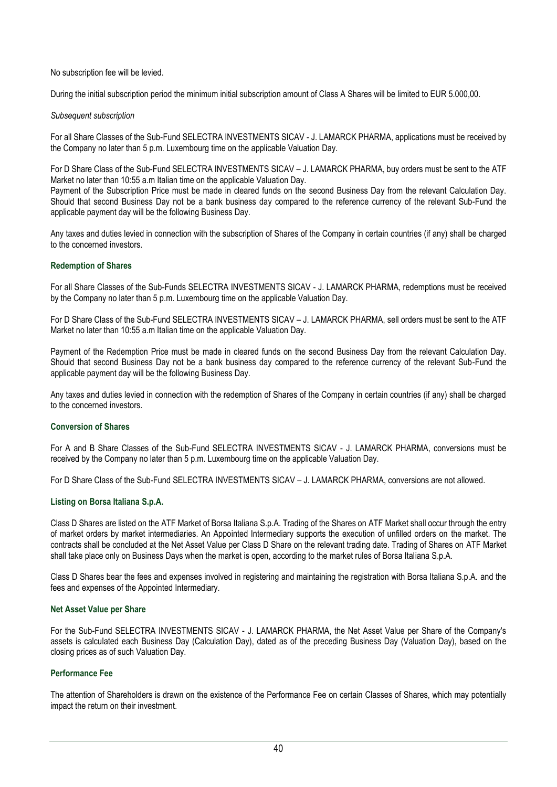No subscription fee will be levied.

During the initial subscription period the minimum initial subscription amount of Class A Shares will be limited to EUR 5.000,00.

## *Subsequent subscription*

For all Share Classes of the Sub-Fund SELECTRA INVESTMENTS SICAV - J. LAMARCK PHARMA, applications must be received by the Company no later than 5 p.m. Luxembourg time on the applicable Valuation Day.

For D Share Class of the Sub-Fund SELECTRA INVESTMENTS SICAV – J. LAMARCK PHARMA, buy orders must be sent to the ATF Market no later than 10:55 a.m Italian time on the applicable Valuation Day.

Payment of the Subscription Price must be made in cleared funds on the second Business Day from the relevant Calculation Day. Should that second Business Day not be a bank business day compared to the reference currency of the relevant Sub-Fund the applicable payment day will be the following Business Day.

Any taxes and duties levied in connection with the subscription of Shares of the Company in certain countries (if any) shall be charged to the concerned investors.

# **Redemption of Shares**

For all Share Classes of the Sub-Funds SELECTRA INVESTMENTS SICAV - J. LAMARCK PHARMA, redemptions must be received by the Company no later than 5 p.m. Luxembourg time on the applicable Valuation Day.

For D Share Class of the Sub-Fund SELECTRA INVESTMENTS SICAV – J. LAMARCK PHARMA, sell orders must be sent to the ATF Market no later than 10:55 a.m Italian time on the applicable Valuation Day.

Payment of the Redemption Price must be made in cleared funds on the second Business Day from the relevant Calculation Day. Should that second Business Day not be a bank business day compared to the reference currency of the relevant Sub-Fund the applicable payment day will be the following Business Day.

Any taxes and duties levied in connection with the redemption of Shares of the Company in certain countries (if any) shall be charged to the concerned investors.

# **Conversion of Shares**

For A and B Share Classes of the Sub-Fund SELECTRA INVESTMENTS SICAV - J. LAMARCK PHARMA, conversions must be received by the Company no later than 5 p.m. Luxembourg time on the applicable Valuation Day.

For D Share Class of the Sub-Fund SELECTRA INVESTMENTS SICAV – J. LAMARCK PHARMA, conversions are not allowed.

# **Listing on Borsa Italiana S.p.A.**

Class D Shares are listed on the ATF Market of Borsa Italiana S.p.A. Trading of the Shares on ATF Market shall occur through the entry of market orders by market intermediaries. An Appointed Intermediary supports the execution of unfilled orders on the market. The contracts shall be concluded at the Net Asset Value per Class D Share on the relevant trading date. Trading of Shares on ATF Market shall take place only on Business Days when the market is open, according to the market rules of Borsa Italiana S.p.A.

Class D Shares bear the fees and expenses involved in registering and maintaining the registration with Borsa Italiana S.p.A. and the fees and expenses of the Appointed Intermediary.

# **Net Asset Value per Share**

For the Sub-Fund SELECTRA INVESTMENTS SICAV - J. LAMARCK PHARMA, the Net Asset Value per Share of the Company's assets is calculated each Business Day (Calculation Day), dated as of the preceding Business Day (Valuation Day), based on the closing prices as of such Valuation Day.

# **Performance Fee**

The attention of Shareholders is drawn on the existence of the Performance Fee on certain Classes of Shares, which may potentially impact the return on their investment.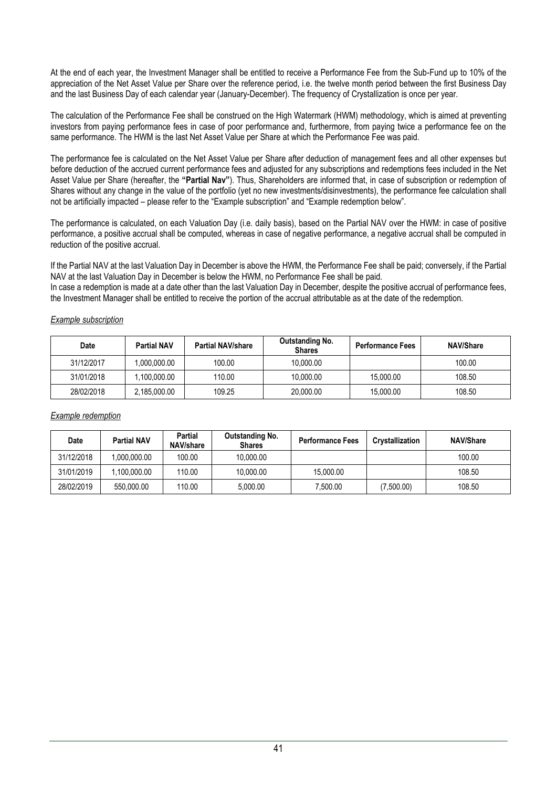At the end of each year, the Investment Manager shall be entitled to receive a Performance Fee from the Sub-Fund up to 10% of the appreciation of the Net Asset Value per Share over the reference period, i.e. the twelve month period between the first Business Day and the last Business Day of each calendar year (January-December). The frequency of Crystallization is once per year.

The calculation of the Performance Fee shall be construed on the High Watermark (HWM) methodology, which is aimed at preventing investors from paying performance fees in case of poor performance and, furthermore, from paying twice a performance fee on the same performance. The HWM is the last Net Asset Value per Share at which the Performance Fee was paid.

The performance fee is calculated on the Net Asset Value per Share after deduction of management fees and all other expenses but before deduction of the accrued current performance fees and adjusted for any subscriptions and redemptions fees included in the Net Asset Value per Share (hereafter, the **"Partial Nav"**). Thus, Shareholders are informed that, in case of subscription or redemption of Shares without any change in the value of the portfolio (yet no new investments/disinvestments), the performance fee calculation shall not be artificially impacted – please refer to the "Example subscription" and "Example redemption below".

The performance is calculated, on each Valuation Day (i.e. daily basis), based on the Partial NAV over the HWM: in case of positive performance, a positive accrual shall be computed, whereas in case of negative performance, a negative accrual shall be computed in reduction of the positive accrual.

If the Partial NAV at the last Valuation Day in December is above the HWM, the Performance Fee shall be paid; conversely, if the Partial NAV at the last Valuation Day in December is below the HWM, no Performance Fee shall be paid.

In case a redemption is made at a date other than the last Valuation Day in December, despite the positive accrual of performance fees, the Investment Manager shall be entitled to receive the portion of the accrual attributable as at the date of the redemption.

| <b>Date</b> | <b>Partial NAV</b> | <b>Partial NAV/share</b> | Outstanding No.<br><b>Shares</b> | <b>Performance Fees</b> | <b>NAV/Share</b> |
|-------------|--------------------|--------------------------|----------------------------------|-------------------------|------------------|
| 31/12/2017  | .000.000.00        | 100.00                   | 10.000.00                        |                         | 100.00           |
| 31/01/2018  | .100.000.00        | 110.00                   | 10.000.00                        | 15.000.00               | 108.50           |
| 28/02/2018  | 2,185,000.00       | 109.25                   | 20,000.00                        | 15,000.00               | 108.50           |

## *Example subscription*

|  | Example redemption |  |
|--|--------------------|--|
|  |                    |  |

| Date       | <b>Partial NAV</b> | Partial<br>NAV/share | Outstanding No.<br><b>Shares</b> | <b>Performance Fees</b> | Crystallization | <b>NAV/Share</b> |
|------------|--------------------|----------------------|----------------------------------|-------------------------|-----------------|------------------|
| 31/12/2018 | .000.000.00        | 100.00               | 10.000.00                        |                         |                 | 100.00           |
| 31/01/2019 | .100.000.00        | 110.00               | 10.000.00                        | 15.000.00               |                 | 108.50           |
| 28/02/2019 | 550,000.00         | 110.00               | 5.000.00                         | 7.500.00                | (7,500.00)      | 108.50           |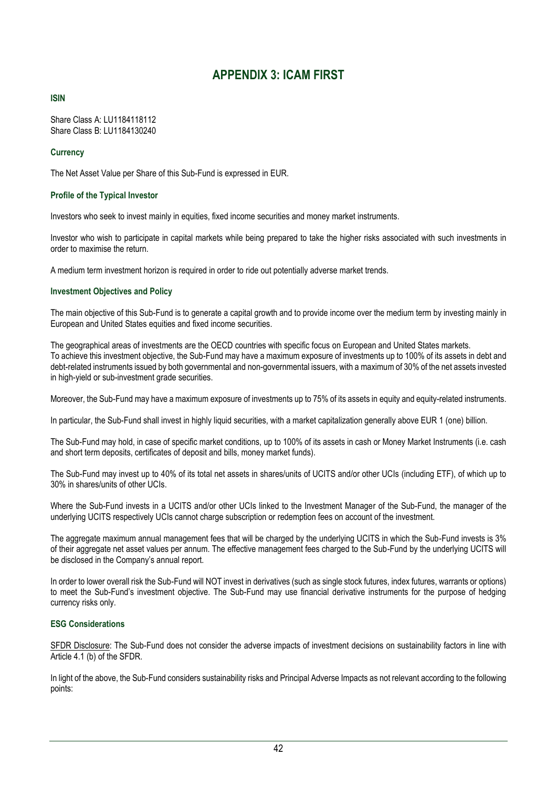# **APPENDIX 3: ICAM FIRST**

# <span id="page-41-0"></span>**ISIN**

Share Class A: LU1184118112 Share Class B: LU1184130240

## **Currency**

The Net Asset Value per Share of this Sub-Fund is expressed in EUR.

## **Profile of the Typical Investor**

Investors who seek to invest mainly in equities, fixed income securities and money market instruments.

Investor who wish to participate in capital markets while being prepared to take the higher risks associated with such investments in order to maximise the return.

A medium term investment horizon is required in order to ride out potentially adverse market trends.

## **Investment Objectives and Policy**

The main objective of this Sub-Fund is to generate a capital growth and to provide income over the medium term by investing mainly in European and United States equities and fixed income securities.

The geographical areas of investments are the OECD countries with specific focus on European and United States markets. To achieve this investment objective, the Sub-Fund may have a maximum exposure of investments up to 100% of its assets in debt and debt-related instruments issued by both governmental and non-governmental issuers, with a maximum of 30% of the net assets invested in high-yield or sub-investment grade securities.

Moreover, the Sub-Fund may have a maximum exposure of investments up to 75% of its assets in equity and equity-related instruments.

In particular, the Sub-Fund shall invest in highly liquid securities, with a market capitalization generally above EUR 1 (one) billion.

The Sub-Fund may hold, in case of specific market conditions, up to 100% of its assets in cash or Money Market Instruments (i.e. cash and short term deposits, certificates of deposit and bills, money market funds).

The Sub-Fund may invest up to 40% of its total net assets in shares/units of UCITS and/or other UCIs (including ETF), of which up to 30% in shares/units of other UCIs.

Where the Sub-Fund invests in a UCITS and/or other UCIs linked to the Investment Manager of the Sub-Fund, the manager of the underlying UCITS respectively UCIs cannot charge subscription or redemption fees on account of the investment.

The aggregate maximum annual management fees that will be charged by the underlying UCITS in which the Sub-Fund invests is 3% of their aggregate net asset values per annum. The effective management fees charged to the Sub-Fund by the underlying UCITS will be disclosed in the Company's annual report.

In order to lower overall risk the Sub-Fund will NOT invest in derivatives (such as single stock futures, index futures, warrants or options) to meet the Sub-Fund's investment objective. The Sub-Fund may use financial derivative instruments for the purpose of hedging currency risks only.

# **ESG Considerations**

SFDR Disclosure: The Sub-Fund does not consider the adverse impacts of investment decisions on sustainability factors in line with Article 4.1 (b) of the SFDR.

In light of the above, the Sub-Fund considers sustainability risks and Principal Adverse Impacts as not relevant according to the following points: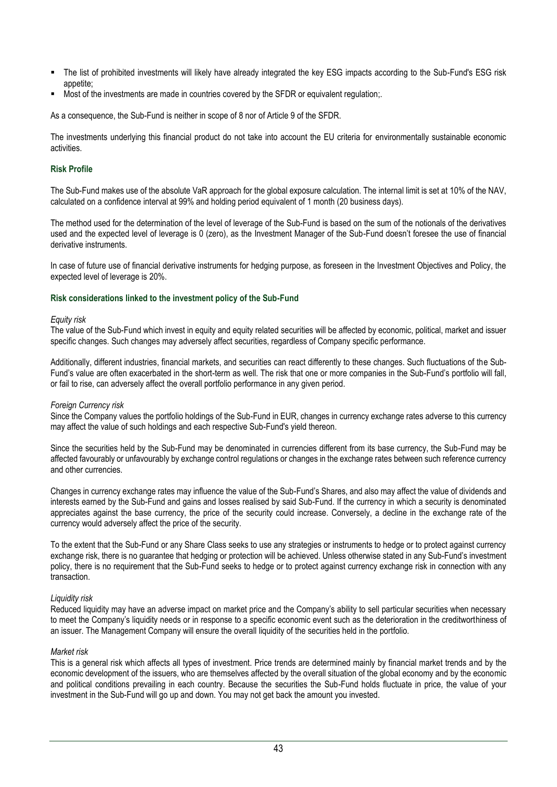- The list of prohibited investments will likely have already integrated the key ESG impacts according to the Sub-Fund's ESG risk appetite;
- Most of the investments are made in countries covered by the SFDR or equivalent requlation.

As a consequence, the Sub-Fund is neither in scope of 8 nor of Article 9 of the SFDR.

The investments underlying this financial product do not take into account the EU criteria for environmentally sustainable economic activities.

## **Risk Profile**

The Sub-Fund makes use of the absolute VaR approach for the global exposure calculation. The internal limit is set at 10% of the NAV, calculated on a confidence interval at 99% and holding period equivalent of 1 month (20 business days).

The method used for the determination of the level of leverage of the Sub-Fund is based on the sum of the notionals of the derivatives used and the expected level of leverage is 0 (zero), as the Investment Manager of the Sub-Fund doesn't foresee the use of financial derivative instruments.

In case of future use of financial derivative instruments for hedging purpose, as foreseen in the Investment Objectives and Policy, the expected level of leverage is 20%.

### **Risk considerations linked to the investment policy of the Sub-Fund**

#### *Equity risk*

The value of the Sub-Fund which invest in equity and equity related securities will be affected by economic, political, market and issuer specific changes. Such changes may adversely affect securities, regardless of Company specific performance.

Additionally, different industries, financial markets, and securities can react differently to these changes. Such fluctuations of the Sub-Fund's value are often exacerbated in the short-term as well. The risk that one or more companies in the Sub-Fund's portfolio will fall, or fail to rise, can adversely affect the overall portfolio performance in any given period.

#### *Foreign Currency risk*

Since the Company values the portfolio holdings of the Sub-Fund in EUR, changes in currency exchange rates adverse to this currency may affect the value of such holdings and each respective Sub-Fund's yield thereon.

Since the securities held by the Sub-Fund may be denominated in currencies different from its base currency, the Sub-Fund may be affected favourably or unfavourably by exchange control regulations or changes in the exchange rates between such reference currency and other currencies.

Changes in currency exchange rates may influence the value of the Sub-Fund's Shares, and also may affect the value of dividends and interests earned by the Sub-Fund and gains and losses realised by said Sub-Fund. If the currency in which a security is denominated appreciates against the base currency, the price of the security could increase. Conversely, a decline in the exchange rate of the currency would adversely affect the price of the security.

To the extent that the Sub-Fund or any Share Class seeks to use any strategies or instruments to hedge or to protect against currency exchange risk, there is no guarantee that hedging or protection will be achieved. Unless otherwise stated in any Sub-Fund's investment policy, there is no requirement that the Sub-Fund seeks to hedge or to protect against currency exchange risk in connection with any transaction.

### *Liquidity risk*

Reduced liquidity may have an adverse impact on market price and the Company's ability to sell particular securities when necessary to meet the Company's liquidity needs or in response to a specific economic event such as the deterioration in the creditworthiness of an issuer. The Management Company will ensure the overall liquidity of the securities held in the portfolio.

### *Market risk*

This is a general risk which affects all types of investment. Price trends are determined mainly by financial market trends and by the economic development of the issuers, who are themselves affected by the overall situation of the global economy and by the economic and political conditions prevailing in each country. Because the securities the Sub-Fund holds fluctuate in price, the value of your investment in the Sub-Fund will go up and down. You may not get back the amount you invested.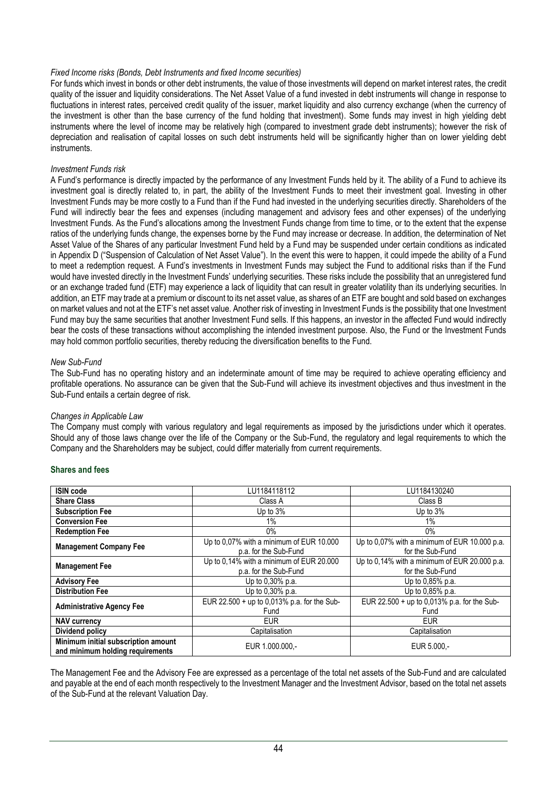## *Fixed Income risks (Bonds, Debt Instruments and fixed Income securities)*

For funds which invest in bonds or other debt instruments, the value of those investments will depend on market interest rates, the credit quality of the issuer and liquidity considerations. The Net Asset Value of a fund invested in debt instruments will change in response to fluctuations in interest rates, perceived credit quality of the issuer, market liquidity and also currency exchange (when the currency of the investment is other than the base currency of the fund holding that investment). Some funds may invest in high yielding debt instruments where the level of income may be relatively high (compared to investment grade debt instruments); however the risk of depreciation and realisation of capital losses on such debt instruments held will be significantly higher than on lower yielding debt instruments.

### *Investment Funds risk*

A Fund's performance is directly impacted by the performance of any Investment Funds held by it. The ability of a Fund to achieve its investment goal is directly related to, in part, the ability of the Investment Funds to meet their investment goal. Investing in other Investment Funds may be more costly to a Fund than if the Fund had invested in the underlying securities directly. Shareholders of the Fund will indirectly bear the fees and expenses (including management and advisory fees and other expenses) of the underlying Investment Funds. As the Fund's allocations among the Investment Funds change from time to time, or to the extent that the expense ratios of the underlying funds change, the expenses borne by the Fund may increase or decrease. In addition, the determination of Net Asset Value of the Shares of any particular Investment Fund held by a Fund may be suspended under certain conditions as indicated in Appendix D ("Suspension of Calculation of Net Asset Value"). In the event this were to happen, it could impede the ability of a Fund to meet a redemption request. A Fund's investments in Investment Funds may subject the Fund to additional risks than if the Fund would have invested directly in the Investment Funds' underlying securities. These risks include the possibility that an unregistered fund or an exchange traded fund (ETF) may experience a lack of liquidity that can result in greater volatility than its underlying securities. In addition, an ETF may trade at a premium or discount to its net asset value, as shares of an ETF are bought and sold based on exchanges on market values and not at the ETF's net asset value. Another risk of investing in Investment Funds is the possibility that one Investment Fund may buy the same securities that another Investment Fund sells. If this happens, an investor in the affected Fund would indirectly bear the costs of these transactions without accomplishing the intended investment purpose. Also, the Fund or the Investment Funds may hold common portfolio securities, thereby reducing the diversification benefits to the Fund.

## *New Sub-Fund*

The Sub-Fund has no operating history and an indeterminate amount of time may be required to achieve operating efficiency and profitable operations. No assurance can be given that the Sub-Fund will achieve its investment objectives and thus investment in the Sub-Fund entails a certain degree of risk.

### *Changes in Applicable Law*

The Company must comply with various regulatory and legal requirements as imposed by the jurisdictions under which it operates. Should any of those laws change over the life of the Company or the Sub-Fund, the regulatory and legal requirements to which the Company and the Shareholders may be subject, could differ materially from current requirements.

### **Shares and fees**

| <b>ISIN code</b>                    | LU1184118112                                | LU1184130240                                  |  |
|-------------------------------------|---------------------------------------------|-----------------------------------------------|--|
|                                     |                                             |                                               |  |
| <b>Share Class</b>                  | Class A                                     | Class B                                       |  |
| <b>Subscription Fee</b>             | Up to 3%                                    | Up to 3%                                      |  |
| <b>Conversion Fee</b>               | 1%                                          | $1\%$                                         |  |
| <b>Redemption Fee</b>               | $0\%$                                       | $0\%$                                         |  |
| <b>Management Company Fee</b>       | Up to 0,07% with a minimum of EUR 10.000    | Up to 0,07% with a minimum of EUR 10.000 p.a. |  |
|                                     | p.a. for the Sub-Fund                       | for the Sub-Fund                              |  |
|                                     | Up to 0,14% with a minimum of EUR 20.000    | Up to 0,14% with a minimum of EUR 20.000 p.a. |  |
| <b>Management Fee</b>               | p.a. for the Sub-Fund                       | for the Sub-Fund                              |  |
| <b>Advisory Fee</b>                 | Up to 0,30% p.a.                            | Up to 0,85% p.a.                              |  |
| <b>Distribution Fee</b>             | Up to 0,30% p.a.                            | Up to 0,85% p.a.                              |  |
|                                     | EUR 22.500 + up to 0,013% p.a. for the Sub- | EUR 22.500 + up to 0,013% p.a. for the Sub-   |  |
| <b>Administrative Agency Fee</b>    | Fund                                        | Fund                                          |  |
| <b>NAV currency</b>                 | <b>EUR</b>                                  | <b>EUR</b>                                    |  |
| Dividend policy                     | Capitalisation                              | Capitalisation                                |  |
| Minimum initial subscription amount |                                             |                                               |  |
| and minimum holding requirements    | EUR 1.000.000.-                             | EUR 5.000,-                                   |  |

The Management Fee and the Advisory Fee are expressed as a percentage of the total net assets of the Sub-Fund and are calculated and payable at the end of each month respectively to the Investment Manager and the Investment Advisor, based on the total net assets of the Sub-Fund at the relevant Valuation Day.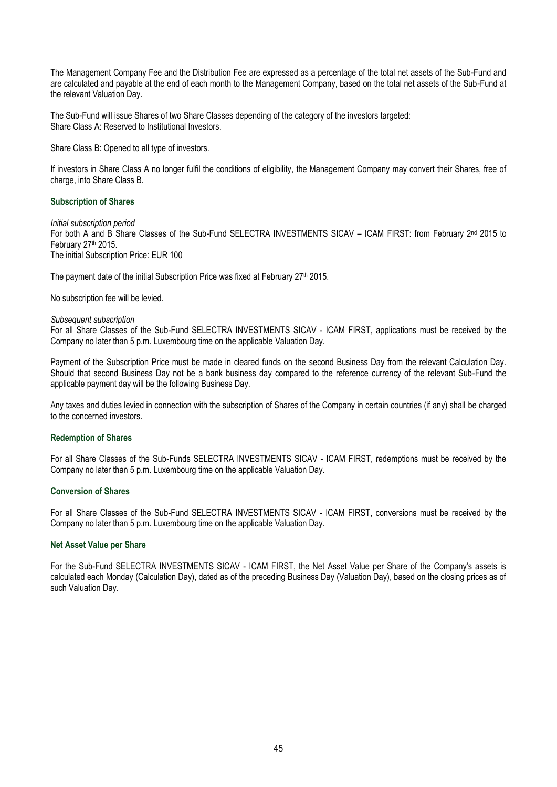The Management Company Fee and the Distribution Fee are expressed as a percentage of the total net assets of the Sub-Fund and are calculated and payable at the end of each month to the Management Company, based on the total net assets of the Sub-Fund at the relevant Valuation Day.

The Sub-Fund will issue Shares of two Share Classes depending of the category of the investors targeted: Share Class A: Reserved to Institutional Investors.

Share Class B: Opened to all type of investors.

If investors in Share Class A no longer fulfil the conditions of eligibility, the Management Company may convert their Shares, free of charge, into Share Class B.

# **Subscription of Shares**

*Initial subscription period* For both A and B Share Classes of the Sub-Fund SELECTRA INVESTMENTS SICAV – ICAM FIRST: from February 2<sup>nd</sup> 2015 to February 27th 2015. The initial Subscription Price: EUR 100

The payment date of the initial Subscription Price was fixed at February 27<sup>th</sup> 2015.

No subscription fee will be levied.

### *Subsequent subscription*

For all Share Classes of the Sub-Fund SELECTRA INVESTMENTS SICAV - ICAM FIRST, applications must be received by the Company no later than 5 p.m. Luxembourg time on the applicable Valuation Day.

Payment of the Subscription Price must be made in cleared funds on the second Business Day from the relevant Calculation Day. Should that second Business Day not be a bank business day compared to the reference currency of the relevant Sub-Fund the applicable payment day will be the following Business Day.

Any taxes and duties levied in connection with the subscription of Shares of the Company in certain countries (if any) shall be charged to the concerned investors.

### **Redemption of Shares**

For all Share Classes of the Sub-Funds SELECTRA INVESTMENTS SICAV - ICAM FIRST, redemptions must be received by the Company no later than 5 p.m. Luxembourg time on the applicable Valuation Day.

### **Conversion of Shares**

For all Share Classes of the Sub-Fund SELECTRA INVESTMENTS SICAV - ICAM FIRST, conversions must be received by the Company no later than 5 p.m. Luxembourg time on the applicable Valuation Day.

# **Net Asset Value per Share**

For the Sub-Fund SELECTRA INVESTMENTS SICAV - ICAM FIRST, the Net Asset Value per Share of the Company's assets is calculated each Monday (Calculation Day), dated as of the preceding Business Day (Valuation Day), based on the closing prices as of such Valuation Day.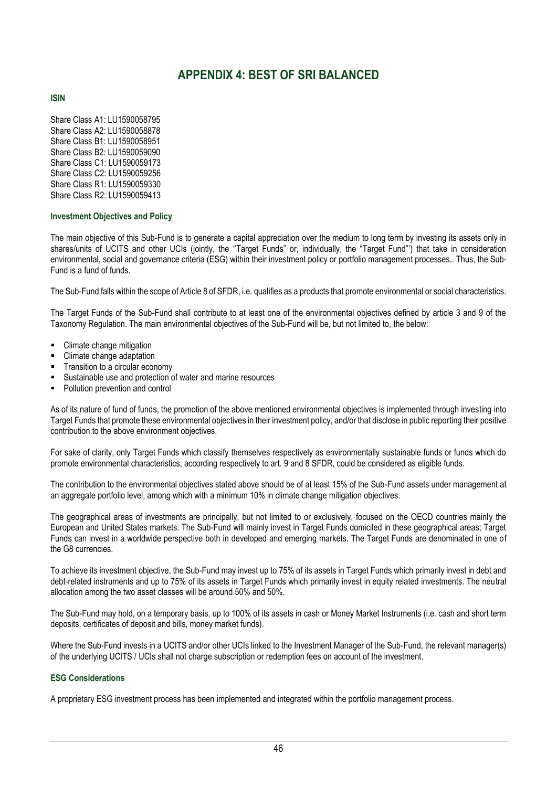# **APPENDIX 4: BEST OF SRI BALANCED**

# <span id="page-45-0"></span>**ISIN**

Share Class A1: LU1590058795 Share Class A2: LU1590058878 Share Class B1: LU1590058951 Share Class B2: LU1590059090 Share Class C1: LU1590059173 Share Class C2: LU1590059256 Share Class R1: LU1590059330 Share Class R2: LU1590059413

## **Investment Objectives and Policy**

The main objective of this Sub-Fund is to generate a capital appreciation over the medium to long term by investing its assets only in shares/units of UCITS and other UCIs (jointly, the ''Target Funds" or, individually, the "Target Fund"') that take in consideration environmental, social and governance criteria (ESG) within their investment policy or portfolio management processes.. Thus, the Sub-Fund is a fund of funds.

The Sub-Fund falls within the scope of Article 8 of SFDR, i.e. qualifies as a products that promote environmental or social characteristics.

The Target Funds of the Sub-Fund shall contribute to at least one of the environmental objectives defined by article 3 and 9 of the Taxonomy Regulation. The main environmental objectives of the Sub-Fund will be, but not limited to, the below:

- Climate change mitigation
- Climate change adaptation
- Transition to a circular economy
- Sustainable use and protection of water and marine resources
- **Pollution prevention and control**

As of its nature of fund of funds, the promotion of the above mentioned environmental objectives is implemented through investing into Target Funds that promote these environmental objectives in their investment policy, and/or that disclose in public reporting their positive contribution to the above environment objectives.

For sake of clarity, only Target Funds which classify themselves respectively as environmentally sustainable funds or funds which do promote environmental characteristics, according respectively to art. 9 and 8 SFDR, could be considered as eligible funds.

The contribution to the environmental objectives stated above should be of at least 15% of the Sub-Fund assets under management at an aggregate portfolio level, among which with a minimum 10% in climate change mitigation objectives.

The geographical areas of investments are principally, but not limited to or exclusively, focused on the OECD countries mainly the European and United States markets. The Sub-Fund will mainly invest in Target Funds domiciled in these geographical areas; Target Funds can invest in a worldwide perspective both in developed and emerging markets. The Target Funds are denominated in one of the G8 currencies.

To achieve its investment objective, the Sub-Fund may invest up to 75% of its assets in Target Funds which primarily invest in debt and debt-related instruments and up to 75% of its assets in Target Funds which primarily invest in equity related investments. The neutral allocation among the two asset classes will be around 50% and 50%.

The Sub-Fund may hold, on a temporary basis, up to 100% of its assets in cash or Money Market Instruments (i.e. cash and short term deposits, certificates of deposit and bills, money market funds).

Where the Sub-Fund invests in a UCITS and/or other UCIs linked to the Investment Manager of the Sub-Fund, the relevant manager(s) of the underlying UCITS / UCIs shall not charge subscription or redemption fees on account of the investment.

# **ESG Considerations**

A proprietary ESG investment process has been implemented and integrated within the portfolio management process.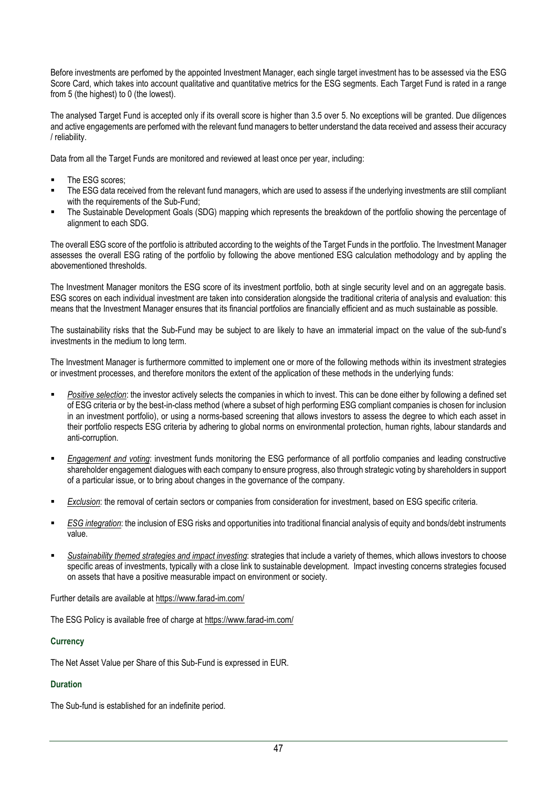Before investments are perfomed by the appointed Investment Manager, each single target investment has to be assessed via the ESG Score Card, which takes into account qualitative and quantitative metrics for the ESG segments. Each Target Fund is rated in a range from 5 (the highest) to 0 (the lowest).

The analysed Target Fund is accepted only if its overall score is higher than 3.5 over 5. No exceptions will be granted. Due diligences and active engagements are perfomed with the relevant fund managers to better understand the data received and assess their accuracy / reliability.

Data from all the Target Funds are monitored and reviewed at least once per year, including:

- The ESG scores;
- The ESG data received from the relevant fund managers, which are used to assess if the underlying investments are still compliant with the requirements of the Sub-Fund;
- The Sustainable Development Goals (SDG) mapping which represents the breakdown of the portfolio showing the percentage of alignment to each SDG.

The overall ESG score of the portfolio is attributed according to the weights of the Target Funds in the portfolio. The Investment Manager assesses the overall ESG rating of the portfolio by following the above mentioned ESG calculation methodology and by appling the abovementioned thresholds.

The Investment Manager monitors the ESG score of its investment portfolio, both at single security level and on an aggregate basis. ESG scores on each individual investment are taken into consideration alongside the traditional criteria of analysis and evaluation: this means that the Investment Manager ensures that its financial portfolios are financially efficient and as much sustainable as possible.

The sustainability risks that the Sub-Fund may be subject to are likely to have an immaterial impact on the value of the sub-fund's investments in the medium to long term.

The Investment Manager is furthermore committed to implement one or more of the following methods within its investment strategies or investment processes, and therefore monitors the extent of the application of these methods in the underlying funds:

- Positive selection: the investor actively selects the companies in which to invest. This can be done either by following a defined set of ESG criteria or by the best-in-class method (where a subset of high performing ESG compliant companies is chosen for inclusion in an investment portfolio), or using a norms-based screening that allows investors to assess the degree to which each asset in their portfolio respects ESG criteria by adhering to global norms on environmental protection, human rights, labour standards and anti-corruption.
- *Engagement and voting*: investment funds monitoring the ESG performance of all portfolio companies and leading constructive shareholder engagement dialogues with each company to ensure progress, also through strategic voting by shareholders in support of a particular issue, or to bring about changes in the governance of the company.
- **Exclusion:** the removal of certain sectors or companies from consideration for investment, based on ESG specific criteria.
- *ESG integration*: the inclusion of ESG risks and opportunities into traditional financial analysis of equity and bonds/debt instruments value.
- Sustainability themed strategies and *impact investing*: strategies that include a variety of themes, which allows investors to choose specific areas of investments, typically with a close link to sustainable development. Impact investing concerns strategies focused on assets that have a positive measurable impact on environment or society.

Further details are available at https://www.farad-im.com/

The ESG Policy is available free of charge at https://www.farad-im.com/

# **Currency**

The Net Asset Value per Share of this Sub-Fund is expressed in EUR.

# **Duration**

The Sub-fund is established for an indefinite period.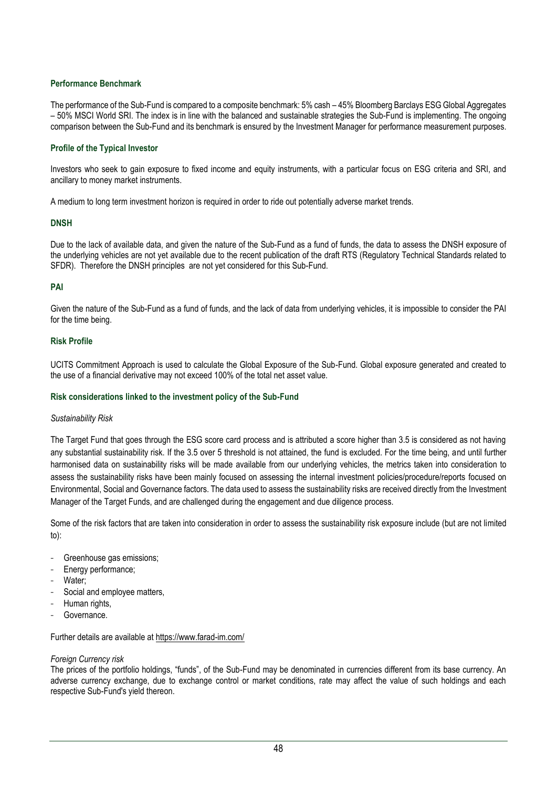# **Performance Benchmark**

The performance of the Sub-Fund is compared to a composite benchmark: 5% cash – 45% Bloomberg Barclays ESG Global Aggregates – 50% MSCI World SRI. The index is in line with the balanced and sustainable strategies the Sub-Fund is implementing. The ongoing comparison between the Sub-Fund and its benchmark is ensured by the Investment Manager for performance measurement purposes.

## **Profile of the Typical Investor**

Investors who seek to gain exposure to fixed income and equity instruments, with a particular focus on ESG criteria and SRI, and ancillary to money market instruments.

A medium to long term investment horizon is required in order to ride out potentially adverse market trends.

## **DNSH**

Due to the lack of available data, and given the nature of the Sub-Fund as a fund of funds, the data to assess the DNSH exposure of the underlying vehicles are not yet available due to the recent publication of the draft RTS (Regulatory Technical Standards related to SFDR). Therefore the DNSH principles are not yet considered for this Sub-Fund.

## **PAI**

Given the nature of the Sub-Fund as a fund of funds, and the lack of data from underlying vehicles, it is impossible to consider the PAI for the time being.

### **Risk Profile**

UCITS Commitment Approach is used to calculate the Global Exposure of the Sub-Fund. Global exposure generated and created to the use of a financial derivative may not exceed 100% of the total net asset value.

### **Risk considerations linked to the investment policy of the Sub-Fund**

### *Sustainability Risk*

The Target Fund that goes through the ESG score card process and is attributed a score higher than 3.5 is considered as not having any substantial sustainability risk. If the 3.5 over 5 threshold is not attained, the fund is excluded. For the time being, and until further harmonised data on sustainability risks will be made available from our underlying vehicles, the metrics taken into consideration to assess the sustainability risks have been mainly focused on assessing the internal investment policies/procedure/reports focused on Environmental, Social and Governance factors. The data used to assess the sustainability risks are received directly from the Investment Manager of the Target Funds, and are challenged during the engagement and due diligence process.

Some of the risk factors that are taken into consideration in order to assess the sustainability risk exposure include (but are not limited to):

- Greenhouse gas emissions;
- Energy performance;
- Water:
- Social and employee matters,
- Human rights,
- Governance.

### Further details are available at https://www.farad-im.com/

### *Foreign Currency risk*

The prices of the portfolio holdings, "funds", of the Sub-Fund may be denominated in currencies different from its base currency. An adverse currency exchange, due to exchange control or market conditions, rate may affect the value of such holdings and each respective Sub-Fund's yield thereon.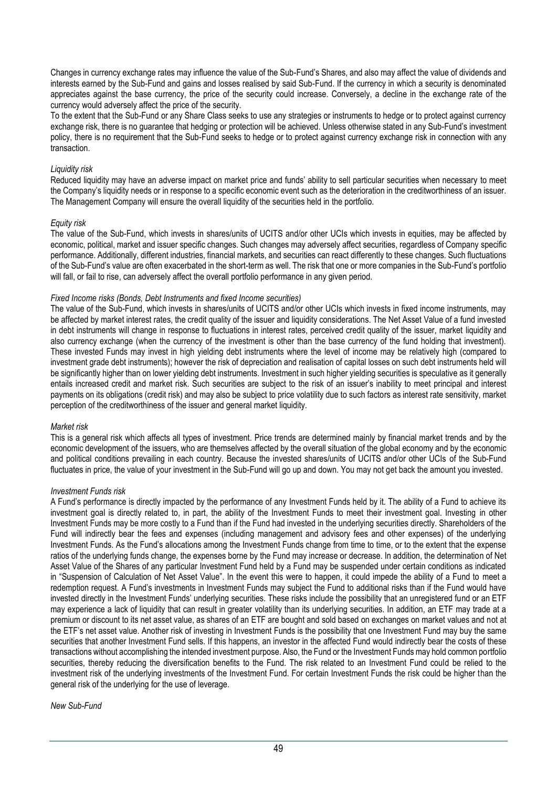Changes in currency exchange rates may influence the value of the Sub-Fund's Shares, and also may affect the value of dividends and interests earned by the Sub-Fund and gains and losses realised by said Sub-Fund. If the currency in which a security is denominated appreciates against the base currency, the price of the security could increase. Conversely, a decline in the exchange rate of the currency would adversely affect the price of the security.

To the extent that the Sub-Fund or any Share Class seeks to use any strategies or instruments to hedge or to protect against currency exchange risk, there is no guarantee that hedging or protection will be achieved. Unless otherwise stated in any Sub-Fund's investment policy, there is no requirement that the Sub-Fund seeks to hedge or to protect against currency exchange risk in connection with any transaction.

## *Liquidity risk*

Reduced liquidity may have an adverse impact on market price and funds' ability to sell particular securities when necessary to meet the Company's liquidity needs or in response to a specific economic event such as the deterioration in the creditworthiness of an issuer. The Management Company will ensure the overall liquidity of the securities held in the portfolio.

## *Equity risk*

The value of the Sub-Fund, which invests in shares/units of UCITS and/or other UCIs which invests in equities, may be affected by economic, political, market and issuer specific changes. Such changes may adversely affect securities, regardless of Company specific performance. Additionally, different industries, financial markets, and securities can react differently to these changes. Such fluctuations of the Sub-Fund's value are often exacerbated in the short-term as well. The risk that one or more companies in the Sub-Fund's portfolio will fall, or fail to rise, can adversely affect the overall portfolio performance in any given period.

## *Fixed Income risks (Bonds, Debt Instruments and fixed Income securities)*

The value of the Sub-Fund, which invests in shares/units of UCITS and/or other UCIs which invests in fixed income instruments, may be affected by market interest rates, the credit quality of the issuer and liquidity considerations. The Net Asset Value of a fund invested in debt instruments will change in response to fluctuations in interest rates, perceived credit quality of the issuer, market liquidity and also currency exchange (when the currency of the investment is other than the base currency of the fund holding that investment). These invested Funds may invest in high yielding debt instruments where the level of income may be relatively high (compared to investment grade debt instruments); however the risk of depreciation and realisation of capital losses on such debt instruments held will be significantly higher than on lower yielding debt instruments. Investment in such higher yielding securities is speculative as it generally entails increased credit and market risk. Such securities are subject to the risk of an issuer's inability to meet principal and interest payments on its obligations (credit risk) and may also be subject to price volatility due to such factors as interest rate sensitivity, market perception of the creditworthiness of the issuer and general market liquidity.

### *Market risk*

This is a general risk which affects all types of investment. Price trends are determined mainly by financial market trends and by the economic development of the issuers, who are themselves affected by the overall situation of the global economy and by the economic and political conditions prevailing in each country. Because the invested shares/units of UCITS and/or other UCIs of the Sub-Fund fluctuates in price, the value of your investment in the Sub-Fund will go up and down. You may not get back the amount you invested.

### *Investment Funds risk*

A Fund's performance is directly impacted by the performance of any Investment Funds held by it. The ability of a Fund to achieve its investment goal is directly related to, in part, the ability of the Investment Funds to meet their investment goal. Investing in other Investment Funds may be more costly to a Fund than if the Fund had invested in the underlying securities directly. Shareholders of the Fund will indirectly bear the fees and expenses (including management and advisory fees and other expenses) of the underlying Investment Funds. As the Fund's allocations among the Investment Funds change from time to time, or to the extent that the expense ratios of the underlying funds change, the expenses borne by the Fund may increase or decrease. In addition, the determination of Net Asset Value of the Shares of any particular Investment Fund held by a Fund may be suspended under certain conditions as indicated in "Suspension of Calculation of Net Asset Value". In the event this were to happen, it could impede the ability of a Fund to meet a redemption request. A Fund's investments in Investment Funds may subject the Fund to additional risks than if the Fund would have invested directly in the Investment Funds' underlying securities. These risks include the possibility that an unregistered fund or an ETF may experience a lack of liquidity that can result in greater volatility than its underlying securities. In addition, an ETF may trade at a premium or discount to its net asset value, as shares of an ETF are bought and sold based on exchanges on market values and not at the ETF's net asset value. Another risk of investing in Investment Funds is the possibility that one Investment Fund may buy the same securities that another Investment Fund sells. If this happens, an investor in the affected Fund would indirectly bear the costs of these transactions without accomplishing the intended investment purpose. Also, the Fund or the Investment Funds may hold common portfolio securities, thereby reducing the diversification benefits to the Fund. The risk related to an Investment Fund could be relied to the investment risk of the underlying investments of the Investment Fund. For certain Investment Funds the risk could be higher than the general risk of the underlying for the use of leverage.

### *New Sub-Fund*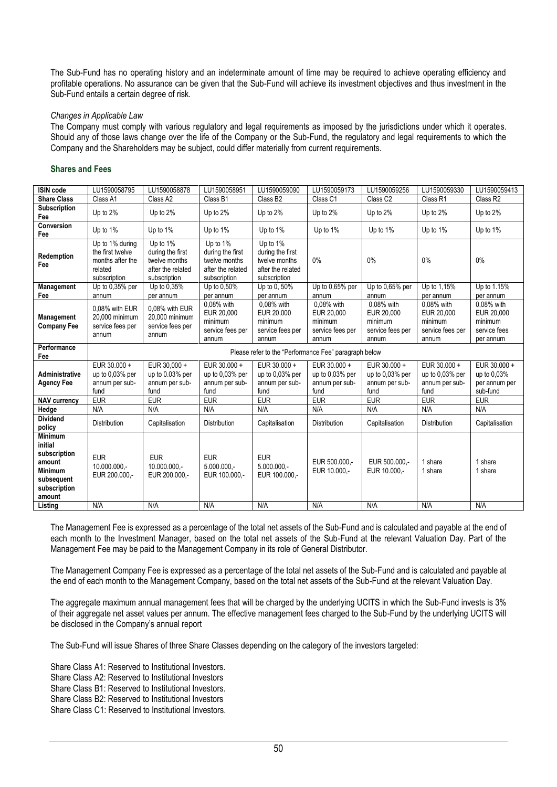The Sub-Fund has no operating history and an indeterminate amount of time may be required to achieve operating efficiency and profitable operations. No assurance can be given that the Sub-Fund will achieve its investment objectives and thus investment in the Sub-Fund entails a certain degree of risk.

### *Changes in Applicable Law*

The Company must comply with various regulatory and legal requirements as imposed by the jurisdictions under which it operates. Should any of those laws change over the life of the Company or the Sub-Fund, the regulatory and legal requirements to which the Company and the Shareholders may be subject, could differ materially from current requirements.

# **Shares and Fees**

| <b>ISIN code</b>                                                                            | LU1590058795                                                                       | LU1590058878                                                                       | LU1590058951                                                                       | LU1590059090                                                                       | LU1590059173                                                     | LU1590059256                                                     | LU1590059330                                                     | LU1590059413                                                     |
|---------------------------------------------------------------------------------------------|------------------------------------------------------------------------------------|------------------------------------------------------------------------------------|------------------------------------------------------------------------------------|------------------------------------------------------------------------------------|------------------------------------------------------------------|------------------------------------------------------------------|------------------------------------------------------------------|------------------------------------------------------------------|
| <b>Share Class</b>                                                                          | Class A1                                                                           | Class A2                                                                           | Class B1                                                                           | Class B <sub>2</sub>                                                               | Class <sub>C1</sub>                                              | Class C <sub>2</sub>                                             | Class <sub>R1</sub>                                              | Class R2                                                         |
| Subscription<br>Fee                                                                         | Up to 2%                                                                           | Up to 2%                                                                           | Up to $2%$                                                                         | Up to 2%                                                                           | Up to 2%                                                         | Up to 2%                                                         | Up to 2%                                                         | Up to 2%                                                         |
| Conversion<br>Fee                                                                           | Up to 1%                                                                           | Up to 1%                                                                           | Up to 1%                                                                           | Up to 1%                                                                           | Up to 1%                                                         | Up to 1%                                                         | Up to 1%                                                         | Up to 1%                                                         |
| Redemption<br>Fee                                                                           | Up to 1% during<br>the first twelve<br>months after the<br>related<br>subscription | Up to 1%<br>during the first<br>twelve months<br>after the related<br>subscription | Up to 1%<br>during the first<br>twelve months<br>after the related<br>subscription | Up to 1%<br>during the first<br>twelve months<br>after the related<br>subscription | $0\%$                                                            | 0%                                                               | 0%                                                               | 0%                                                               |
| Management                                                                                  | Up to 0,35% per                                                                    | Up to 0.35%                                                                        | Up to 0.50%                                                                        | Up to 0, 50%                                                                       | Up to 0,65% per                                                  | Up to 0,65% per                                                  | Up to 1,15%                                                      | Up to 1.15%                                                      |
| Fee                                                                                         | annum                                                                              | per annum                                                                          | per annum                                                                          | per annum                                                                          | annum                                                            | annum                                                            | per annum                                                        | per annum                                                        |
| Management<br><b>Company Fee</b>                                                            | 0.08% with EUR<br>20,000 minimum<br>service fees per<br>annum                      | 0.08% with EUR<br>20.000 minimum<br>service fees per<br>annum                      | 0.08% with<br>EUR 20.000<br>minimum<br>service fees per<br>annum                   | 0.08% with<br>EUR 20,000<br>minimum<br>service fees per<br>annum                   | 0.08% with<br>EUR 20,000<br>minimum<br>service fees per<br>annum | 0.08% with<br>EUR 20,000<br>minimum<br>service fees per<br>annum | 0.08% with<br>EUR 20.000<br>minimum<br>service fees per<br>annum | 0,08% with<br>EUR 20.000<br>minimum<br>service fees<br>per annum |
| Performance<br>Fee                                                                          |                                                                                    |                                                                                    |                                                                                    | Please refer to the "Performance Fee" paragraph below                              |                                                                  |                                                                  |                                                                  |                                                                  |
| Administrative<br><b>Agency Fee</b>                                                         | EUR 30.000 +<br>up to 0.03% per<br>annum per sub-<br>fund                          | EUR 30.000 +<br>up to 0.03% per<br>annum per sub-<br>fund                          | EUR 30.000 +<br>up to $0.03%$ per<br>annum per sub-<br>fund                        | EUR 30.000 +<br>up to $0.03\%$ per<br>annum per sub-<br>fund                       | EUR 30.000 +<br>up to $0.03%$ per<br>annum per sub-<br>fund      | EUR 30.000 +<br>up to 0.03% per<br>annum per sub-<br>fund        | EUR 30.000 +<br>up to 0.03% per<br>annum per sub-<br>fund        | EUR 30.000 +<br>up to 0.03%<br>per annum per<br>sub-fund         |
| <b>NAV currency</b>                                                                         | <b>EUR</b>                                                                         | <b>EUR</b>                                                                         | <b>EUR</b>                                                                         | EUR                                                                                | <b>EUR</b>                                                       | EUR                                                              | <b>EUR</b>                                                       | <b>EUR</b>                                                       |
| Hedge                                                                                       | N/A                                                                                | N/A                                                                                | N/A                                                                                | N/A                                                                                | N/A                                                              | N/A                                                              | N/A                                                              | N/A                                                              |
| <b>Dividend</b><br>policy                                                                   | <b>Distribution</b>                                                                | Capitalisation                                                                     | <b>Distribution</b>                                                                | Capitalisation                                                                     | Distribution                                                     | Capitalisation                                                   | <b>Distribution</b>                                              | Capitalisation                                                   |
| <b>Minimum</b><br>initial                                                                   |                                                                                    |                                                                                    |                                                                                    |                                                                                    |                                                                  |                                                                  |                                                                  |                                                                  |
| subscription<br>amount<br><b>Minimum</b><br>subsequent<br>subscription<br>amount<br>Listing | <b>EUR</b><br>10.000.000,-<br>EUR 200.000,-<br>N/A                                 | <b>EUR</b><br>10.000.000,-<br>EUR 200.000,-<br>N/A                                 | <b>EUR</b><br>$5.000.000,-$<br>EUR 100,000.-<br>N/A                                | <b>EUR</b><br>$5.000.000 -$<br>EUR 100,000.-<br>N/A                                | EUR 500,000 .-<br>EUR 10.000,-<br>N/A                            | EUR 500,000 .-<br>EUR 10.000 .-<br>N/A                           | 1 share<br>1 share<br>N/A                                        | 1 share<br>1 share<br>N/A                                        |

The Management Fee is expressed as a percentage of the total net assets of the Sub-Fund and is calculated and payable at the end of each month to the Investment Manager, based on the total net assets of the Sub-Fund at the relevant Valuation Day. Part of the Management Fee may be paid to the Management Company in its role of General Distributor.

The Management Company Fee is expressed as a percentage of the total net assets of the Sub-Fund and is calculated and payable at the end of each month to the Management Company, based on the total net assets of the Sub-Fund at the relevant Valuation Day.

The aggregate maximum annual management fees that will be charged by the underlying UCITS in which the Sub-Fund invests is 3% of their aggregate net asset values per annum. The effective management fees charged to the Sub-Fund by the underlying UCITS will be disclosed in the Company's annual report

The Sub-Fund will issue Shares of three Share Classes depending on the category of the investors targeted:

Share Class A1: Reserved to Institutional Investors. Share Class A2: Reserved to Institutional Investors

Share Class B1: Reserved to Institutional Investors.

Share Class B2: Reserved to Institutional Investors

Share Class C1: Reserved to Institutional Investors.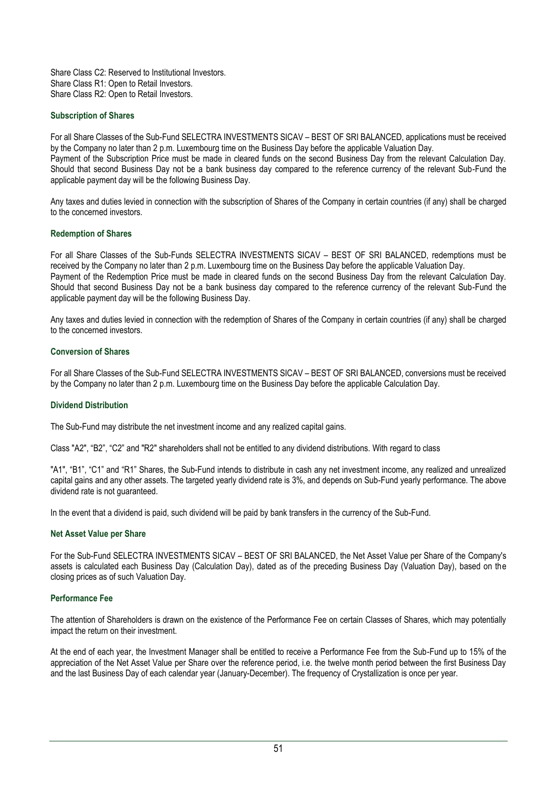Share Class C2: Reserved to Institutional Investors. Share Class R1: Open to Retail Investors. Share Class R2: Open to Retail Investors.

## **Subscription of Shares**

For all Share Classes of the Sub-Fund SELECTRA INVESTMENTS SICAV – BEST OF SRI BALANCED, applications must be received by the Company no later than 2 p.m. Luxembourg time on the Business Day before the applicable Valuation Day. Payment of the Subscription Price must be made in cleared funds on the second Business Day from the relevant Calculation Day. Should that second Business Day not be a bank business day compared to the reference currency of the relevant Sub-Fund the applicable payment day will be the following Business Day.

Any taxes and duties levied in connection with the subscription of Shares of the Company in certain countries (if any) shall be charged to the concerned investors.

## **Redemption of Shares**

For all Share Classes of the Sub-Funds SELECTRA INVESTMENTS SICAV – BEST OF SRI BALANCED, redemptions must be received by the Company no later than 2 p.m. Luxembourg time on the Business Day before the applicable Valuation Day. Payment of the Redemption Price must be made in cleared funds on the second Business Day from the relevant Calculation Day. Should that second Business Day not be a bank business day compared to the reference currency of the relevant Sub-Fund the applicable payment day will be the following Business Day.

Any taxes and duties levied in connection with the redemption of Shares of the Company in certain countries (if any) shall be charged to the concerned investors.

## **Conversion of Shares**

For all Share Classes of the Sub-Fund SELECTRA INVESTMENTS SICAV – BEST OF SRI BALANCED, conversions must be received by the Company no later than 2 p.m. Luxembourg time on the Business Day before the applicable Calculation Day.

### **Dividend Distribution**

The Sub-Fund may distribute the net investment income and any realized capital gains.

Class "A2", "B2", "C2" and "R2" shareholders shall not be entitled to any dividend distributions. With regard to class

"A1", "B1", "C1" and "R1" Shares, the Sub-Fund intends to distribute in cash any net investment income, any realized and unrealized capital gains and any other assets. The targeted yearly dividend rate is 3%, and depends on Sub-Fund yearly performance. The above dividend rate is not quaranteed.

In the event that a dividend is paid, such dividend will be paid by bank transfers in the currency of the Sub-Fund.

### **Net Asset Value per Share**

For the Sub-Fund SELECTRA INVESTMENTS SICAV – BEST OF SRI BALANCED, the Net Asset Value per Share of the Company's assets is calculated each Business Day (Calculation Day), dated as of the preceding Business Day (Valuation Day), based on the closing prices as of such Valuation Day.

### **Performance Fee**

The attention of Shareholders is drawn on the existence of the Performance Fee on certain Classes of Shares, which may potentially impact the return on their investment.

At the end of each year, the Investment Manager shall be entitled to receive a Performance Fee from the Sub-Fund up to 15% of the appreciation of the Net Asset Value per Share over the reference period, i.e. the twelve month period between the first Business Day and the last Business Day of each calendar year (January-December). The frequency of Crystallization is once per year.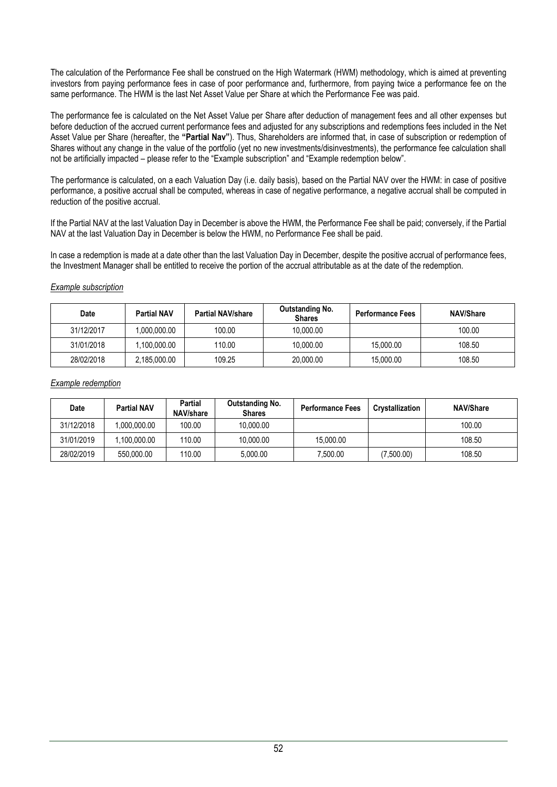The calculation of the Performance Fee shall be construed on the High Watermark (HWM) methodology, which is aimed at preventing investors from paying performance fees in case of poor performance and, furthermore, from paying twice a performance fee on the same performance. The HWM is the last Net Asset Value per Share at which the Performance Fee was paid.

The performance fee is calculated on the Net Asset Value per Share after deduction of management fees and all other expenses but before deduction of the accrued current performance fees and adjusted for any subscriptions and redemptions fees included in the Net Asset Value per Share (hereafter, the **"Partial Nav"**). Thus, Shareholders are informed that, in case of subscription or redemption of Shares without any change in the value of the portfolio (yet no new investments/disinvestments), the performance fee calculation shall not be artificially impacted – please refer to the "Example subscription" and "Example redemption below".

The performance is calculated, on a each Valuation Day (i.e. daily basis), based on the Partial NAV over the HWM: in case of positive performance, a positive accrual shall be computed, whereas in case of negative performance, a negative accrual shall be computed in reduction of the positive accrual.

If the Partial NAV at the last Valuation Day in December is above the HWM, the Performance Fee shall be paid; conversely, if the Partial NAV at the last Valuation Day in December is below the HWM, no Performance Fee shall be paid.

In case a redemption is made at a date other than the last Valuation Day in December, despite the positive accrual of performance fees, the Investment Manager shall be entitled to receive the portion of the accrual attributable as at the date of the redemption.

# *Example subscription*

| <b>Date</b> | <b>Partial NAV</b> | <b>Partial NAV/share</b> | Outstanding No.<br><b>Shares</b> | <b>Performance Fees</b> | <b>NAV/Share</b> |
|-------------|--------------------|--------------------------|----------------------------------|-------------------------|------------------|
| 31/12/2017  | 0.000.000.00       | 100.00                   | 10.000.00                        |                         | 100.00           |
| 31/01/2018  | .100.000.00        | 110.00                   | 10.000.00                        | 15.000.00               | 108.50           |
| 28/02/2018  | 2,185,000.00       | 109.25                   | 20.000.00                        | 15.000.00               | 108.50           |

# *Example redemption*

| Date       | <b>Partial NAV</b> | <b>Partial</b><br>NAV/share | Outstanding No.<br><b>Shares</b> | <b>Performance Fees</b> | <b>Crystallization</b> | <b>NAV/Share</b> |
|------------|--------------------|-----------------------------|----------------------------------|-------------------------|------------------------|------------------|
| 31/12/2018 | 00.000.00.00.      | 100.00                      | 10.000.00                        |                         |                        | 100.00           |
| 31/01/2019 | .100.000.00        | 110.00                      | 10.000.00                        | 15.000.00               |                        | 108.50           |
| 28/02/2019 | 550,000.00         | 110.00                      | 5.000.00                         | 7,500.00                | (7,500.00)             | 108.50           |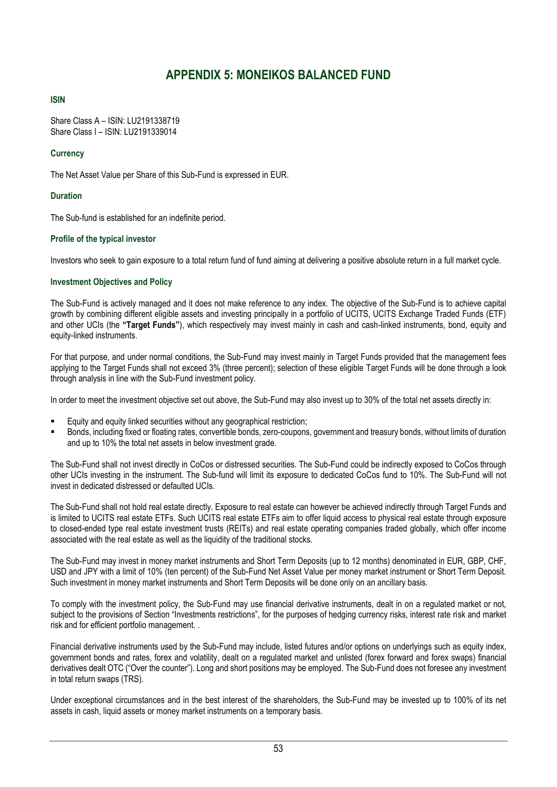# **APPENDIX 5: MONEIKOS BALANCED FUND**

# <span id="page-52-0"></span>**ISIN**

Share Class A – ISIN: LU2191338719 Share Class I – ISIN: LU2191339014

# **Currency**

The Net Asset Value per Share of this Sub-Fund is expressed in EUR.

# **Duration**

The Sub-fund is established for an indefinite period.

# **Profile of the typical investor**

Investors who seek to gain exposure to a total return fund of fund aiming at delivering a positive absolute return in a full market cycle.

# **Investment Objectives and Policy**

The Sub-Fund is actively managed and it does not make reference to any index. The objective of the Sub-Fund is to achieve capital growth by combining different eligible assets and investing principally in a portfolio of UCITS, UCITS Exchange Traded Funds (ETF) and other UCIs (the **"Target Funds"**), which respectively may invest mainly in cash and cash-linked instruments, bond, equity and equity-linked instruments.

For that purpose, and under normal conditions, the Sub-Fund may invest mainly in Target Funds provided that the management fees applying to the Target Funds shall not exceed 3% (three percent); selection of these eligible Target Funds will be done through a look through analysis in line with the Sub-Fund investment policy.

In order to meet the investment objective set out above, the Sub-Fund may also invest up to 30% of the total net assets directly in:

- Equity and equity linked securities without any geographical restriction;
- Bonds, including fixed or floating rates, convertible bonds, zero-coupons, government and treasury bonds, without limits of duration and up to 10% the total net assets in below investment grade.

The Sub-Fund shall not invest directly in CoCos or distressed securities. The Sub-Fund could be indirectly exposed to CoCos through other UCIs investing in the instrument. The Sub-fund will limit its exposure to dedicated CoCos fund to 10%. The Sub-Fund will not invest in dedicated distressed or defaulted UCIs.

The Sub-Fund shall not hold real estate directly. Exposure to real estate can however be achieved indirectly through Target Funds and is limited to UCITS real estate ETFs. Such UCITS real estate ETFs aim to offer liquid access to physical real estate through exposure to closed-ended type real estate investment trusts (REITs) and real estate operating companies traded globally, which offer income associated with the real estate as well as the liquidity of the traditional stocks.

The Sub-Fund may invest in money market instruments and Short Term Deposits (up to 12 months) denominated in EUR, GBP, CHF, USD and JPY with a limit of 10% (ten percent) of the Sub-Fund Net Asset Value per money market instrument or Short Term Deposit. Such investment in money market instruments and Short Term Deposits will be done only on an ancillary basis.

To comply with the investment policy, the Sub-Fund may use financial derivative instruments, dealt in on a regulated market or not, subject to the provisions of Section "Investments restrictions", for the purposes of hedging currency risks, interest rate risk and market risk and for efficient portfolio management. .

Financial derivative instruments used by the Sub-Fund may include, listed futures and/or options on underlyings such as equity index, government bonds and rates, forex and volatility, dealt on a regulated market and unlisted (forex forward and forex swaps) financial derivatives dealt OTC ("Over the counter"). Long and short positions may be employed. The Sub-Fund does not foresee any investment in total return swaps (TRS).

Under exceptional circumstances and in the best interest of the shareholders, the Sub-Fund may be invested up to 100% of its net assets in cash, liquid assets or money market instruments on a temporary basis.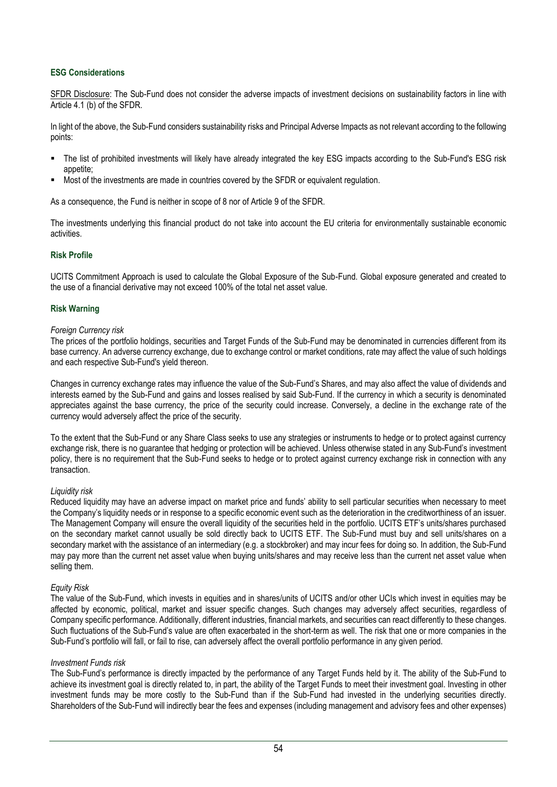# **ESG Considerations**

SFDR Disclosure: The Sub-Fund does not consider the adverse impacts of investment decisions on sustainability factors in line with Article 4.1 (b) of the SFDR.

In light of the above, the Sub-Fund considers sustainability risks and Principal Adverse Impacts as not relevant according to the following points:

- The list of prohibited investments will likely have already integrated the key ESG impacts according to the Sub-Fund's ESG risk appetite;
- Most of the investments are made in countries covered by the SFDR or equivalent regulation.

As a consequence, the Fund is neither in scope of 8 nor of Article 9 of the SFDR.

The investments underlying this financial product do not take into account the EU criteria for environmentally sustainable economic activities.

# **Risk Profile**

UCITS Commitment Approach is used to calculate the Global Exposure of the Sub-Fund. Global exposure generated and created to the use of a financial derivative may not exceed 100% of the total net asset value.

## **Risk Warning**

### *Foreign Currency risk*

The prices of the portfolio holdings, securities and Target Funds of the Sub-Fund may be denominated in currencies different from its base currency. An adverse currency exchange, due to exchange control or market conditions, rate may affect the value of such holdings and each respective Sub-Fund's yield thereon.

Changes in currency exchange rates may influence the value of the Sub-Fund's Shares, and may also affect the value of dividends and interests earned by the Sub-Fund and gains and losses realised by said Sub-Fund. If the currency in which a security is denominated appreciates against the base currency, the price of the security could increase. Conversely, a decline in the exchange rate of the currency would adversely affect the price of the security.

To the extent that the Sub-Fund or any Share Class seeks to use any strategies or instruments to hedge or to protect against currency exchange risk, there is no guarantee that hedging or protection will be achieved. Unless otherwise stated in any Sub-Fund's investment policy, there is no requirement that the Sub-Fund seeks to hedge or to protect against currency exchange risk in connection with any transaction.

### *Liquidity risk*

Reduced liquidity may have an adverse impact on market price and funds' ability to sell particular securities when necessary to meet the Company's liquidity needs or in response to a specific economic event such as the deterioration in the creditworthiness of an issuer. The Management Company will ensure the overall liquidity of the securities held in the portfolio. UCITS ETF's units/shares purchased on the secondary market cannot usually be sold directly back to UCITS ETF. The Sub-Fund must buy and sell units/shares on a secondary market with the assistance of an intermediary (e.g. a stockbroker) and may incur fees for doing so. In addition, the Sub-Fund may pay more than the current net asset value when buying units/shares and may receive less than the current net asset value when selling them.

### *Equity Risk*

The value of the Sub-Fund, which invests in equities and in shares/units of UCITS and/or other UCIs which invest in equities may be affected by economic, political, market and issuer specific changes. Such changes may adversely affect securities, regardless of Company specific performance. Additionally, different industries, financial markets, and securities can react differently to these changes. Such fluctuations of the Sub-Fund's value are often exacerbated in the short-term as well. The risk that one or more companies in the Sub-Fund's portfolio will fall, or fail to rise, can adversely affect the overall portfolio performance in any given period.

### *Investment Funds risk*

The Sub-Fund's performance is directly impacted by the performance of any Target Funds held by it. The ability of the Sub-Fund to achieve its investment goal is directly related to, in part, the ability of the Target Funds to meet their investment goal. Investing in other investment funds may be more costly to the Sub-Fund than if the Sub-Fund had invested in the underlying securities directly. Shareholders of the Sub-Fund will indirectly bear the fees and expenses (including management and advisory fees and other expenses)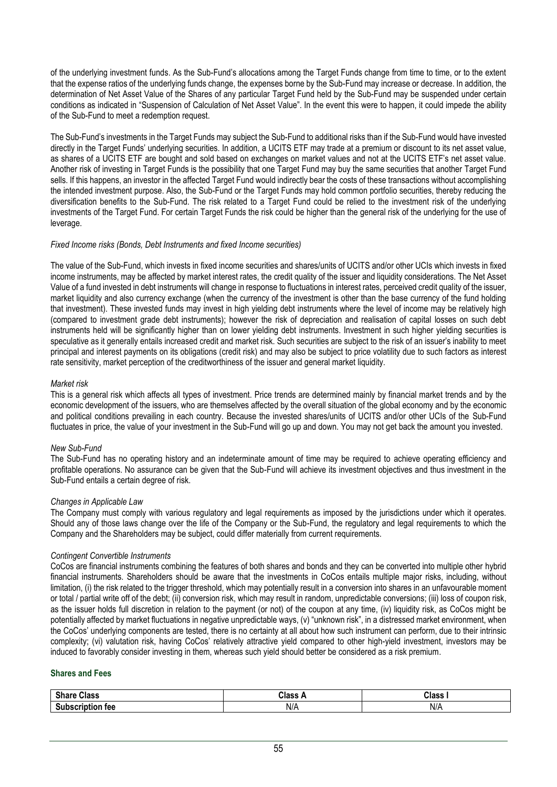of the underlying investment funds. As the Sub-Fund's allocations among the Target Funds change from time to time, or to the extent that the expense ratios of the underlying funds change, the expenses borne by the Sub-Fund may increase or decrease. In addition, the determination of Net Asset Value of the Shares of any particular Target Fund held by the Sub-Fund may be suspended under certain conditions as indicated in "Suspension of Calculation of Net Asset Value". In the event this were to happen, it could impede the ability of the Sub-Fund to meet a redemption request.

The Sub-Fund's investments in the Target Funds may subject the Sub-Fund to additional risks than if the Sub-Fund would have invested directly in the Target Funds' underlying securities. In addition, a UCITS ETF may trade at a premium or discount to its net asset value, as shares of a UCITS ETF are bought and sold based on exchanges on market values and not at the UCITS ETF's net asset value. Another risk of investing in Target Funds is the possibility that one Target Fund may buy the same securities that another Target Fund sells. If this happens, an investor in the affected Target Fund would indirectly bear the costs of these transactions without accomplishing the intended investment purpose. Also, the Sub-Fund or the Target Funds may hold common portfolio securities, thereby reducing the diversification benefits to the Sub-Fund. The risk related to a Target Fund could be relied to the investment risk of the underlying investments of the Target Fund. For certain Target Funds the risk could be higher than the general risk of the underlying for the use of leverage.

## *Fixed Income risks (Bonds, Debt Instruments and fixed Income securities)*

The value of the Sub-Fund, which invests in fixed income securities and shares/units of UCITS and/or other UCIs which invests in fixed income instruments, may be affected by market interest rates, the credit quality of the issuer and liquidity considerations. The Net Asset Value of a fund invested in debt instruments will change in response to fluctuations in interest rates, perceived credit quality of the issuer, market liquidity and also currency exchange (when the currency of the investment is other than the base currency of the fund holding that investment). These invested funds may invest in high yielding debt instruments where the level of income may be relatively high (compared to investment grade debt instruments); however the risk of depreciation and realisation of capital losses on such debt instruments held will be significantly higher than on lower yielding debt instruments. Investment in such higher yielding securities is speculative as it generally entails increased credit and market risk. Such securities are subject to the risk of an issuer's inability to meet principal and interest payments on its obligations (credit risk) and may also be subject to price volatility due to such factors as interest rate sensitivity, market perception of the creditworthiness of the issuer and general market liquidity.

## *Market risk*

This is a general risk which affects all types of investment. Price trends are determined mainly by financial market trends and by the economic development of the issuers, who are themselves affected by the overall situation of the global economy and by the economic and political conditions prevailing in each country. Because the invested shares/units of UCITS and/or other UCIs of the Sub-Fund fluctuates in price, the value of your investment in the Sub-Fund will go up and down. You may not get back the amount you invested.

### *New Sub-Fund*

The Sub-Fund has no operating history and an indeterminate amount of time may be required to achieve operating efficiency and profitable operations. No assurance can be given that the Sub-Fund will achieve its investment objectives and thus investment in the Sub-Fund entails a certain degree of risk.

## *Changes in Applicable Law*

The Company must comply with various regulatory and legal requirements as imposed by the jurisdictions under which it operates. Should any of those laws change over the life of the Company or the Sub-Fund, the regulatory and legal requirements to which the Company and the Shareholders may be subject, could differ materially from current requirements.

### *Contingent Convertible Instruments*

CoCos are financial instruments combining the features of both shares and bonds and they can be converted into multiple other hybrid financial instruments. Shareholders should be aware that the investments in CoCos entails multiple major risks, including, without limitation, (i) the risk related to the trigger threshold, which may potentially result in a conversion into shares in an unfavourable moment or total / partial write off of the debt; (ii) conversion risk, which may result in random, unpredictable conversions; (iii) loss of coupon risk, as the issuer holds full discretion in relation to the payment (or not) of the coupon at any time, (iv) liquidity risk, as CoCos might be potentially affected by market fluctuations in negative unpredictable ways, (v) "unknown risk", in a distressed market environment, when the CoCos' underlying components are tested, there is no certainty at all about how such instrument can perform, due to their intrinsic complexity; (vi) valutation risk, having CoCos' relatively attractive yield compared to other high-yield investment, investors may be induced to favorably consider investing in them, whereas such yield should better be considered as a risk premium.

### **Shares and Fees**

| <b>Chave</b><br>Class     | $\mathcal{C}$ lass. | Class |
|---------------------------|---------------------|-------|
| . .<br><b>C.L.</b><br>теє | N/A                 | N/A   |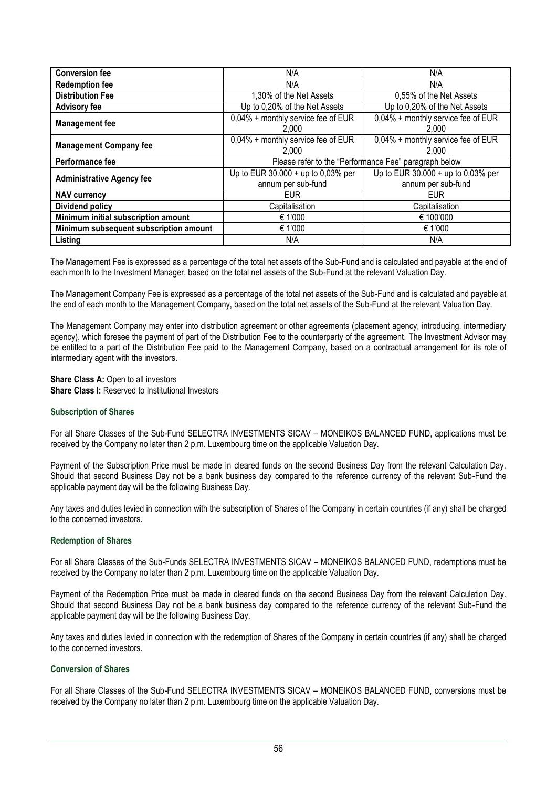| <b>Conversion fee</b>                  | N/A                                                        | N/A                                                      |  |  |
|----------------------------------------|------------------------------------------------------------|----------------------------------------------------------|--|--|
| <b>Redemption fee</b>                  | N/A                                                        | N/A                                                      |  |  |
| <b>Distribution Fee</b>                | 1,30% of the Net Assets                                    | 0,55% of the Net Assets                                  |  |  |
| <b>Advisory fee</b>                    | Up to 0,20% of the Net Assets                              | Up to 0,20% of the Net Assets                            |  |  |
| <b>Management fee</b>                  | 0,04% + monthly service fee of EUR<br>2.000                | 0,04% + monthly service fee of EUR<br>2.000              |  |  |
| <b>Management Company fee</b>          | 0,04% + monthly service fee of EUR<br>2.000                | 0,04% + monthly service fee of EUR<br>2.000              |  |  |
| Performance fee                        |                                                            | Please refer to the "Performance Fee" paragraph below    |  |  |
| <b>Administrative Agency fee</b>       | Up to EUR $30.000 + up$ to 0,03% per<br>annum per sub-fund | Up to EUR 30.000 + up to 0,03% per<br>annum per sub-fund |  |  |
| <b>NAV currency</b>                    | <b>EUR</b>                                                 | <b>EUR</b>                                               |  |  |
|                                        |                                                            |                                                          |  |  |
| Dividend policy                        | Capitalisation                                             | Capitalisation                                           |  |  |
| Minimum initial subscription amount    | € 1'000                                                    | € 100'000                                                |  |  |
| Minimum subsequent subscription amount | € 1'000                                                    | € 1'000                                                  |  |  |

The Management Fee is expressed as a percentage of the total net assets of the Sub-Fund and is calculated and payable at the end of each month to the Investment Manager, based on the total net assets of the Sub-Fund at the relevant Valuation Day.

The Management Company Fee is expressed as a percentage of the total net assets of the Sub-Fund and is calculated and payable at the end of each month to the Management Company, based on the total net assets of the Sub-Fund at the relevant Valuation Day.

The Management Company may enter into distribution agreement or other agreements (placement agency, introducing, intermediary agency), which foresee the payment of part of the Distribution Fee to the counterparty of the agreement. The Investment Advisor may be entitled to a part of the Distribution Fee paid to the Management Company, based on a contractual arrangement for its role of intermediary agent with the investors.

**Share Class A:** Open to all investors **Share Class I:** Reserved to Institutional Investors

### **Subscription of Shares**

For all Share Classes of the Sub-Fund SELECTRA INVESTMENTS SICAV – MONEIKOS BALANCED FUND, applications must be received by the Company no later than 2 p.m. Luxembourg time on the applicable Valuation Day.

Payment of the Subscription Price must be made in cleared funds on the second Business Day from the relevant Calculation Day. Should that second Business Day not be a bank business day compared to the reference currency of the relevant Sub-Fund the applicable payment day will be the following Business Day.

Any taxes and duties levied in connection with the subscription of Shares of the Company in certain countries (if any) shall be charged to the concerned investors.

### **Redemption of Shares**

For all Share Classes of the Sub-Funds SELECTRA INVESTMENTS SICAV – MONEIKOS BALANCED FUND, redemptions must be received by the Company no later than 2 p.m. Luxembourg time on the applicable Valuation Day.

Payment of the Redemption Price must be made in cleared funds on the second Business Day from the relevant Calculation Day. Should that second Business Day not be a bank business day compared to the reference currency of the relevant Sub-Fund the applicable payment day will be the following Business Day.

Any taxes and duties levied in connection with the redemption of Shares of the Company in certain countries (if any) shall be charged to the concerned investors.

# **Conversion of Shares**

For all Share Classes of the Sub-Fund SELECTRA INVESTMENTS SICAV – MONEIKOS BALANCED FUND, conversions must be received by the Company no later than 2 p.m. Luxembourg time on the applicable Valuation Day.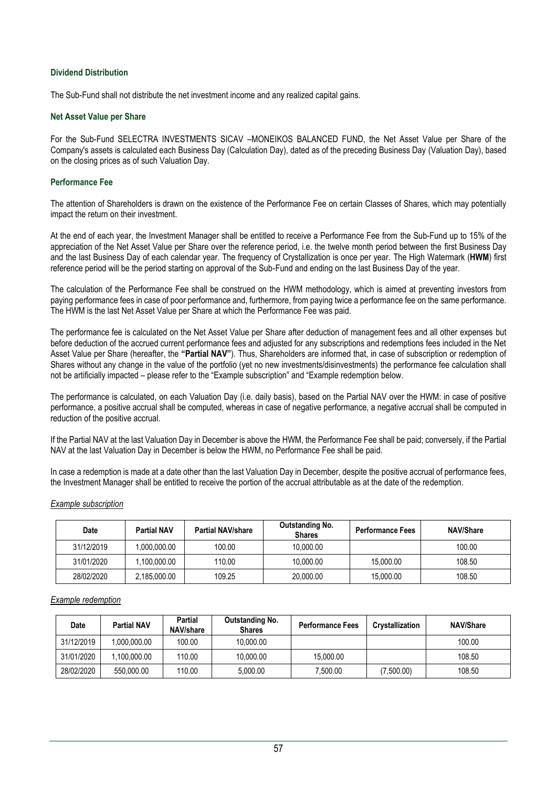## **Dividend Distribution**

The Sub-Fund shall not distribute the net investment income and any realized capital gains.

### **Net Asset Value per Share**

For the Sub-Fund SELECTRA INVESTMENTS SICAV –MONEIKOS BALANCED FUND, the Net Asset Value per Share of the Company's assets is calculated each Business Day (Calculation Day), dated as of the preceding Business Day (Valuation Day), based on the closing prices as of such Valuation Day.

### **Performance Fee**

The attention of Shareholders is drawn on the existence of the Performance Fee on certain Classes of Shares, which may potentially impact the return on their investment.

At the end of each year, the Investment Manager shall be entitled to receive a Performance Fee from the Sub-Fund up to 15% of the appreciation of the Net Asset Value per Share over the reference period, i.e. the twelve month period between the first Business Day and the last Business Day of each calendar year. The frequency of Crystallization is once per year. The High Watermark (**HWM**) first reference period will be the period starting on approval of the Sub-Fund and ending on the last Business Day of the year.

The calculation of the Performance Fee shall be construed on the HWM methodology, which is aimed at preventing investors from paying performance fees in case of poor performance and, furthermore, from paying twice a performance fee on the same performance. The HWM is the last Net Asset Value per Share at which the Performance Fee was paid.

The performance fee is calculated on the Net Asset Value per Share after deduction of management fees and all other expenses but before deduction of the accrued current performance fees and adjusted for any subscriptions and redemptions fees included in the Net Asset Value per Share (hereafter, the **"Partial NAV"**). Thus, Shareholders are informed that, in case of subscription or redemption of Shares without any change in the value of the portfolio (yet no new investments/disinvestments) the performance fee calculation shall not be artificially impacted – please refer to the "Example subscription" and "Example redemption below.

The performance is calculated, on each Valuation Day (i.e. daily basis), based on the Partial NAV over the HWM: in case of positive performance, a positive accrual shall be computed, whereas in case of negative performance, a negative accrual shall be computed in reduction of the positive accrual.

If the Partial NAV at the last Valuation Day in December is above the HWM, the Performance Fee shall be paid; conversely, if the Partial NAV at the last Valuation Day in December is below the HWM, no Performance Fee shall be paid.

In case a redemption is made at a date other than the last Valuation Day in December, despite the positive accrual of performance fees, the Investment Manager shall be entitled to receive the portion of the accrual attributable as at the date of the redemption.

### *Example subscription*

| <b>Date</b> | <b>Partial NAV</b> | <b>Partial NAV/share</b> | <b>Outstanding No.</b><br><b>Shares</b> | <b>Performance Fees</b> | <b>NAV/Share</b> |
|-------------|--------------------|--------------------------|-----------------------------------------|-------------------------|------------------|
| 31/12/2019  | .000.000.00        | 100.00                   | 10.000.00                               |                         | 100.00           |
| 31/01/2020  | .100.000.00        | 110.00                   | 10,000.00                               | 15.000.00               | 108.50           |
| 28/02/2020  | 2,185,000.00       | 109.25                   | 20,000.00                               | 15.000.00               | 108.50           |

# *Example redemption*

| Date       | <b>Partial NAV</b> | Partial<br>NAV/share | Outstanding No.<br><b>Shares</b> | <b>Performance Fees</b> | <b>Crystallization</b> | <b>NAV/Share</b> |
|------------|--------------------|----------------------|----------------------------------|-------------------------|------------------------|------------------|
| 31/12/2019 | 1.000.000.00       | 100.00               | 10.000.00                        |                         |                        | 100.00           |
| 31/01/2020 | 1.100.000.00       | 110.00               | 10.000.00                        | 15.000.00               |                        | 108.50           |
| 28/02/2020 | 550,000.00         | 110.00               | 5.000.00                         | 7.500.00                | (7,500.00)             | 108.50           |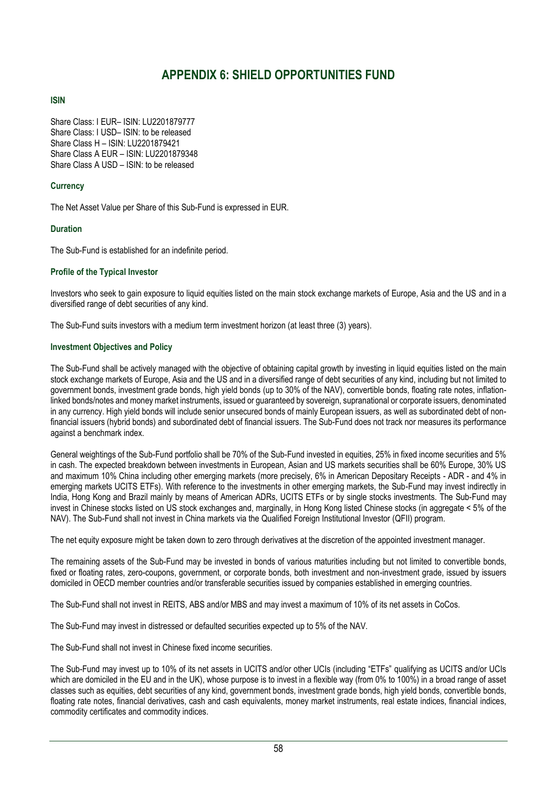# **APPENDIX 6: SHIELD OPPORTUNITIES FUND**

# <span id="page-57-0"></span>**ISIN**

Share Class: I EUR– ISIN: LU2201879777 Share Class: I USD– ISIN: to be released Share Class H – ISIN: LU2201879421 Share Class A EUR – ISIN: LU2201879348 Share Class A USD – ISIN: to be released

# **Currency**

The Net Asset Value per Share of this Sub-Fund is expressed in EUR.

# **Duration**

The Sub-Fund is established for an indefinite period.

# **Profile of the Typical Investor**

Investors who seek to gain exposure to liquid equities listed on the main stock exchange markets of Europe, Asia and the US and in a diversified range of debt securities of any kind.

The Sub-Fund suits investors with a medium term investment horizon (at least three (3) years).

# **Investment Objectives and Policy**

The Sub-Fund shall be actively managed with the objective of obtaining capital growth by investing in liquid equities listed on the main stock exchange markets of Europe, Asia and the US and in a diversified range of debt securities of any kind, including but not limited to government bonds, investment grade bonds, high yield bonds (up to 30% of the NAV), convertible bonds, floating rate notes, inflationlinked bonds/notes and money market instruments, issued or guaranteed by sovereign, supranational or corporate issuers, denominated in any currency. High yield bonds will include senior unsecured bonds of mainly European issuers, as well as subordinated debt of nonfinancial issuers (hybrid bonds) and subordinated debt of financial issuers. The Sub-Fund does not track nor measures its performance against a benchmark index.

General weightings of the Sub-Fund portfolio shall be 70% of the Sub-Fund invested in equities, 25% in fixed income securities and 5% in cash. The expected breakdown between investments in European, Asian and US markets securities shall be 60% Europe, 30% US and maximum 10% China including other emerging markets (more precisely, 6% in American Depositary Receipts - ADR - and 4% in emerging markets UCITS ETFs). With reference to the investments in other emerging markets, the Sub-Fund may invest indirectly in India, Hong Kong and Brazil mainly by means of American ADRs, UCITS ETFs or by single stocks investments. The Sub-Fund may invest in Chinese stocks listed on US stock exchanges and, marginally, in Hong Kong listed Chinese stocks (in aggregate < 5% of the NAV). The Sub-Fund shall not invest in China markets via the Qualified Foreign Institutional Investor (QFII) program.

The net equity exposure might be taken down to zero through derivatives at the discretion of the appointed investment manager.

The remaining assets of the Sub-Fund may be invested in bonds of various maturities including but not limited to convertible bonds, fixed or floating rates, zero-coupons, government, or corporate bonds, both investment and non-investment grade, issued by issuers domiciled in OECD member countries and/or transferable securities issued by companies established in emerging countries.

The Sub-Fund shall not invest in REITS, ABS and/or MBS and may invest a maximum of 10% of its net assets in CoCos.

The Sub-Fund may invest in distressed or defaulted securities expected up to 5% of the NAV.

The Sub-Fund shall not invest in Chinese fixed income securities.

The Sub-Fund may invest up to 10% of its net assets in UCITS and/or other UCIs (including "ETFs" qualifying as UCITS and/or UCIs which are domiciled in the EU and in the UK), whose purpose is to invest in a flexible way (from 0% to 100%) in a broad range of asset classes such as equities, debt securities of any kind, government bonds, investment grade bonds, high yield bonds, convertible bonds, floating rate notes, financial derivatives, cash and cash equivalents, money market instruments, real estate indices, financial indices, commodity certificates and commodity indices.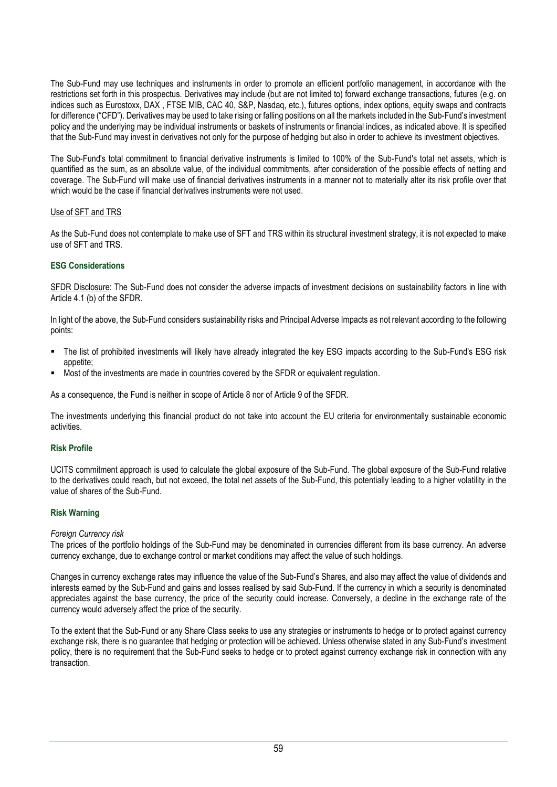The Sub-Fund may use techniques and instruments in order to promote an efficient portfolio management, in accordance with the restrictions set forth in this prospectus. Derivatives may include (but are not limited to) forward exchange transactions, futures (e.g. on indices such as Eurostoxx, DAX , FTSE MIB, CAC 40, S&P, Nasdaq, etc.), futures options, index options, equity swaps and contracts for difference ("CFD"). Derivatives may be used to take rising or falling positions on all the markets included in the Sub-Fund's investment policy and the underlying may be individual instruments or baskets of instruments or financial indices, as indicated above. It is specified that the Sub-Fund may invest in derivatives not only for the purpose of hedging but also in order to achieve its investment objectives.

The Sub-Fund's total commitment to financial derivative instruments is limited to 100% of the Sub-Fund's total net assets, which is quantified as the sum, as an absolute value, of the individual commitments, after consideration of the possible effects of netting and coverage. The Sub-Fund will make use of financial derivatives instruments in a manner not to materially alter its risk profile over that which would be the case if financial derivatives instruments were not used.

## Use of SFT and TRS

As the Sub-Fund does not contemplate to make use of SFT and TRS within its structural investment strategy, it is not expected to make use of SFT and TRS.

## **ESG Considerations**

SFDR Disclosure: The Sub-Fund does not consider the adverse impacts of investment decisions on sustainability factors in line with Article 4.1 (b) of the SFDR.

In light of the above, the Sub-Fund considers sustainability risks and Principal Adverse Impacts as not relevant according to the following points:

- The list of prohibited investments will likely have already integrated the key ESG impacts according to the Sub-Fund's ESG risk appetite;
- Most of the investments are made in countries covered by the SFDR or equivalent regulation.

As a consequence, the Fund is neither in scope of Article 8 nor of Article 9 of the SFDR.

The investments underlying this financial product do not take into account the EU criteria for environmentally sustainable economic activities.

### **Risk Profile**

UCITS commitment approach is used to calculate the global exposure of the Sub-Fund. The global exposure of the Sub-Fund relative to the derivatives could reach, but not exceed, the total net assets of the Sub-Fund, this potentially leading to a higher volatility in the value of shares of the Sub-Fund.

## **Risk Warning**

### *Foreign Currency risk*

The prices of the portfolio holdings of the Sub-Fund may be denominated in currencies different from its base currency. An adverse currency exchange, due to exchange control or market conditions may affect the value of such holdings.

Changes in currency exchange rates may influence the value of the Sub-Fund's Shares, and also may affect the value of dividends and interests earned by the Sub-Fund and gains and losses realised by said Sub-Fund. If the currency in which a security is denominated appreciates against the base currency, the price of the security could increase. Conversely, a decline in the exchange rate of the currency would adversely affect the price of the security.

To the extent that the Sub-Fund or any Share Class seeks to use any strategies or instruments to hedge or to protect against currency exchange risk, there is no guarantee that hedging or protection will be achieved. Unless otherwise stated in any Sub-Fund's investment policy, there is no requirement that the Sub-Fund seeks to hedge or to protect against currency exchange risk in connection with any transaction.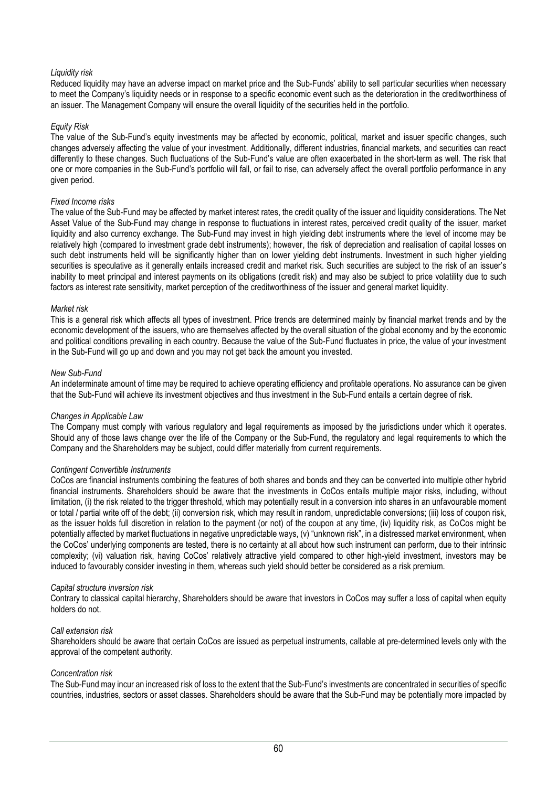# *Liquidity risk*

Reduced liquidity may have an adverse impact on market price and the Sub-Funds' ability to sell particular securities when necessary to meet the Company's liquidity needs or in response to a specific economic event such as the deterioration in the creditworthiness of an issuer. The Management Company will ensure the overall liquidity of the securities held in the portfolio.

### *Equity Risk*

The value of the Sub-Fund's equity investments may be affected by economic, political, market and issuer specific changes, such changes adversely affecting the value of your investment. Additionally, different industries, financial markets, and securities can react differently to these changes. Such fluctuations of the Sub-Fund's value are often exacerbated in the short-term as well. The risk that one or more companies in the Sub-Fund's portfolio will fall, or fail to rise, can adversely affect the overall portfolio performance in any given period.

### *Fixed Income risks*

The value of the Sub-Fund may be affected by market interest rates, the credit quality of the issuer and liquidity considerations. The Net Asset Value of the Sub-Fund may change in response to fluctuations in interest rates, perceived credit quality of the issuer, market liquidity and also currency exchange. The Sub-Fund may invest in high yielding debt instruments where the level of income may be relatively high (compared to investment grade debt instruments); however, the risk of depreciation and realisation of capital losses on such debt instruments held will be significantly higher than on lower yielding debt instruments. Investment in such higher yielding securities is speculative as it generally entails increased credit and market risk. Such securities are subject to the risk of an issuer's inability to meet principal and interest payments on its obligations (credit risk) and may also be subject to price volatility due to such factors as interest rate sensitivity, market perception of the creditworthiness of the issuer and general market liquidity.

## *Market risk*

This is a general risk which affects all types of investment. Price trends are determined mainly by financial market trends and by the economic development of the issuers, who are themselves affected by the overall situation of the global economy and by the economic and political conditions prevailing in each country. Because the value of the Sub-Fund fluctuates in price, the value of your investment in the Sub-Fund will go up and down and you may not get back the amount you invested.

## *New Sub-Fund*

An indeterminate amount of time may be required to achieve operating efficiency and profitable operations. No assurance can be given that the Sub-Fund will achieve its investment objectives and thus investment in the Sub-Fund entails a certain degree of risk.

### *Changes in Applicable Law*

The Company must comply with various regulatory and legal requirements as imposed by the jurisdictions under which it operates. Should any of those laws change over the life of the Company or the Sub-Fund, the regulatory and legal requirements to which the Company and the Shareholders may be subject, could differ materially from current requirements.

### *Contingent Convertible Instruments*

CoCos are financial instruments combining the features of both shares and bonds and they can be converted into multiple other hybrid financial instruments. Shareholders should be aware that the investments in CoCos entails multiple major risks, including, without limitation, (i) the risk related to the trigger threshold, which may potentially result in a conversion into shares in an unfavourable moment or total / partial write off of the debt; (ii) conversion risk, which may result in random, unpredictable conversions; (iii) loss of coupon risk, as the issuer holds full discretion in relation to the payment (or not) of the coupon at any time, (iv) liquidity risk, as CoCos might be potentially affected by market fluctuations in negative unpredictable ways, (v) "unknown risk", in a distressed market environment, when the CoCos' underlying components are tested, there is no certainty at all about how such instrument can perform, due to their intrinsic complexity; (vi) valuation risk, having CoCos' relatively attractive yield compared to other high-yield investment, investors may be induced to favourably consider investing in them, whereas such yield should better be considered as a risk premium.

### *Capital structure inversion risk*

Contrary to classical capital hierarchy, Shareholders should be aware that investors in CoCos may suffer a loss of capital when equity holders do not.

### *Call extension risk*

Shareholders should be aware that certain CoCos are issued as perpetual instruments, callable at pre-determined levels only with the approval of the competent authority.

### *Concentration risk*

The Sub-Fund may incur an increased risk of loss to the extent that the Sub-Fund's investments are concentrated in securities of specific countries, industries, sectors or asset classes. Shareholders should be aware that the Sub-Fund may be potentially more impacted by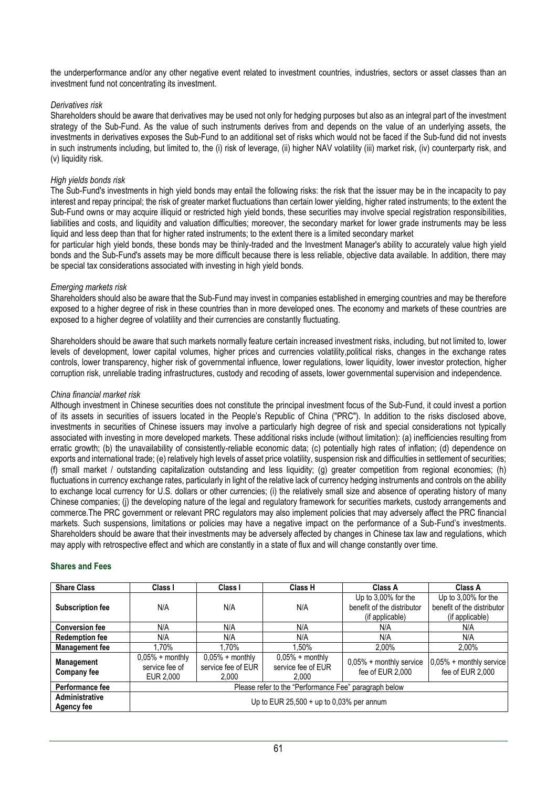the underperformance and/or any other negative event related to investment countries, industries, sectors or asset classes than an investment fund not concentrating its investment.

### *Derivatives risk*

Shareholders should be aware that derivatives may be used not only for hedging purposes but also as an integral part of the investment strategy of the Sub-Fund. As the value of such instruments derives from and depends on the value of an underlying assets, the investments in derivatives exposes the Sub-Fund to an additional set of risks which would not be faced if the Sub-fund did not invests in such instruments including, but limited to, the (i) risk of leverage, (ii) higher NAV volatility (iii) market risk, (iv) counterparty risk, and (v) liquidity risk.

### *High yields bonds risk*

The Sub-Fund's investments in high yield bonds may entail the following risks: the risk that the issuer may be in the incapacity to pay interest and repay principal; the risk of greater market fluctuations than certain lower yielding, higher rated instruments; to the extent the Sub-Fund owns or may acquire illiquid or restricted high yield bonds, these securities may involve special registration responsibilities, liabilities and costs, and liquidity and valuation difficulties; moreover, the secondary market for lower grade instruments may be less liquid and less deep than that for higher rated instruments; to the extent there is a limited secondary market

for particular high yield bonds, these bonds may be thinly-traded and the Investment Manager's ability to accurately value high yield bonds and the Sub-Fund's assets may be more difficult because there is less reliable, objective data available. In addition, there may be special tax considerations associated with investing in high yield bonds.

## *Emerging markets risk*

Shareholders should also be aware that the Sub-Fund may invest in companies established in emerging countries and may be therefore exposed to a higher degree of risk in these countries than in more developed ones. The economy and markets of these countries are exposed to a higher degree of volatility and their currencies are constantly fluctuating.

Shareholders should be aware that such markets normally feature certain increased investment risks, including, but not limited to, lower levels of development, lower capital volumes, higher prices and currencies volatility,political risks, changes in the exchange rates controls, lower transparency, higher risk of governmental influence, lower regulations, lower liquidity, lower investor protection, higher corruption risk, unreliable trading infrastructures, custody and recoding of assets, lower governmental supervision and independence.

### *China financial market risk*

Although investment in Chinese securities does not constitute the principal investment focus of the Sub-Fund, it could invest a portion of its assets in securities of issuers located in the People's Republic of China ("PRC"). In addition to the risks disclosed above, investments in securities of Chinese issuers may involve a particularly high degree of risk and special considerations not typically associated with investing in more developed markets. These additional risks include (without limitation): (a) inefficiencies resulting from erratic growth; (b) the unavailability of consistently-reliable economic data; (c) potentially high rates of inflation; (d) dependence on exports and international trade; (e) relatively high levels of asset price volatility, suspension risk and difficulties in settlement of securities; (f) small market / outstanding capitalization outstanding and less liquidity; (g) greater competition from regional economies; (h) fluctuations in currency exchange rates, particularly in light of the relative lack of currency hedging instruments and controls on the ability to exchange local currency for U.S. dollars or other currencies; (i) the relatively small size and absence of operating history of many Chinese companies; (j) the developing nature of the legal and regulatory framework for securities markets, custody arrangements and commerce.The PRC government or relevant PRC regulators may also implement policies that may adversely affect the PRC financial markets. Such suspensions, limitations or policies may have a negative impact on the performance of a Sub-Fund's investments. Shareholders should be aware that their investments may be adversely affected by changes in Chinese tax law and regulations, which may apply with retrospective effect and which are constantly in a state of flux and will change constantly over time.

### **Shares and Fees**

| <b>Share Class</b>                      | Class I                                               | Class I                                          | Class H                                          | Class A                                     | Class A                                     |  |  |
|-----------------------------------------|-------------------------------------------------------|--------------------------------------------------|--------------------------------------------------|---------------------------------------------|---------------------------------------------|--|--|
|                                         |                                                       |                                                  |                                                  | Up to $3,00\%$ for the                      | Up to 3,00% for the                         |  |  |
| <b>Subscription fee</b>                 | N/A                                                   | N/A                                              | N/A                                              | benefit of the distributor                  | benefit of the distributor                  |  |  |
|                                         |                                                       |                                                  |                                                  | (if applicable)                             | (if applicable)                             |  |  |
| <b>Conversion fee</b>                   | N/A                                                   | N/A                                              | N/A                                              | N/A                                         | N/A                                         |  |  |
| <b>Redemption fee</b>                   | N/A                                                   | N/A                                              | N/A                                              | N/A                                         | N/A                                         |  |  |
| <b>Management fee</b>                   | 1.70%                                                 | 1.70%                                            | 1.50%                                            | 2,00%                                       | 2,00%                                       |  |  |
| <b>Management</b><br><b>Company fee</b> | $0,05% + monthly$<br>service fee of<br>EUR 2.000      | $0,05% + monthly$<br>service fee of EUR<br>2.000 | $0,05% + monthly$<br>service fee of EUR<br>2.000 | 0,05% + monthly service<br>fee of EUR 2.000 | 0,05% + monthly service<br>fee of EUR 2,000 |  |  |
| Performance fee                         | Please refer to the "Performance Fee" paragraph below |                                                  |                                                  |                                             |                                             |  |  |
| Administrative<br><b>Agency fee</b>     |                                                       |                                                  | Up to EUR $25,500 + up$ to 0,03% per annum       |                                             |                                             |  |  |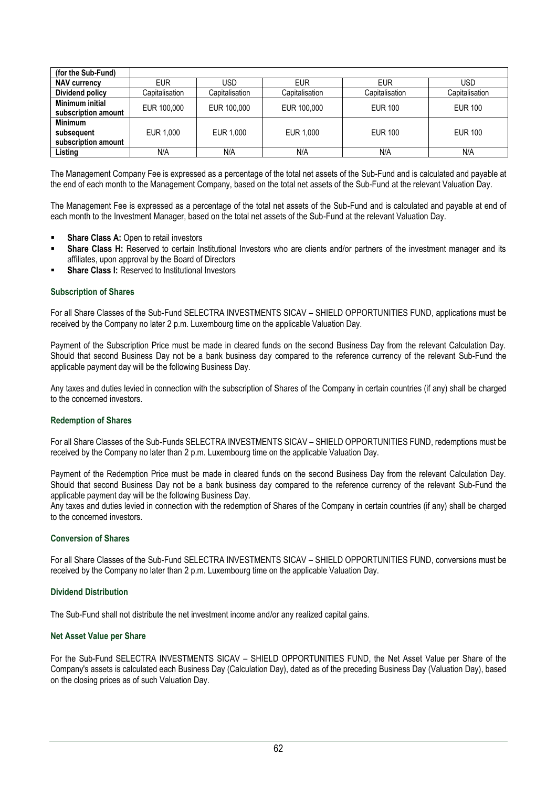| (for the Sub-Fund)                                  |                |                |                |                |                |
|-----------------------------------------------------|----------------|----------------|----------------|----------------|----------------|
| <b>NAV currency</b>                                 | <b>EUR</b>     | USD            | <b>EUR</b>     | <b>EUR</b>     | USD            |
| Dividend policy                                     | Capitalisation | Capitalisation | Capitalisation | Capitalisation | Capitalisation |
| Minimum initial<br>subscription amount              | EUR 100,000    | EUR 100,000    | EUR 100,000    | <b>EUR 100</b> | <b>EUR 100</b> |
| <b>Minimum</b><br>subsequent<br>subscription amount | EUR 1.000      | EUR 1.000      | EUR 1.000      | <b>EUR 100</b> | <b>EUR 100</b> |
| Listing                                             | N/A            | N/A            | N/A            | N/A            | N/A            |

The Management Company Fee is expressed as a percentage of the total net assets of the Sub-Fund and is calculated and payable at the end of each month to the Management Company, based on the total net assets of the Sub-Fund at the relevant Valuation Day.

The Management Fee is expressed as a percentage of the total net assets of the Sub-Fund and is calculated and payable at end of each month to the Investment Manager, based on the total net assets of the Sub-Fund at the relevant Valuation Day.

- **Share Class A: Open to retail investors**
- Share Class H: Reserved to certain Institutional Investors who are clients and/or partners of the investment manager and its affiliates, upon approval by the Board of Directors
- **Share Class I:** Reserved to Institutional Investors

## **Subscription of Shares**

For all Share Classes of the Sub-Fund SELECTRA INVESTMENTS SICAV – SHIELD OPPORTUNITIES FUND, applications must be received by the Company no later 2 p.m. Luxembourg time on the applicable Valuation Day.

Payment of the Subscription Price must be made in cleared funds on the second Business Day from the relevant Calculation Day. Should that second Business Day not be a bank business day compared to the reference currency of the relevant Sub-Fund the applicable payment day will be the following Business Day.

Any taxes and duties levied in connection with the subscription of Shares of the Company in certain countries (if any) shall be charged to the concerned investors.

### **Redemption of Shares**

For all Share Classes of the Sub-Funds SELECTRA INVESTMENTS SICAV – SHIELD OPPORTUNITIES FUND, redemptions must be received by the Company no later than 2 p.m. Luxembourg time on the applicable Valuation Day.

Payment of the Redemption Price must be made in cleared funds on the second Business Day from the relevant Calculation Day. Should that second Business Day not be a bank business day compared to the reference currency of the relevant Sub-Fund the applicable payment day will be the following Business Day.

Any taxes and duties levied in connection with the redemption of Shares of the Company in certain countries (if any) shall be charged to the concerned investors.

## **Conversion of Shares**

For all Share Classes of the Sub-Fund SELECTRA INVESTMENTS SICAV – SHIELD OPPORTUNITIES FUND, conversions must be received by the Company no later than 2 p.m. Luxembourg time on the applicable Valuation Day.

## **Dividend Distribution**

The Sub-Fund shall not distribute the net investment income and/or any realized capital gains.

### **Net Asset Value per Share**

For the Sub-Fund SELECTRA INVESTMENTS SICAV – SHIELD OPPORTUNITIES FUND, the Net Asset Value per Share of the Company's assets is calculated each Business Day (Calculation Day), dated as of the preceding Business Day (Valuation Day), based on the closing prices as of such Valuation Day.